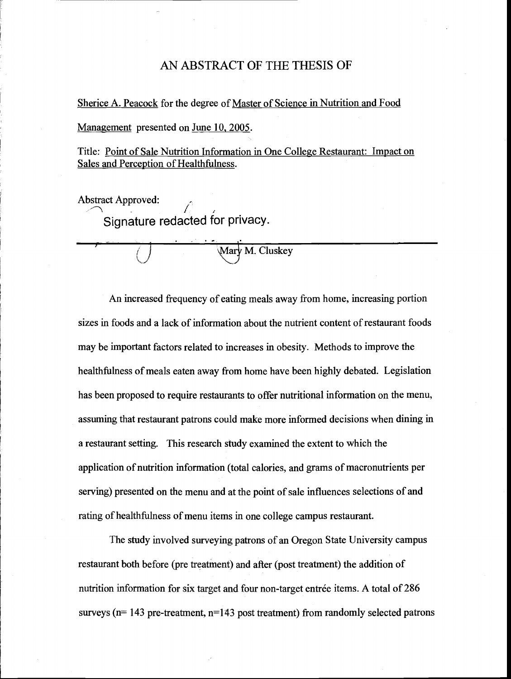### AN ABSTRACT OF THE THESIS OF

Sherice A. Peacock for the degree of Master of Science in Nutrition and Food

Management presented on June 10. 2005.

Title: Point of Sale Nutrition Information in One College Restaurant: Impact on Sales and Perception of Healthfulness.

Abstract Approved:

Signature redacted for privacy.

Mary M. Cluskey

An increased frequency of eating meals away from home, increasing portion sizes in foods and a lack of information about the nutrient content of restaurant foods may be important factors related to increases in obesity. Methods to improve the healthfulness of meals eaten away from home have been highly debated. Legislation has been proposed to require restaurants to offer nutritional information on the menu, assuming that restaurant patrons could make more informed decisions when dining in a restaurant setting. This research study examined the extent to which the application of nutrition information (total calories, and grams of macronutrients per serving) presented on the menu and at the point of sale influences selections of and rating of healthfulness of menu items in one college campus restaurant.

The study involved surveying patrons of an Oregon State University campus restaurant both before (pre treatment) and after (post treatment) the addition of nutrition information for six target and four non-target entrée items. A total of 286 surveys ( $n=143$  pre-treatment,  $n=143$  post treatment) from randomly selected patrons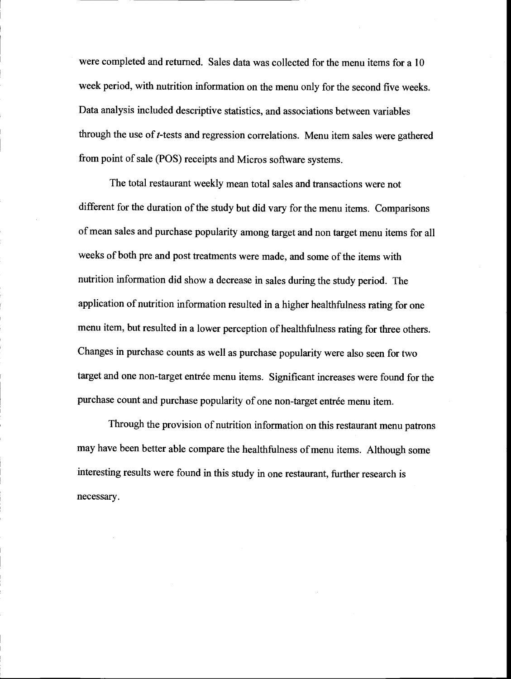were completed and returned. Sales data was collected for the menu items for a 10 week period, with nutrition information on the menu only for the second five weeks. Data analysis included descriptive statistics, and associations between variables through the use of t-tests and regression correlations. Menu item sales were gathered from point of sale (POS) receipts and Micros software systems.

The total restaurant weekly mean total sales and transactions were not different for the duration of the study but did vary for the menu items. Comparisons of mean sales and purchase popularity among target and non target menu items for all weeks of both pre and post treatments were made, and some of the items with nutrition information did show a decrease in sales during the study period. The application of nutrition information resulted in a higher healthfulness rating for one menu item, but resulted in a lower perception of healthfulness rating for three others. Changes in purchase counts as well as purchase popularity were also seen for two target and one non-target entrée menu items. Significant increases were found for the purchase count and purchase popularity of one non-target entrée menu item.

Through the provision of nutrition information on this restaurant menu patrons may have been better able compare the healthfulness of menu items. Although some interesting results were found in this study in one restaurant, further research is necessary.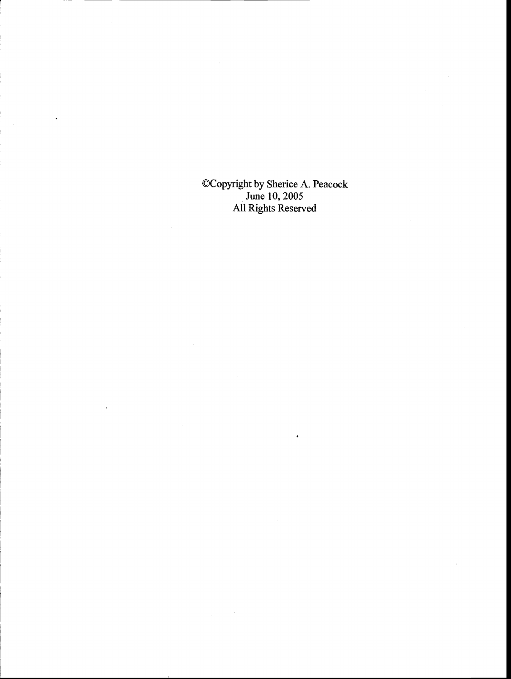©Copyright by Sherice A. Peacock June 10, 2005 All Rights Reserved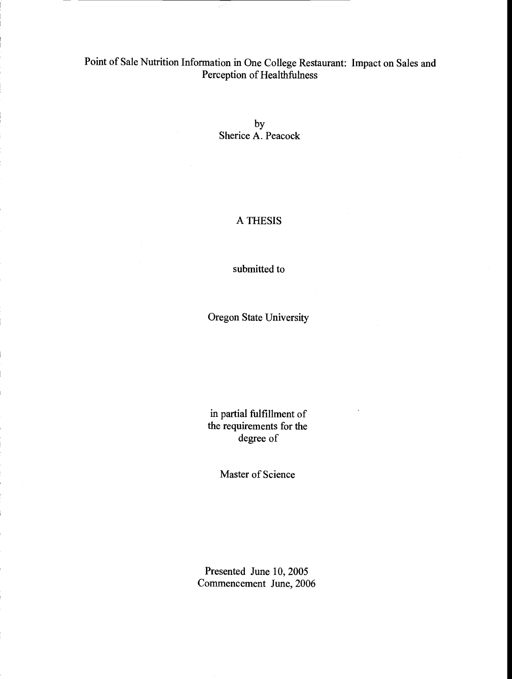## Point of Sale Nutrition Information in One College Restaurant: Impact on Sales and Perception of Healthfulness

by Sherice A. Peacock

### A THESIS

submitted to

Oregon State University

in partial fulfillment of the requirements for the degree of

Master of Science

Presented June 10, 2005 Commencement June, 2006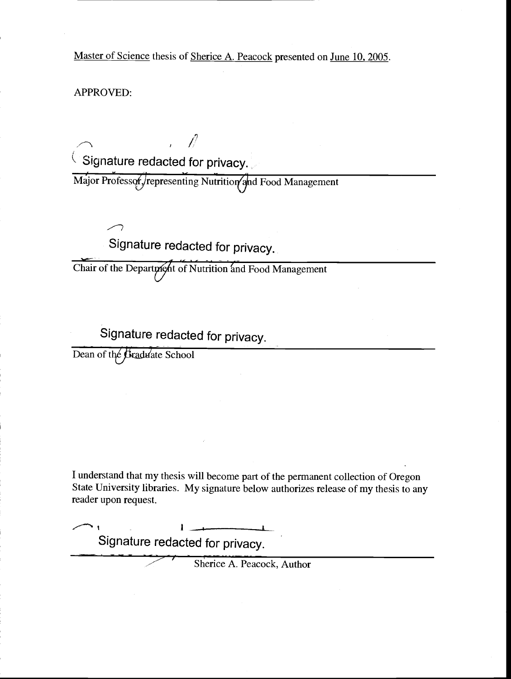Master of Science thesis of Sherice A. Peacock presented on June 10, 2005.

APPROVED:

Signature redacted for privacy.

.  $\ell$ 

Major Professof, representing Nutrition and Food Management

Signature redacted for privacy.

Chair of the Department of Nutrition and Food Management

Signature redacted for privacy.

Dean of the Braduate School

I understand that my thesis will become part of the permanent collection of Oregon State University libraries. My signature below authorizes release of my thesis to any reader upon request.

 $\frac{1}{2}$   $\frac{1}{2}$   $\frac{1}{2}$   $\frac{1}{2}$   $\frac{1}{2}$   $\frac{1}{2}$   $\frac{1}{2}$   $\frac{1}{2}$   $\frac{1}{2}$   $\frac{1}{2}$   $\frac{1}{2}$   $\frac{1}{2}$   $\frac{1}{2}$   $\frac{1}{2}$   $\frac{1}{2}$   $\frac{1}{2}$   $\frac{1}{2}$   $\frac{1}{2}$   $\frac{1}{2}$   $\frac{1}{2}$   $\frac{1}{2}$   $\frac{1}{2}$  Signature redacted for privacy.

Sherice A. Peacock, Author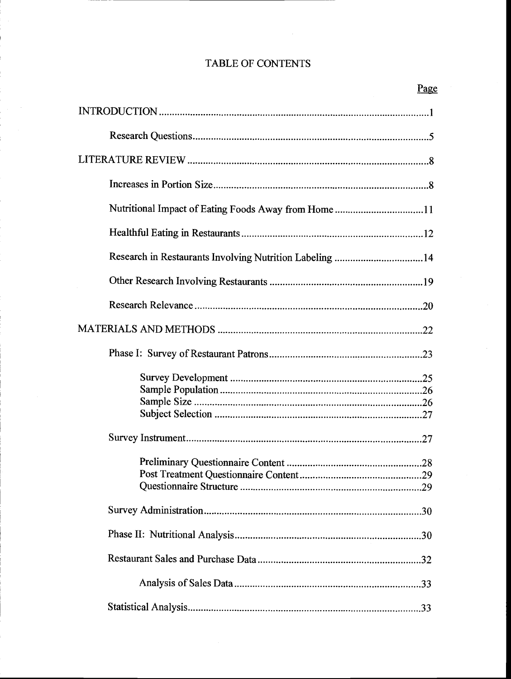# TABLE OF CONTENTS

|                                                         | Page |
|---------------------------------------------------------|------|
|                                                         |      |
|                                                         |      |
|                                                         |      |
|                                                         |      |
|                                                         |      |
|                                                         |      |
| Research in Restaurants Involving Nutrition Labeling 14 |      |
|                                                         |      |
|                                                         |      |
|                                                         |      |
|                                                         |      |
|                                                         |      |
|                                                         |      |
|                                                         |      |
|                                                         |      |
|                                                         |      |
|                                                         |      |
|                                                         |      |
|                                                         |      |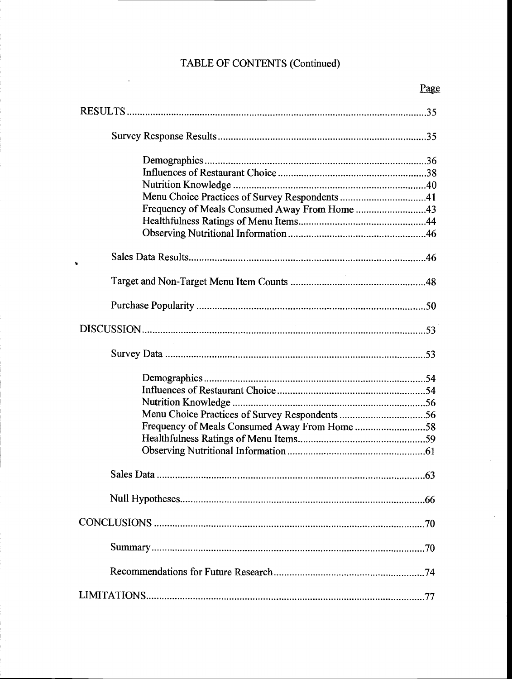# TABLE OF CONTENTS (Continued)

| Menu Choice Practices of Survey Respondents 41 |  |
|------------------------------------------------|--|
| Frequency of Meals Consumed Away From Home 43  |  |
|                                                |  |
|                                                |  |
|                                                |  |
|                                                |  |
|                                                |  |
|                                                |  |
|                                                |  |
|                                                |  |
|                                                |  |
|                                                |  |
|                                                |  |
| Frequency of Meals Consumed Away From Home 58  |  |
|                                                |  |
|                                                |  |
|                                                |  |
|                                                |  |
|                                                |  |
|                                                |  |
|                                                |  |
|                                                |  |

# Page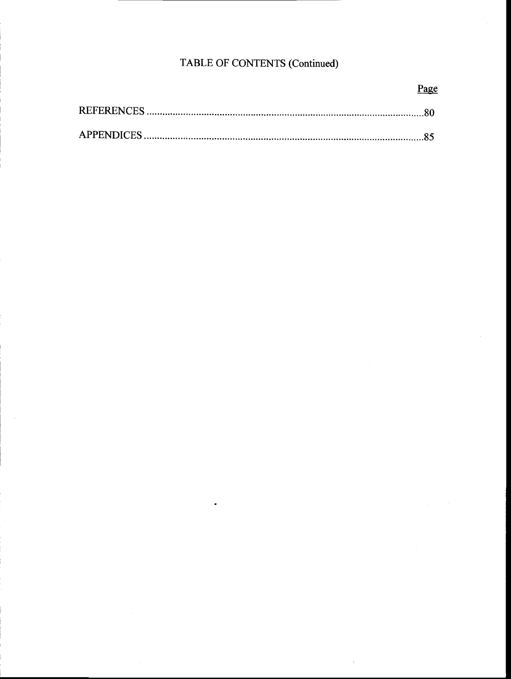# TABLE OF CONTENTS (Continued)

# Page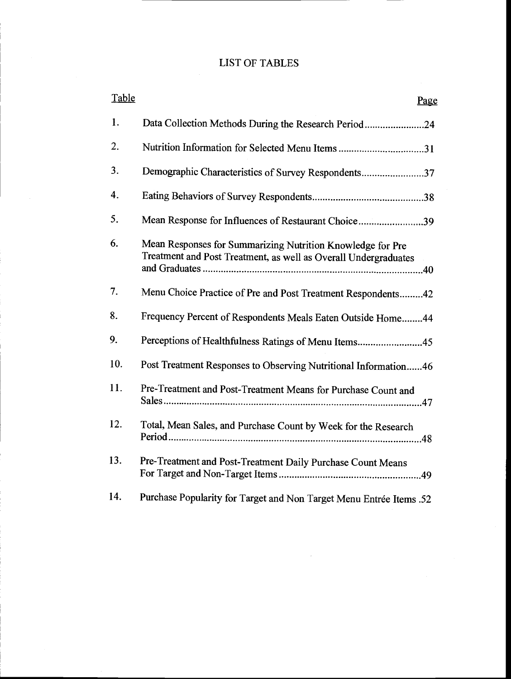## LIST OF TABLES

| Table |                                                                                                                               | Page |
|-------|-------------------------------------------------------------------------------------------------------------------------------|------|
| 1.    |                                                                                                                               |      |
| 2.    | Nutrition Information for Selected Menu Items31                                                                               |      |
| 3.    |                                                                                                                               |      |
| 4.    |                                                                                                                               |      |
| 5.    | Mean Response for Influences of Restaurant Choice39                                                                           |      |
| 6.    | Mean Responses for Summarizing Nutrition Knowledge for Pre<br>Treatment and Post Treatment, as well as Overall Undergraduates |      |
| 7.    | Menu Choice Practice of Pre and Post Treatment Respondents42                                                                  |      |
| 8.    | Frequency Percent of Respondents Meals Eaten Outside Home 44                                                                  |      |
| 9.    | Perceptions of Healthfulness Ratings of Menu Items45                                                                          |      |
| 10.   | Post Treatment Responses to Observing Nutritional Information46                                                               |      |
| 11.   | Pre-Treatment and Post-Treatment Means for Purchase Count and                                                                 |      |
| 12.   | Total, Mean Sales, and Purchase Count by Week for the Research                                                                |      |
| 13.   | Pre-Treatment and Post-Treatment Daily Purchase Count Means                                                                   |      |
| 14.   | Purchase Popularity for Target and Non Target Menu Entrée Items .52                                                           |      |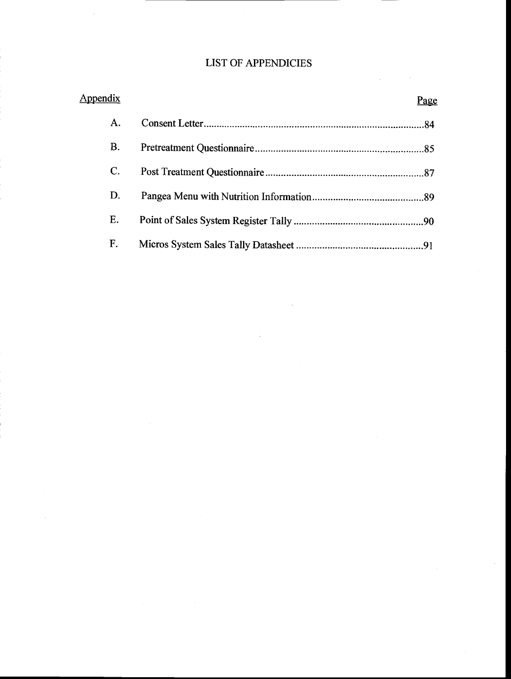## LIST OF APPENDICIES

| Appendix | <b>Page</b> |
|----------|-------------|
| Α.       |             |
| Β.       |             |
| C.       |             |
| D.       |             |
| Е.       |             |
| F.       |             |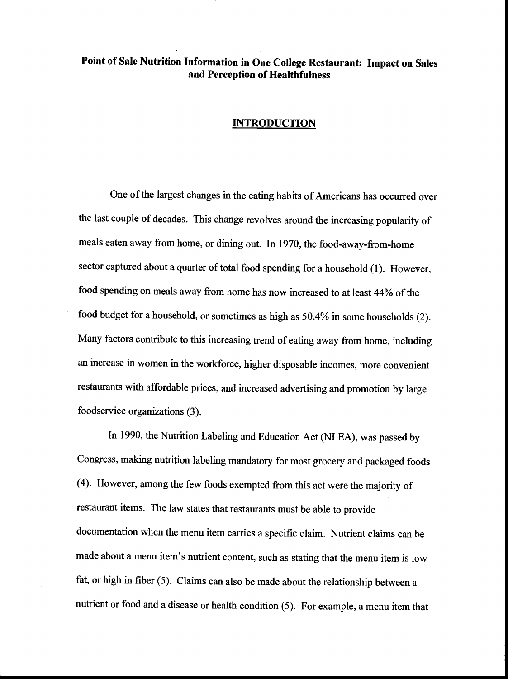### Point of Sale Nutrition Information in One College Restaurant: Impact on Sales and Perception of Healthfulness

#### INTRODUCTION

One of the largest changes in the eating habits of Americans has occurred over the last couple of decades. This change revolves around the increasing popularity of meals eaten away from home, or dining out. In 1970, the food-away-from-home sector captured about a quarter of total food spending for a household (1). However, food spending on meals away from home has now increased to at least 44% of the food budget for a household, or sometimes as high as 50.4% in some households (2). Many factors contribute to this increasing trend of eating away from home, including an increase in women in the workforce, higher disposable incomes, more convenient restaurants with affordable prices, and increased advertising and promotion by large foodservice organizations (3).

In 1990, the Nutrition Labeling and Education Act (NLEA), was passed by Congress, making nutrition labeling mandatory for most grocery and packaged foods (4). However, among the few foods exempted from this act were the majority of restaurant items. The law states that restaurants must be able to provide documentation when the menu item carries a specific claim. Nutrient claims can be made about a menu item's nutrient content, such as stating that the menu item is low fat, or high in fiber (5). Claims can also be made about the relationship between a nutrient or food and a disease or health condition (5). For example, a menu item that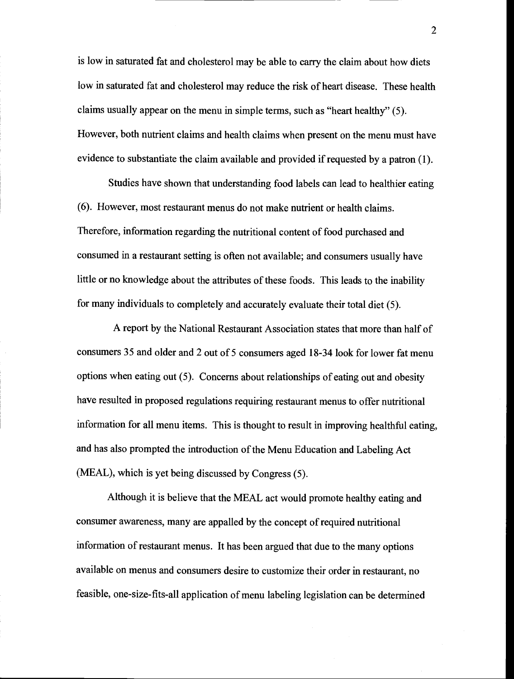is low in saturated fat and cholesterol may be able to carry the claim about how diets low in saturated fat and cholesterol may reduce the risk of heart disease. These health claims usually appear on the menu in simple terms, such as "heart healthy" (5). However, both nutrient claims and health claims when present on the menu must have evidence to substantiate the claim available and provided if requested by a patron (1).

Studies have shown that understanding food labels can lead to healthier eating (6). However, most restaurant menus do not make nutrient or health claims. Therefore, information regarding the nutritional content of food purchased and consumed in a restaurant setting is often not available; and consumers usually have little or no knowledge about the attributes of these foods. This leads to the inability for many individuals to completely and accurately evaluate their total diet (5).

A report by the National Restaurant Association states that more than half of consumers 35 and older and 2 out of <sup>5</sup> consumers aged 18-34 look for lower fat menu options when eating out (5). Concerns about relationships of eating out and obesity have resulted in proposed regulations requiring restaurant menus to offer nutritional information for all menu items. This is thought to result in improving healthful eating, and has also prompted the introduction of the Menu Education and Labeling Act (MEAL), which is yet being discussed by Congress (5).

Although it is believe that the MEAL act would promote healthy eating and consumer awareness, many are appalled by the concept of required nutritional information of restaurant menus. It has been argued that due to the many options available on menus and consumers desire to customize their order in restaurant, no feasible, one-size-fits-all application of menu labeling legislation can be determined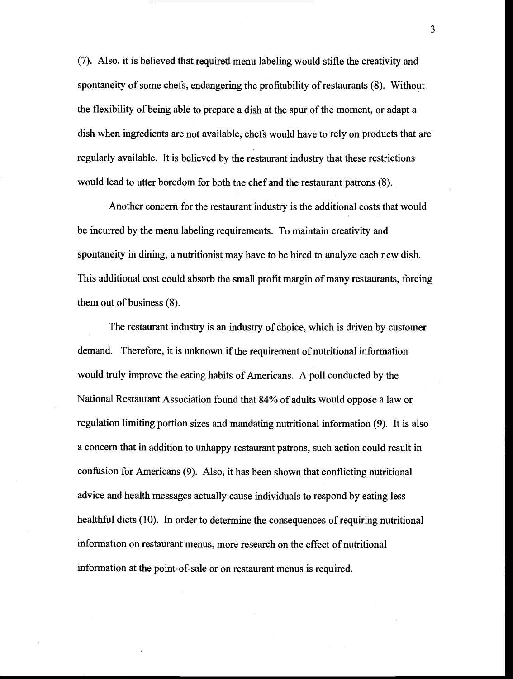(7). Also, it is believed that required menu labeling would stifle the creativity and spontaneity of some chefs, endangering the profitability of restaurants (8). Without the flexibility of being able to prepare a dish at the spur of the moment, or adapt a dish when ingredients are not available, chefs would have to rely on products that are regularly available. It is believed by the restaurant industry that these restrictions would lead to utter boredom for both the chef and the restaurant patrons (8).

Another concern for the restaurant industry is the additional costs that would be incurred by the menu labeling requirements. To maintain creativity and spontaneity in dining, a nutritionist may have to be hired to analyze each new dish. This additional cost could absorb the small profit margin of many restaurants, forcing them out of business (8).

The restaurant industry is an industry of choice, which is driven by customer demand. Therefore, it is unknown if the requirement of nutritional information would truly improve the eating habits of Americans. A poil conducted by the National Restaurant Association found that 84% of adults would oppose a law or regulation limiting portion sizes and mandating nutritional information (9). It is also a concern that in addition to unhappy restaurant patrons, such action could result in confusion for Americans (9). Also, it has been shown that conflicting nutritional advice and health messages actually cause individuals to respond by eating less healthful diets (10). In order to determine the consequences of requiring nutritional information on restaurant menus, more research on the effect of nutritional information at the point-of-sale or on restaurant menus is required.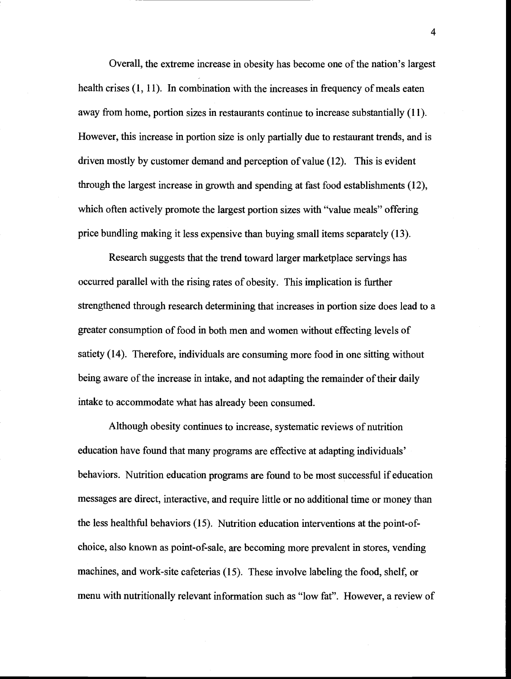Overall, the extreme increase in obesity has become one of the nation's largest health crises (1, 11). In combination with the increases in frequency of meals eaten away from home, portion sizes in restaurants continue to increase substantially (11). However, this increase in portion size is only partially due to restaurant trends, and is driven mostly by customer demand and perception of value (12). This is evident through the largest increase in growth and spending at fast food establishments (12), which often actively promote the largest portion sizes with "value meals" offering price bundling making it less expensive than buying small items separately (13).

Research suggests that the trend toward larger marketplace servings has occurred parallel with the rising rates of obesity. This implication is further strengthened through research determining that increases in portion size does lead to a greater consumption of food in both men and women without effecting levels of satiety (14). Therefore, individuals are consuming more food in one sitting without being aware of the increase in intake, and not adapting the remainder of their daily intake to accommodate what has already been consumed.

Although obesity continues to increase, systematic reviews of nutrition education have found that many programs are effective at adapting individuals' behaviors. Nutrition education programs are found to be most successful if education messages are direct, interactive, and require little or no additional time or money than the less healthful behaviors (15). Nutrition education interventions at the point-ofchoice, also known as point-of-sale, are becoming more prevalent in stores, vending machines, and work-site cafeterias (15). These involve labeling the food, shelf, or menu with nutritionally relevant information such as "low fat". However, a review of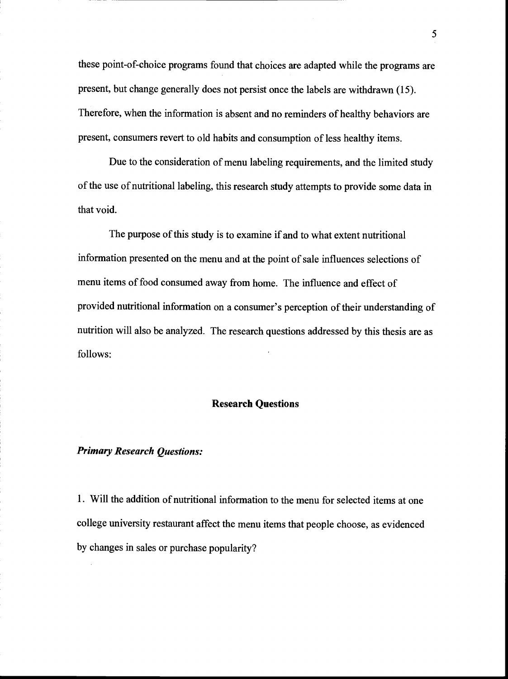these point-of-choice programs found that choices are adapted while the programs are present, but change generally does not persist once the labels are withdrawn (15). Therefore, when the information is absent and no reminders of healthy behaviors are present, consumers revert to old habits and consumption of less healthy items.

Due to the consideration of menu labeling requirements, and the limited study of the use of nutritional labeling, this research study attempts to provide some data in that void.

The purpose of this study is to examine if and to what extent nutritional information presented on the menu and at the point of sale influences selections of menu items of food consumed away from home. The influence and effect of provided nutritional information on a consumer's perception of their understanding of nutrition will also be analyzed. The research questions addressed by this thesis are as follows:

#### Research Questions

#### Primary Research Questions:

1. Will the addition of nutritional information to the menu for selected items at one college university restaurant affect the menu items that people choose, as evidenced by changes in sales or purchase popularity?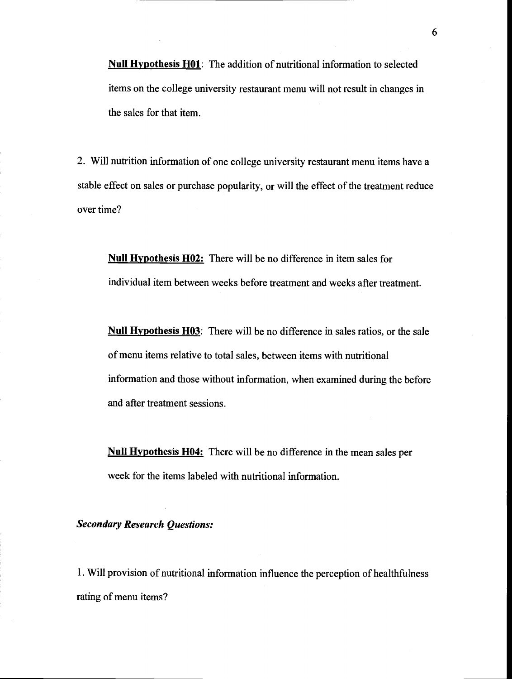Null Hypothesis H01: The addition of nutritional information to selected items on the college university restaurant menu will not result in changes in the sales for that item.

2. Will nutrition information of one college university restaurant menu items have a stable effect on sales or purchase popularity, or will the effect of the treatment reduce over time?

Null Hypothesis H02: There will be no difference in item sales for individual item between weeks before treatment and weeks after treatment.

Null Hypothesis H03: There will be no difference in sales ratios, or the sale of menu items relative to total sales, between items with nutritional information and those without information, when examined during the before and after treatment sessions.

Null Hypothesis H04: There will be no difference in the mean sales per week for the items labeled with nutritional information.

Secondary Research Questions:

1. Will provision of nutritional information influence the perception of healthfulness rating of menu items?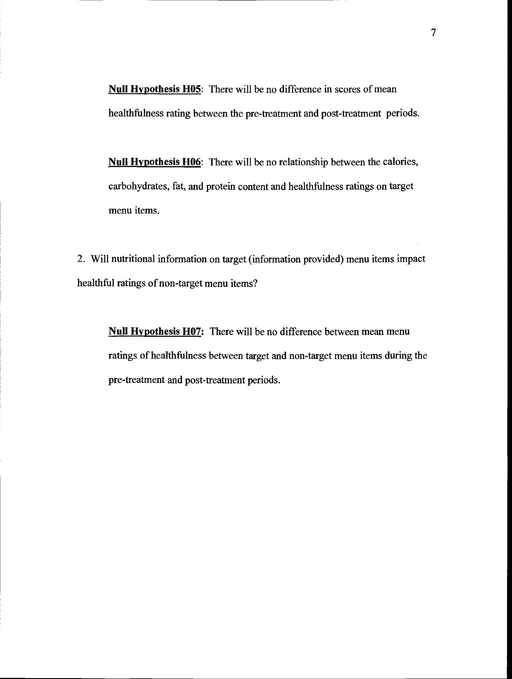Null Hypothesis H05: There will be no difference in scores of mean healthfulness rating between the pre-treatment and post-treatment periods.

Null Hypothesis H06: There will be no relationship between the calories, carbohydrates, fat, and protein content and healthfulness ratings on target menu items.

2. Will nutritional information on target (information provided) menu items impact healthful ratings of non-target menu items?

Null Hypothesis H07: There will be no difference between mean menu ratings of healthfulness between target and non-target menu items during the pre-treatment and post-treatment periods.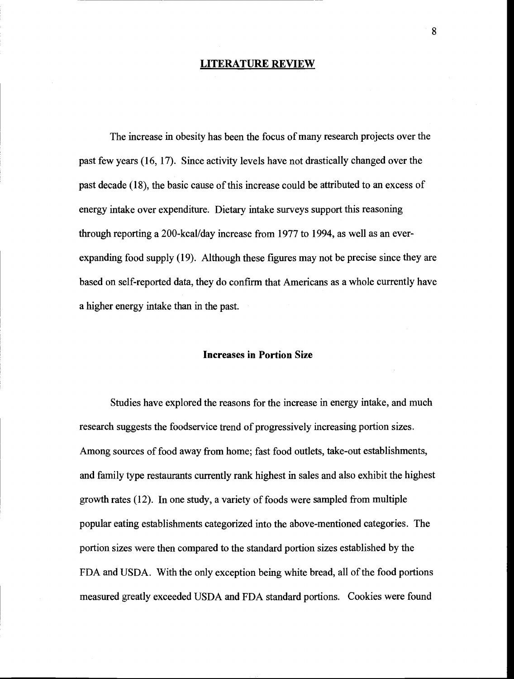#### LITERATURE REVIEW

The increase in obesity has been the focus of many research projects over the past few years (16, 17). Since activity levels have not drastically changed over the past decade (18), the basic cause of this increase could be attributed to an excess of energy intake over expenditure. Dietary intake surveys support this reasoning through reporting a 200-kcallday increase from 1977 to 1994, as well as an everexpanding food supply (19). Although these figures may not be precise since they are based on self-reported data, they do confirm that Americans as a whole currently have a higher energy intake than in the past.

### Increases in Portion Size

Studies have explored the reasons for the increase in energy intake, and much research suggests the foodservice trend of progressively increasing portion sizes. Among sources of food away from home; fast food outlets, take-out establishments, and family type restaurants currently rank highest in sales and also exhibit the highest growth rates (12). In one study, a variety of foods were sampled from multiple popular eating establishments categorized into the above-mentioned categories. The portion sizes were then compared to the standard portion sizes established by the FDA and USDA. With the only exception being white bread, all of the food portions measured greatly exceeded USDA and FDA standard portions. Cookies were found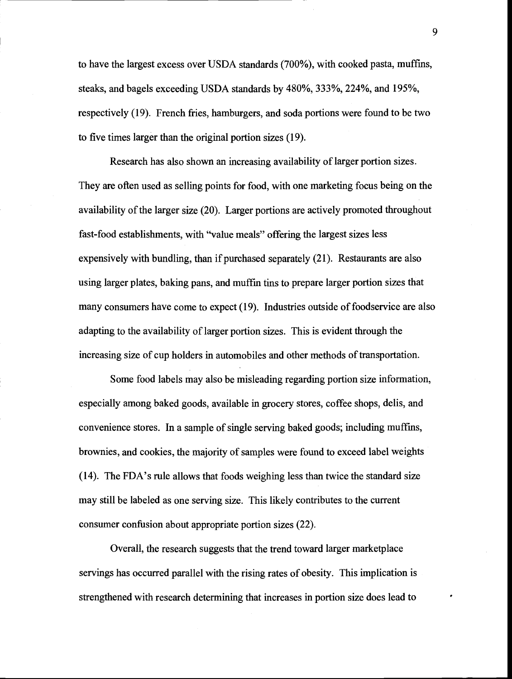to have the largest excess over USDA standards (700%), with cooked pasta, muffins, steaks, and bagels exceeding USDA standards by 480%, 333%, 224%, and 195%, respectively (19). French fries, hamburgers, and soda portions were found to be two to five times larger than the original portion sizes (19).

Research has also shown an increasing availability of larger portion sizes. They are often used as selling points for food, with one marketing focus being on the availability of the larger size (20). Larger portions are actively promoted throughout fast-food establishments, with "value meals" offering the largest sizes less expensively with bundling, than if purchased separately (21). Restaurants are also using larger plates, baking pans, and muffin tins to prepare larger portion sizes that many consumers have come to expect (19). Industries outside of foodservice are also adapting to the availability of larger portion sizes. This is evident through the increasing size of cup holders in automobiles and other methods of transportation.

Some food labels may also be misleading regarding portion size information, especially among baked goods, available in grocery stores, coffee shops, delis, and convenience stores. In a sample of single serving baked goods; including muffms, brownies, and cookies, the majority of samples were found to exceed label weights (14). The FDA's rule allows that foods weighing less than twice the standard size may still be labeled as one serving size. This likely contributes to the current consumer confusion about appropriate portion sizes (22).

Overall, the research suggests that the trend toward larger marketplace servings has occurred parallel with the rising rates of obesity. This implication is strengthened with research determining that increases in portion size does lead to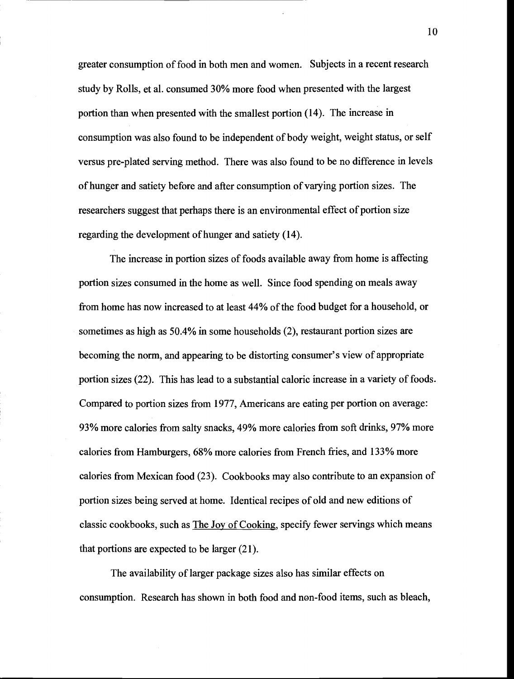greater consumption of food in both men and women. Subjects in a recent research study by Rolls, et al. consumed 30% more food when presented with the largest portion than when presented with the smallest portion (14). The increase in consumption was also found to be independent of body weight, weight status, or self versus pre-plated serving method. There was also found to be no difference in levels of hunger and satiety before and after consumption of varying portion sizes. The researchers suggest that perhaps there is an environmental effect of portion size regarding the development of hunger and satiety (14).

The increase in portion sizes of foods available away from home is affecting portion sizes consumed in the home as well. Since food spending on meals away from home has now increased to at least 44% of the food budget for a household, or sometimes as high as 50.4% in some households (2), restaurant portion sizes are becoming the norm, and appearing to be distorting consumer's view of appropriate portion sizes (22). This has lead to a substantial caloric increase in a variety of foods. Compared to portion sizes from 1977, Americans are eating per portion on average: 93% more calories from salty snacks, 49% more calories from soft drinks, 97% more calories from Hamburgers, 68% more calories from French fries, and 133% more calories from Mexican food (23). Cookbooks may also contribute to an expansion of portion sizes being served at home. Identical recipes of old and new editions of classic cookbooks, such as The Joy of Cooking, specify fewer servings which means that portions are expected to be larger (21).

The availability of larger package sizes also has similar effects on consumption. Research has shown in both food and non-food items, such as bleach,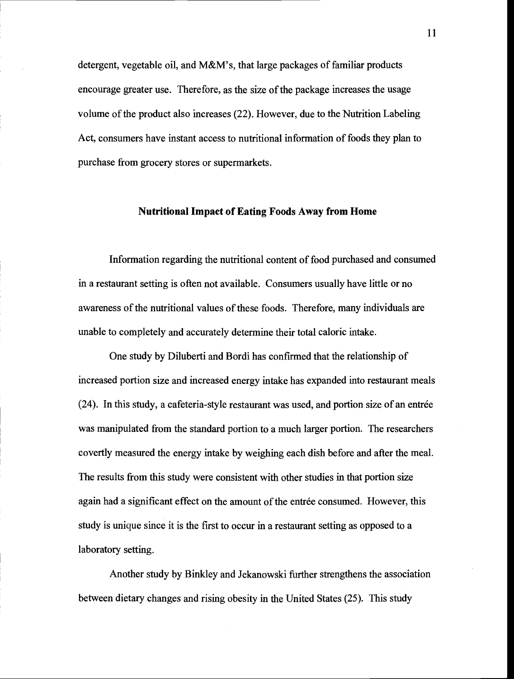detergent, vegetable oil, and M&M's, that large packages of familiar products encourage greater use. Therefore, as the size of the package increases the usage volume of the product also increases (22). However, due to the Nutrition Labeling Act, consumers have instant access to nutritional information of foods they plan to purchase from grocery stores or supermarkets.

#### Nutritional Impact of Eating Foods Away from Home

Information regarding the nutritional content of food purchased and consumed in a restaurant setting is often not available. Consumers usually have little or no awareness of the nutritional values of these foods. Therefore, many individuals are unable to completely and accurately determine their total caloric intake.

One study by Diluberti and Bordi has confirmed that the relationship of increased portion size and increased energy intake has expanded into restaurant meals (24). In this study, a cafeteria-style restaurant was used, and portion size of an entrée was manipulated from the standard portion to a much larger portion. The researchers covertly measured the energy intake by weighing each dish before and after the meal. The results from this study were consistent with other studies in that portion size again had a significant effect on the amount of the entrée consumed. However, this study is unique since it is the first to occur in a restaurant setting as opposed to a laboratory setting.

Another study by Binkley and Jekanowski further strengthens the association between dietary changes and rising obesity in the United States (25). This study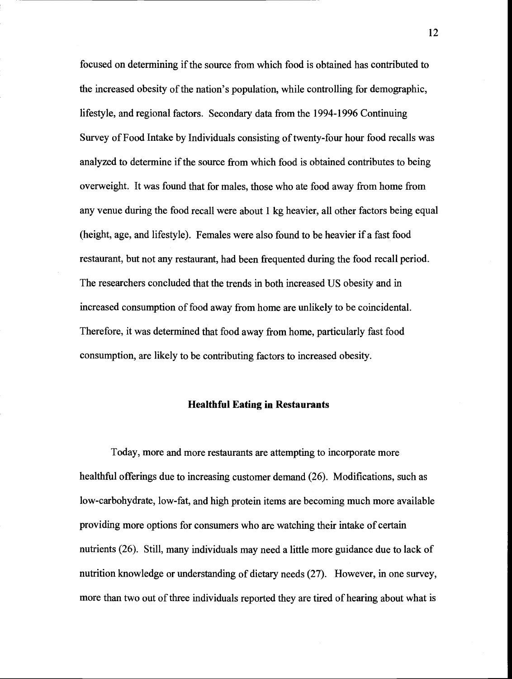focused on determining if the source from which food is obtained has contributed to the increased obesity of the nation's population, while controlling for demographic, lifestyle, and regional factors. Secondary data from the 1994-1996 Continuing Survey of Food Intake by Individuals consisting of twenty-four hour food recalls was analyzed to determine if the source from which food is obtained contributes to being overweight. It was found that for males, those who ate food away from home from any venue during the food recall were about 1 kg heavier, all other factors being equal (height, age, and lifestyle). Females were also found to be heavier if a fast food restaurant, but not any restaurant, had been frequented during the food recall period. The researchers concluded that the trends in both increased US obesity and in increased consumption of food away from home are unlikely to be coincidental. Therefore, it was determined that food away from home, particularly fast food consumption, are likely to be contributing factors to increased obesity.

#### Healthful Eating in Restaurants

Today, more and more restaurants are attempting to incorporate more healthful offerings due to increasing customer demand (26). Modifications, such as low-carbohydrate, low-fat, and high protein items are becoming much more available providing more options for consumers who are watching their intake of certain nutrients (26). Still, many individuals may need a little more guidance due to lack of nutrition knowledge or understanding of dietary needs (27). However, in one survey, more than two out of three individuals reported they are tired of hearing about what is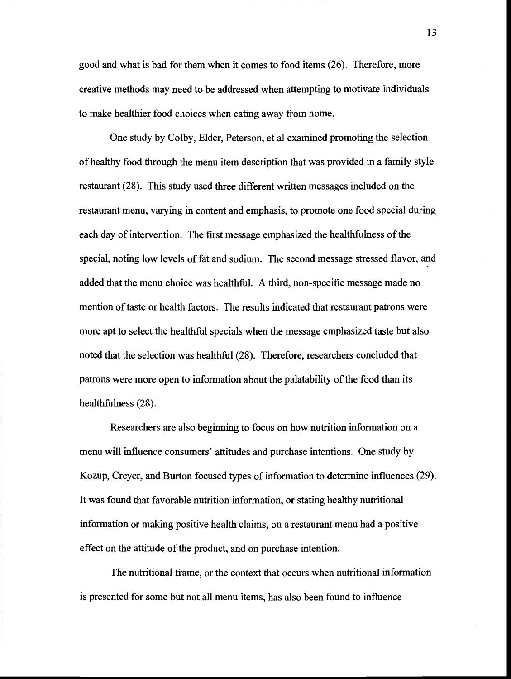good and what is bad for them when it comes to food items (26). Therefore, more creative methods may need to be addressed when attempting to motivate individuals to make healthier food choices when eating away from home.

One study by Colby, Elder, Peterson, et al examined promoting the selection of healthy food through the menu item description that was provided in a family style restaurant (28). This study used three different written messages included on the restaurant menu, varying in content and emphasis, to promote one food special during each day of intervention. The first message emphasized the healthfulness of the special, noting low levels of fat and sodium. The second message stressed flavor, and added that the menu choice was healthful. A third, non-specific message made no mention of taste or health factors. The results indicated that restaurant patrons were more apt to select the healthful specials when the message emphasized taste but also noted that the selection was healthful (28). Therefore, researchers concluded that patrons were more open to information about the palatability of the food than its healthfulness (28).

Researchers are also beginning to focus on how nutrition information on a menu will influence consumers' attitudes and purchase intentions. One study by Kozup, Creyer, and Burton focused types of information to determine influences (29). It was found that favorable nutrition information, or stating healthy nutritional information or making positive health claims, on a restaurant menu had a positive effect on the attitude of the product, and on purchase intention.

The nutritional frame, or the context that occurs when nutritional information is presented for some but not all menu items, has also been found to influence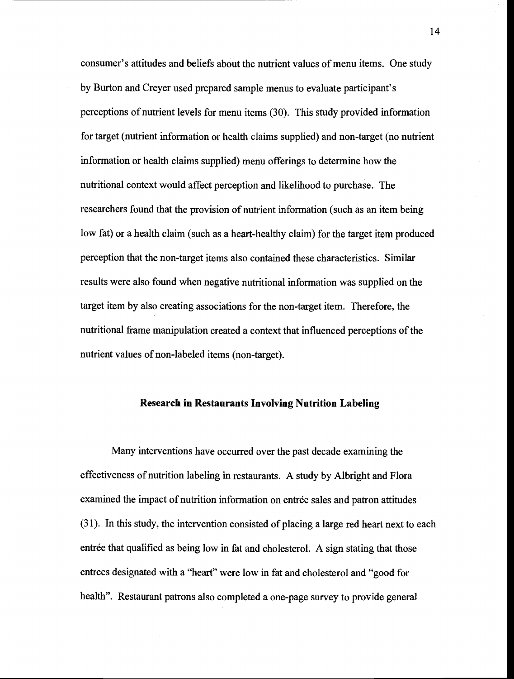consumer's attitudes and beliefs about the nutrient values of menu items. One study by Burton and Creyer used prepared sample menus to evaluate participant's perceptions of nutrient levels for menu items (30). This study provided information for target (nutrient information or health claims supplied) and non-target (no nutrient information or health claims supplied) menu offerings to determine how the nutritional context would affect perception and likelihood to purchase. The researchers found that the provision of nutrient information (such as an item being low fat) or a health claim (such as a heart-healthy claim) for the target item produced perception that the non-target items also contained these characteristics. Similar results were also found when negative nutritional information was supplied on the target item by also creating associations for the non-target item. Therefore, the nutritional frame manipulation created a context that influenced perceptions of the nutrient values of non-labeled items (non-target).

#### Research in Restaurants Involving Nutrition Labeling

Many interventions have occurred over the past decade examining the effectiveness of nutrition labeling in restaurants. A study by Aibright and Flora examined the impact of nutrition information on entrée sales and patron attitudes (31). In this study, the intervention consisted of placing a large red heart next to each entrée that qualified as being low in fat and cholesterol. A sign stating that those entrees designated with a "heart" were low in fat and cholesterol and "good for health". Restaurant patrons also completed a one-page survey to provide general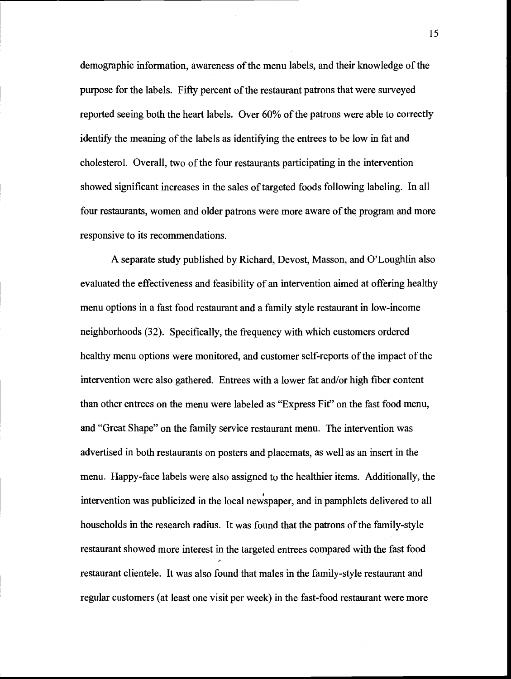demographic information, awareness of the menu labels, and their knowledge of the purpose for the labels. Fifty percent of the restaurant patrons that were surveyed reported seeing both the heart labels. Over 60% of the patrons were able to correctly identify the meaning of the labels as identifying the entrees to be low in fat and cholesterol. Overall, two of the four restaurants participating in the intervention showed significant increases in the sales of targeted foods following labeling. In all four restaurants, women and older patrons were more aware of the program and more responsive to its recommendations.

A separate study published by Richard, Devost, Masson, and O'Loughlin also evaluated the effectiveness and feasibility of an intervention aimed at offering healthy menu options in a fast food restaurant and a family style restaurant in low-income neighborhoods (32). Specifically, the frequency with which customers ordered healthy menu options were monitored, and customer self-reports of the impact of the intervention were also gathered. Entrees with a lower fat and/or high fiber content than other entrees on the menu were labeled as "Express Fit" on the fast food menu, and "Great Shape" on the family service restaurant menu. The intervention was advertised in both restaurants on posters and placemats, as well as an insert in the menu. Happy-face labels were also assigned to the healthier items. Additionally, the intervention was publicized in the local newspaper, and in pamphlets delivered to all households in the research radius. It was found that the patrons of the family-style restaurant showed more interest in the targeted entrees compared with the fast food restaurant clientele. It was also found that males in the family-style restaurant and regular customers (at least one visit per week) in the fast-food restaurant were more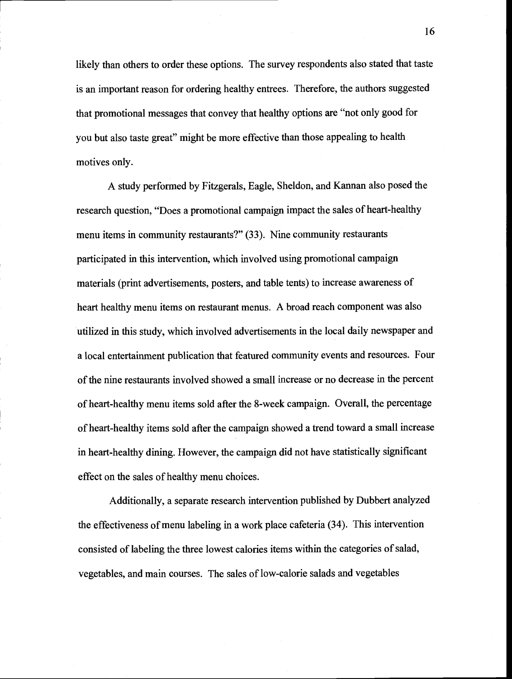likely than others to order these options. The survey respondents also stated that taste is an important reason for ordering healthy entrees. Therefore, the authors suggested that promotional messages that convey that healthy options are "not only good for you but also taste great" might be more effective than those appealing to health motives only.

A study performed by Fitzgerals, Eagle, Sheldon, and Kannan also posed the research question, "Does a promotional campaign impact the sales of heart-healthy menu items in community restaurants?" (33). Nine community restaurants participated in this intervention, which involved using promotional campaign materials (print advertisements, posters, and table tents) to increase awareness of heart healthy menu items on restaurant menus. A broad reach component was also utilized in this study, which involved advertisements in the local daily newspaper and a local entertainment publication that featured community events and resources. Four of the nine restaurants involved showed a small increase or no decrease in the percent of heart-healthy menu items sold after the 8-week campaign. Overall, the percentage of heart-healthy items sold after the campaign showed a trend toward a small increase in heart-healthy dining. However, the campaign did not have statistically significant effect on the sales of healthy menu choices.

Additionally, a separate research intervention published by Dubbert analyzed the effectiveness of menu labeling in a work place cafeteria (34). This intervention consisted of labeling the three lowest calories items within the categories of salad, vegetables, and main courses. The sales of low-calorie salads and vegetables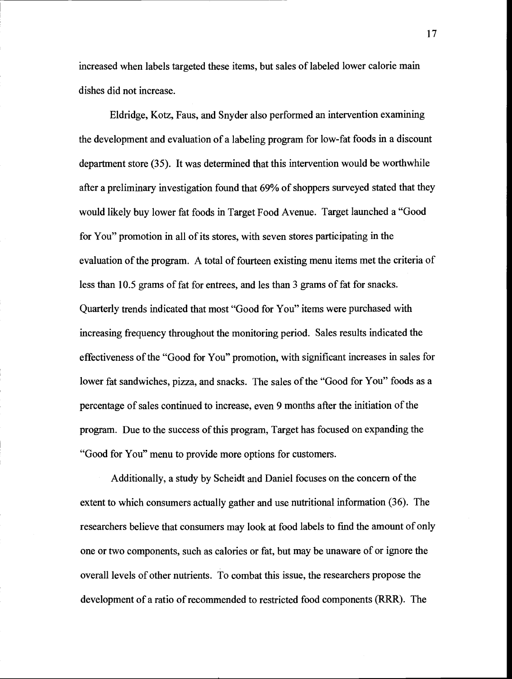increased when labels targeted these items, but sales of labeled lower calorie main dishes did not increase.

Eldridge, Kotz, Faus, and Snyder also performed an intervention examining the development and evaluation of a labeling program for low-fat foods in a discount department store (35). It was determined that this intervention would be worthwhile after a preliminary investigation found that 69% of shoppers surveyed stated that they would likely buy lower fat foods in Target Food Avenue. Target launched a "Good for You" promotion in all of its stores, with seven stores participating in the evaluation of the program. A total of fourteen existing menu items met the criteria of less than 10.5 grams of fat for entrees, and les than 3 grams of fat for snacks. Quarterly trends indicated that most "Good for You" items were purchased with increasing frequency throughout the monitoring period. Sales results indicated the effectiveness of the "Good for You" promotion, with significant increases in sales for lower fat sandwiches, pizza, and snacks. The sales of the "Good for You" foods as a percentage of sales continued to increase, even 9 months after the initiation of the program. Due to the success of this program, Target has focused on expanding the "Good for You" menu to provide more options for customers.

Additionally, a study by Scheidt and Daniel focuses on the concern of the extent to which consumers actually gather and use nutritional information (36). The researchers believe that consumers may look at food labels to fmd the amount of only one or two components, such as calories or fat, but may be unaware of or ignore the overall levels of other nutrients. To combat this issue, the researchers propose the development of a ratio of recommended to restricted food components (RRR). The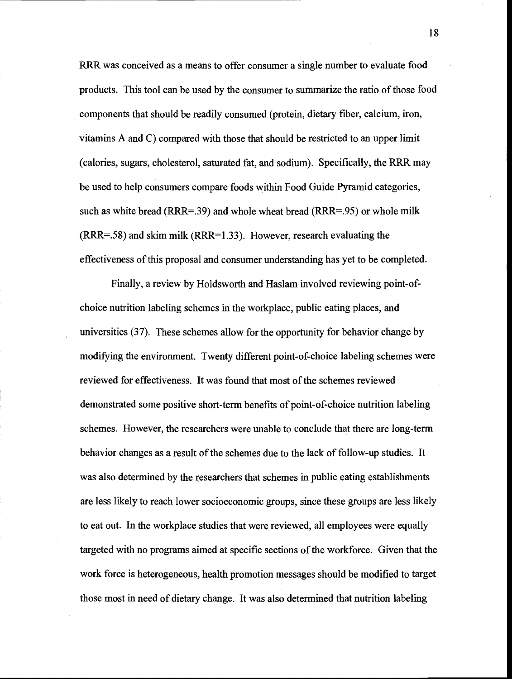RRR was conceived as a means to offer consumer a single number to evaluate food products. This tool can be used by the consumer to summarize the ratio of those food components that should be readily consumed (protein, dietary fiber, calcium, iron, vitamins A and C) compared with those that should be restricted to an upper limit (calories, sugars, cholesterol, saturated fat, and sodium). Specifically, the RRR may be used to help consumers compare foods within Food Guide Pyramid categories, such as white bread (RRR=.39) and whole wheat bread (RRR=.95) or whole milk  $(RRR=.58)$  and skim milk  $(RRR=.1.33)$ . However, research evaluating the effectiveness of this proposal and consumer understanding has yet to be completed.

Finally, a review by Holdsworth and Haslam involved reviewing point-ofchoice nutrition labeling schemes in the workplace, public eating places, and universities (37). These schemes allow for the opportunity for behavior change by modifying the environment. Twenty different point-of-choice labeling schemes were reviewed for effectiveness. It was found that most of the schemes reviewed demonstrated some positive short-term benefits of point-of-choice nutrition labeling schemes. However, the researchers were unable to conclude that there are long-term behavior changes as a result of the schemes due to the lack of follow-up studies. It was also determined by the researchers that schemes in public eating establishments are less likely to reach lower socioeconomic groups, since these groups are less likely to eat out. In the workplace studies that were reviewed, all employees were equally targeted with no programs aimed at specific sections of the workforce. Given that the work force is heterogeneous, health promotion messages should be modified to target those most in need of dietary change. It was also determined that nutrition labeling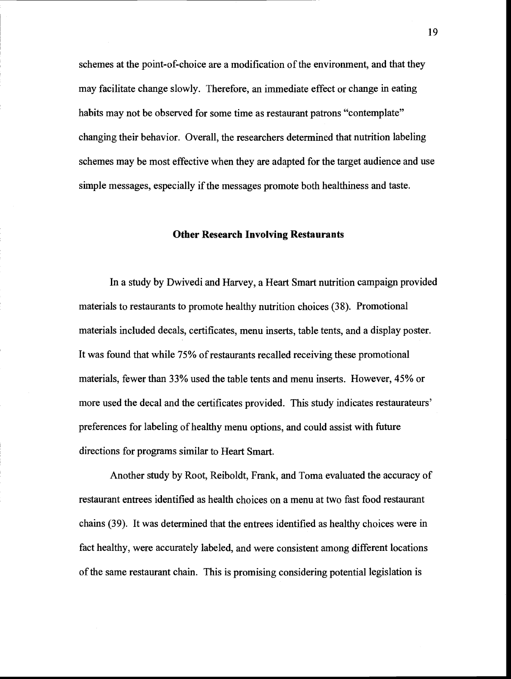schemes at the point-of-choice are a modification of the environment, and that they may facilitate change slowly. Therefore, an immediate effect or change in eating habits may not be observed for some time as restaurant patrons "contemplate" changing their behavior. Overall, the researchers determined that nutrition labeling schemes may be most effective when they are adapted for the target audience and use simple messages, especially if the messages promote both healthiness and taste.

#### Other Research Involving Restaurants

In a study by Dwivedi and Harvey, a Heart Smart nutrition campaign provided materials to restaurants to promote healthy nutrition choices (38). Promotional materials included decals, certificates, menu inserts, table tents, and a display poster. It was found that while 75% of restaurants recalled receiving these promotional materials, fewer than 33% used the table tents and menu inserts. However, 45% or more used the decal and the certificates provided. This study indicates restaurateurs' preferences for labeling of healthy menu options, and could assist with future directions for programs similar to Heart Smart.

Another study by Root, Reiboldt, Frank, and Toma evaluated the accuracy of restaurant entrees identified as health choices on a menu at two fast food restaurant chains (39). It was determined that the entrees identified as healthy choices were in fact healthy, were accurately labeled, and were consistent among different locations of the same restaurant chain. This is promising considering potential legislation is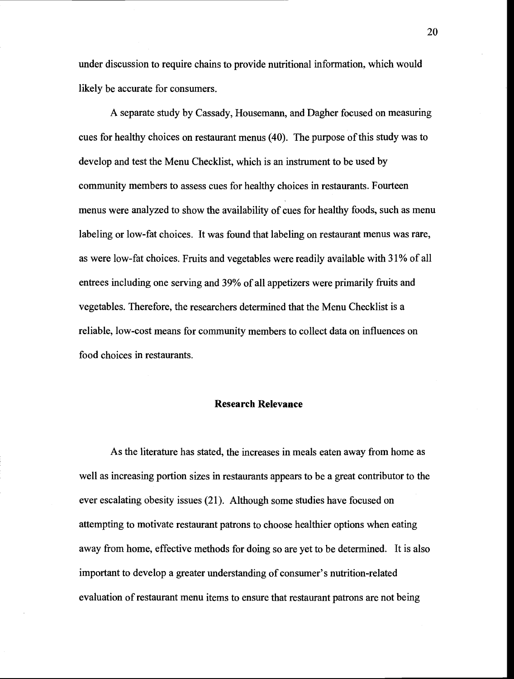under discussion to require chains to provide nutritional information, which would likely be accurate for consumers.

A separate study by Cassady, Housemann, and Dagher focused on measuring cues for healthy choices on restaurant menus (40). The purpose of this study was to develop and test the Menu Checklist, which is an instrument to be used by community members to assess cues for healthy choices in restaurants. Fourteen menus were analyzed to show the availability of cues for healthy foods, such as menu labeling or low-fat choices. It was found that labeling on restaurant menus was rare, as were low-fat choices. Fruits and vegetables were readily available with 31% of all entrees including one serving and 39% of all appetizers were primarily fruits and vegetables. Therefore, the researchers determined that the Menu Checklist is a reliable, low-cost means for community members to collect data on influences on food choices in restaurants.

#### Research Relevance

As the literature has stated, the increases in meals eaten away from home as well as increasing portion sizes in restaurants appears to be a great contributor to the ever escalating obesity issues (21). Although some studies have focused on attempting to motivate restaurant patrons to choose healthier options when eating away from home, effective methods for doing so are yet to be determined. It is also important to develop a greater understanding of consumer's nutrition-related evaluation of restaurant menu items to ensure that restaurant patrons are not being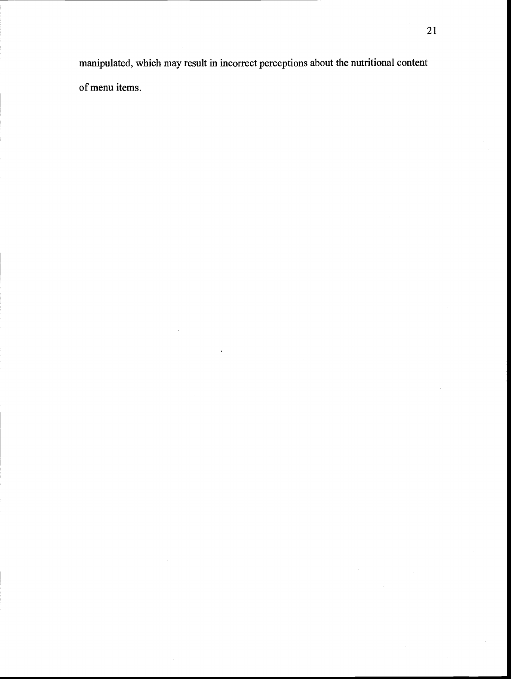manipulated, which may result in incorrect perceptions about the nutritional content of menu items.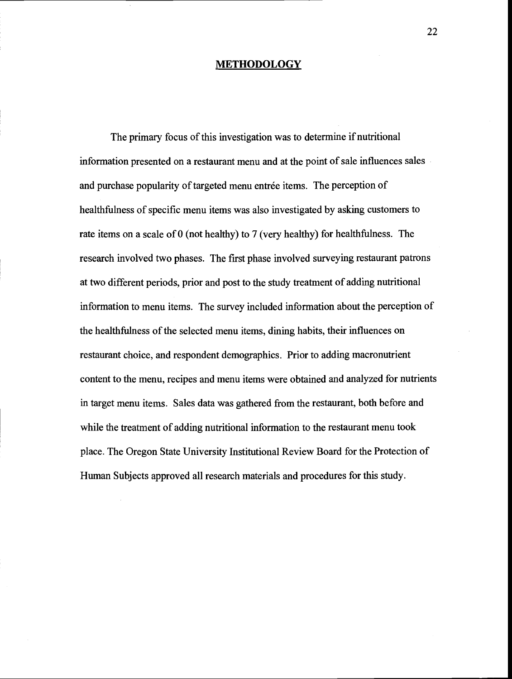#### **METHODOLOGY**

The primary focus of this investigation was to determine if nutritional information presented on a restaurant menu and at the point of sale influences sales and purchase popularity of targeted menu entrée items. The perception of healthfulness of specific menu items was also investigated by asking customers to rate items on a scale of 0 (not healthy) to 7 (very healthy) for healthfulness. The research involved two phases. The first phase involved surveying restaurant patrons at two different periods, prior and post to the study treatment of adding nutritional information to menu items. The survey included information about the perception of the healthfulness of the selected menu items, dining habits, their influences on restaurant choice, and respondent demographics. Prior to adding macronutrient content to the menu, recipes and menu items were obtained and analyzed for nutrients in target menu items. Sales data was gathered from the restaurant, both before and while the treatment of adding nutritional information to the restaurant menu took place. The Oregon State University Institutional Review Board for the Protection of Human Subjects approved all research materials and procedures for this study.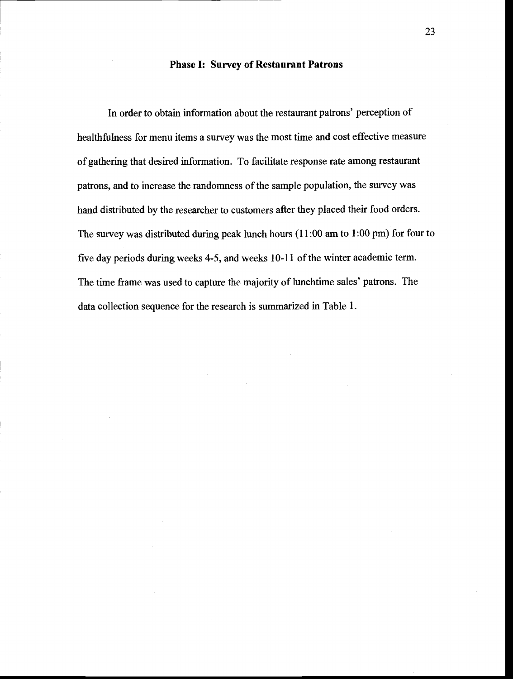#### Phase I: Survey of Restaurant Patrons

In order to obtain information about the restaurant patrons' perception of healthfulness for menu items a survey was the most time and cost effective measure of gathering that desired information. To facilitate response rate among restaurant patrons, and to increase the randomness of the sample population, the survey was hand distributed by the researcher to customers after they placed their food orders. The survey was distributed during peak lunch hours (11:00 am to 1:00 pm) for four to five day periods during weeks 4-5, and weeks 10-11 of the winter academic term. The time frame was used to capture the majority of lunchtime sales' patrons. The data collection sequence for the research is summarized in Table 1.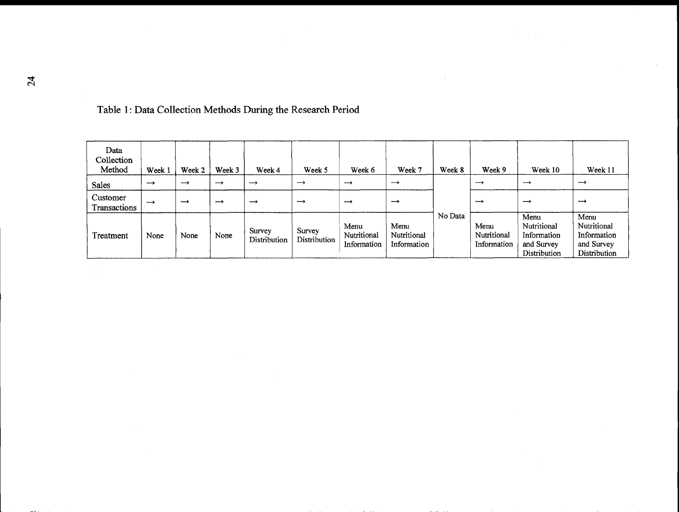| Data<br>Collection<br>Method    | Week 1        | Week 2        | Week 3        | Week 4                 | Week 5                 | Week 6                             | Week 7                             | Week 8  | Week 9                             | Week 10                                                          | Week 11                                                          |
|---------------------------------|---------------|---------------|---------------|------------------------|------------------------|------------------------------------|------------------------------------|---------|------------------------------------|------------------------------------------------------------------|------------------------------------------------------------------|
| Sales                           | $\rightarrow$ | $\rightarrow$ | $\rightarrow$ | $\rightarrow$          | $\rightarrow$          | $\rightarrow$                      | $\rightarrow$                      |         | $\rightarrow$                      | $\rightarrow$                                                    | $\rightarrow$                                                    |
| Customer<br><b>Transactions</b> | $\rightarrow$ | $\rightarrow$ | $\rightarrow$ | →                      | $\rightarrow$          | $\rightarrow$                      | $\rightarrow$                      |         | $\rightarrow$                      | $\rightarrow$                                                    | $\rightarrow$                                                    |
| Treatment                       | None          | None          | None          | Survey<br>Distribution | Survey<br>Distribution | Menu<br>Nutritional<br>Information | Menu<br>Nutritional<br>Information | No Data | Menu<br>Nutritional<br>Information | Menu<br>Nutritional<br>Information<br>and Survey<br>Distribution | Menu<br>Nutritional<br>Information<br>and Survey<br>Distribution |

# Table 1: Data Collection Methods During the Research Period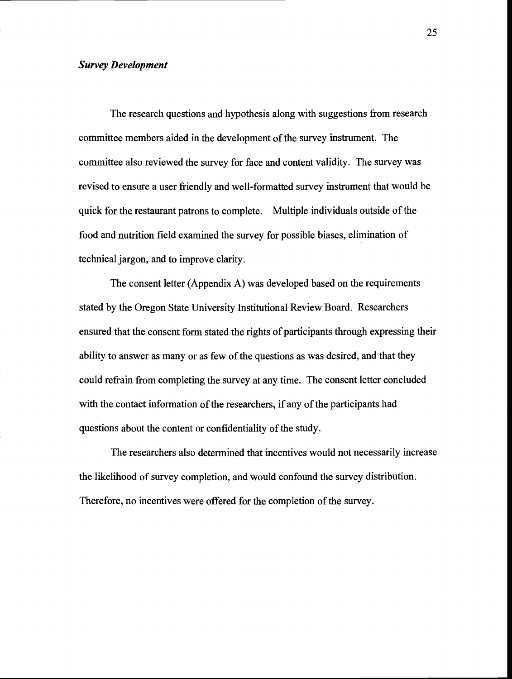#### Survey Development

The research questions and hypothesis along with suggestions from research committee members aided in the development of the survey instrument. The committee also reviewed the survey for face and content validity. The survey was revised to ensure a user friendly and well-formatted survey instrument that would be quick for the restaurant patrons to complete. Multiple individuals outside of the food and nutrition field examined the survey for possible biases, elimination of technical jargon, and to improve clarity.

The consent letter (Appendix A) was developed based on the requirements stated by the Oregon State University Institutional Review Board. Researchers ensured that the consent form stated the rights of participants through expressing their ability to answer as many or as few of the questions as was desired, and that they could refrain from completing the survey at any time. The consent letter concluded with the contact information of the researchers, if any of the participants had questions about the content or confidentiality of the study.

The researchers also determined that incentives would not necessarily increase the likelihood of survey completion, and would confound the survey distribution. Therefore, no incentives were offered for the completion of the survey.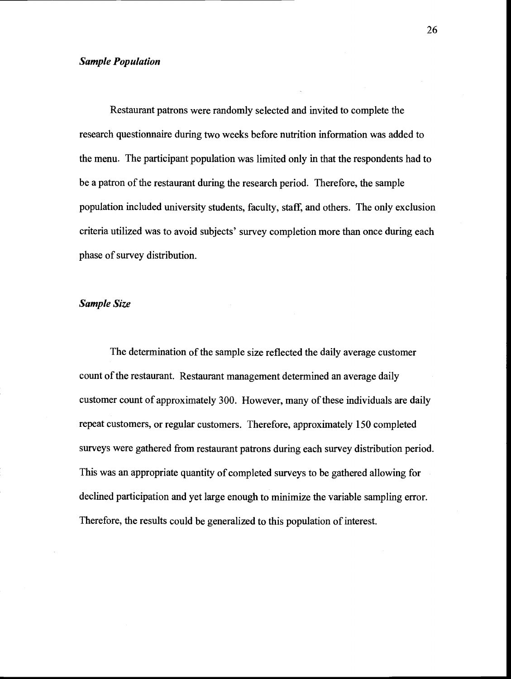### Sample Population

Restaurant patrons were randomly selected and invited to complete the research questionnaire during two weeks before nutrition information was added to the menu. The participant population was limited only in that the respondents had to be a patron of the restaurant during the research period. Therefore, the sample population included university students, faculty, staff, and others. The only exclusion criteria utilized was to avoid subjects' survey completion more than once during each phase of survey distribution.

#### Sample Size

The determination of the sample size reflected the daily average customer count of the restaurant. Restaurant management determined an average daily customer count of approximately 300. However, many of these individuals are daily repeat customers, or regular customers. Therefore, approximately 150 completed surveys were gathered from restaurant patrons during each survey distribution period. This was an appropriate quantity of completed surveys to be gathered allowing for declined participation and yet large enough to minimize the variable sampling error. Therefore, the results could be generalized to this population of interest.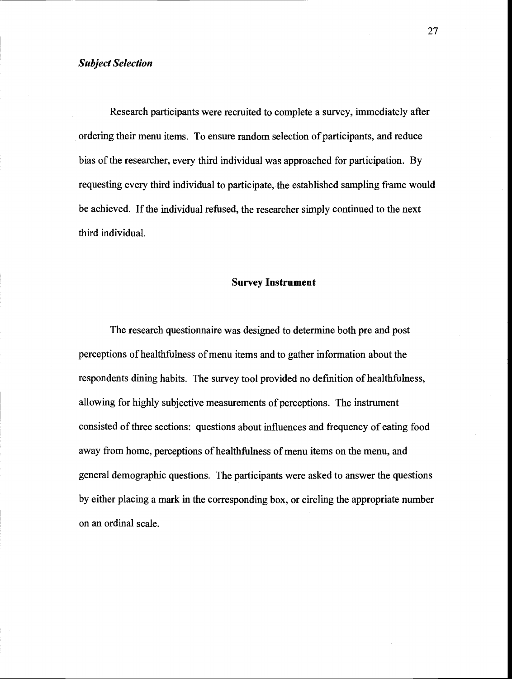Research participants were recruited to complete a survey, immediately after ordering their menu items. To ensure random selection of participants, and reduce bias of the researcher, every third individual was approached for participation. By requesting every third individual to participate, the established sampling frame would be achieved. If the individual refused, the researcher simply continued to the next third individual.

## Survey Instrument

The research questionnaire was designed to determine both pre and post perceptions of healthfulness of menu items and to gather information about the respondents dining habits. The survey tool provided no defmition of healthfulness, allowing for highly subjective measurements of perceptions. The instrument consisted of three sections: questions about influences and frequency of eating food away from home, perceptions of healthfulness of menu items on the menu, and general demographic questions. The participants were asked to answer the questions by either placing a mark in the corresponding box, or circling the appropriate number on an ordinal scale.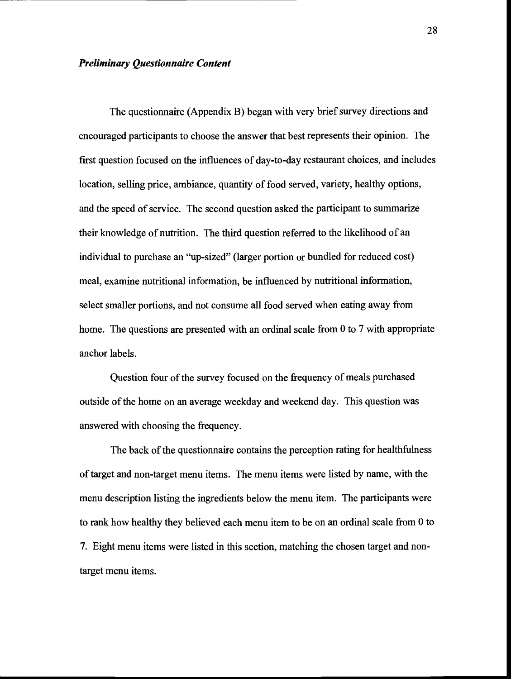#### Preliminary Questionnaire Content

The questionnaire (Appendix B) began with very brief survey directions and encouraged participants to choose the answer that best represents their opinion. The first question focused on the influences of day-to-day restaurant choices, and includes location, selling price, ambiance, quantity of food served, variety, healthy options, and the speed of service. The second question asked the participant to summarize their knowledge of nutrition. The third question referred to the likelihood of an individual to purchase an "up-sized" (larger portion or bundled for reduced cost) meal, examine nutritional information, be influenced by nutritional information, select smaller portions, and not consume all food served when eating away from home. The questions are presented with an ordinal scale from 0 to 7 with appropriate anchor labels.

Question four of the survey focused on the frequency of meals purchased outside of the home on an average weekday and weekend day. This question was answered with choosing the frequency.

The back of the questionnaire contains the perception rating for healthfulness of target and non-target menu items. The menu items were listed by name, with the menu description listing the ingredients below the menu item. The participants were to rank how healthy they believed each menu item to be on an ordinal scale from 0 to 7. Eight menu items were listed in this section, matching the chosen target and nontarget menu items.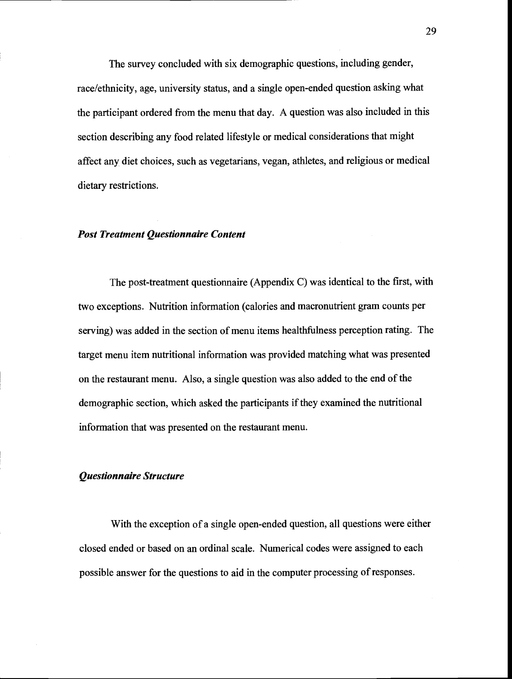The survey concluded with six demographic questions, including gender, race/ethnicity, age, university status, and a single open-ended question asking what the participant ordered from the menu that day. A question was also included in this section describing any food related lifestyle or medical considerations that might affect any diet choices, such as vegetarians, vegan, athletes, and religious or medical dietary restrictions.

#### Post Treatment Questionnaire Content

The post-treatment questionnaire (Appendix C) was identical to the first, with two exceptions. Nutrition information (calories and macronutrient gram counts per serving) was added in the section of menu items healthfulness perception rating. The target menu item nutritional information was provided matching what was presented on the restaurant menu. Also, a single question was also added to the end of the demographic section, which asked the participants if they examined the nutritional information that was presented on the restaurant menu.

## Questionnaire Structure

With the exception of a single open-ended question, all questions were either closed ended or based on an ordinal scale. Numerical codes were assigned to each possible answer for the questions to aid in the computer processing of responses.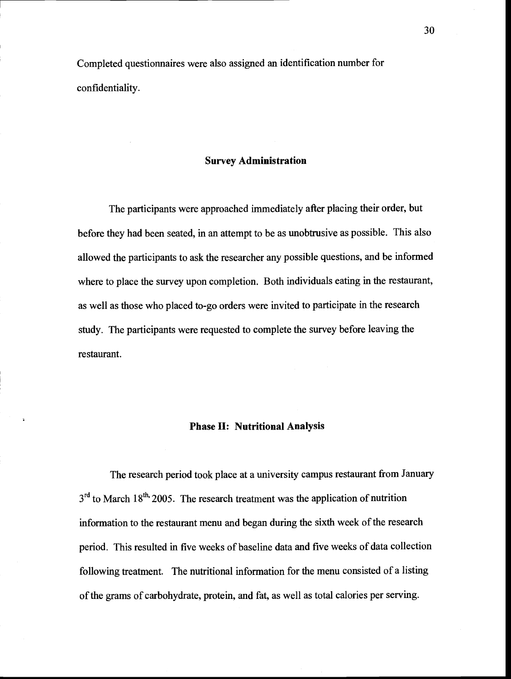Completed questionnaires were also assigned an identification number for confidentiality.

## Survey Administration

The participants were approached immediately after placing their order, but before they had been seated, in an attempt to be as unobtrusive as possible. This also allowed the participants to ask the researcher any possible questions, and be informed where to place the survey upon completion. Both individuals eating in the restaurant, as well as those who placed to-go orders were invited to participate in the research study. The participants were requested to complete the survey before leaving the restaurant.

## Phase II: Nutritional Analysis

The research period took place at a university campus restaurant from January  $3<sup>rd</sup>$  to March 18<sup>th,</sup> 2005. The research treatment was the application of nutrition information to the restaurant menu and began during the sixth week of the research period. This resulted in five weeks of baseline data and five weeks of data collection following treatment. The nutritional information for the menu consisted of a listing of the grams of carbohydrate, protein, and fat, as well as total calories per serving.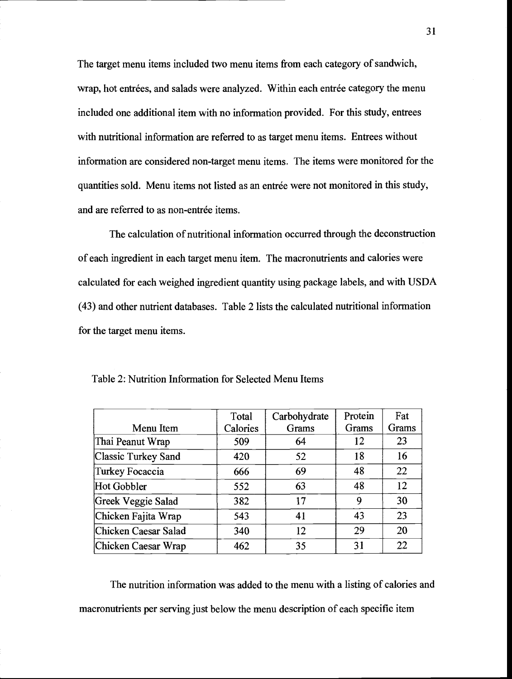The target menu items included two menu items from each category of sandwich, wrap, hot entrées, and salads were analyzed. Within each entrée category the menu included one additional item with no information provided. For this study, entrees with nutritional information are referred to as target menu items. Entrees without information are considered non-target menu items. The items were monitored for the quantities sold. Menu items not listed as an entrée were not monitored in this study, and are referred to as non-entrée items.

The calculation of nutritional information occurred through the deconstruction of each ingredient in each target menu item. The macronutrients and calories were calculated for each weighed ingredient quantity using package labels, and with USDA (43) and other nutrient databases. Table 2 lists the calculated nutritional information for the target menu items.

|                      | Total    | Carbohydrate | Protein | Fat   |
|----------------------|----------|--------------|---------|-------|
| Menu Item            | Calories | Grams        | Grams   | Grams |
| Thai Peanut Wrap     | 509      | 64           | 12      | 23    |
| Classic Turkey Sand  | 420      | 52           | 18      | 16    |
| Turkey Focaccia      | 666      | 69           | 48      | 22    |
| Hot Gobbler          | 552      | 63           | 48      | 12    |
| Greek Veggie Salad   | 382      | 17           | 9       | 30    |
| Chicken Fajita Wrap  | 543      | 41           | 43      | 23    |
| Chicken Caesar Salad | 340      | 12           | 29      | 20    |
| Chicken Caesar Wrap  | 462      | 35           | 31      | 22    |

Table 2: Nutrition Information for Selected Menu Items

The nutrition information was added to the menu with a listing of calories and macronutrients per serving just below the menu description of each specific item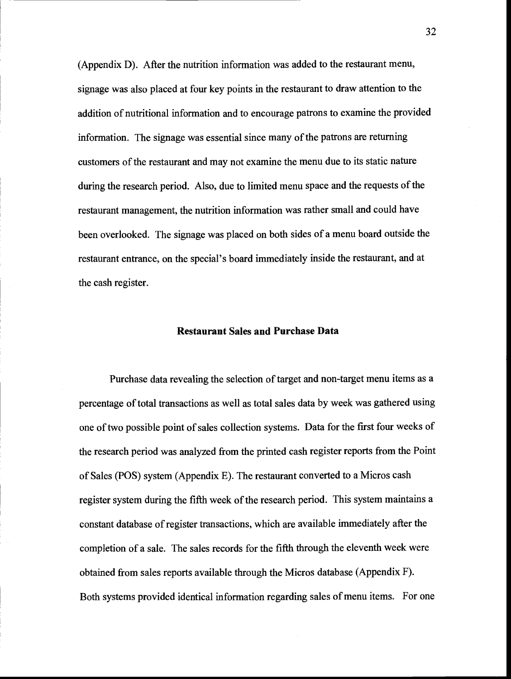(Appendix D). After the nutrition information was added to the restaurant menu, signage was also placed at four key points in the restaurant to draw attention to the addition of nutritional information and to encourage patrons to examine the provided information. The signage was essential since many of the patrons are returning customers of the restaurant and may not examine the menu due to its static nature during the research period. Also, due to limited menu space and the requests of the restaurant management, the nutrition information was rather small and could have been overlooked. The signage was placed on both sides of a menu board outside the restaurant entrance, on the special's board immediately inside the restaurant, and at the cash register.

## Restaurant Sales and Purchase Data

Purchase data revealing the selection of target and non-target menu items as a percentage of total transactions as well as total sales data by week was gathered using one of two possible point of sales collection systems. Data for the first four weeks of the research period was analyzed from the printed cash register reports from the Point of Sales (POS) system (Appendix E). The restaurant converted to a Micros cash register system during the fifth week of the research period. This system maintains a constant database of register transactions, which are available immediately after the completion of a sale. The sales records for the fifth through the eleventh week were obtained from sales reports available through the Micros database (Appendix F). Both systems provided identical information regarding sales of menu items. For one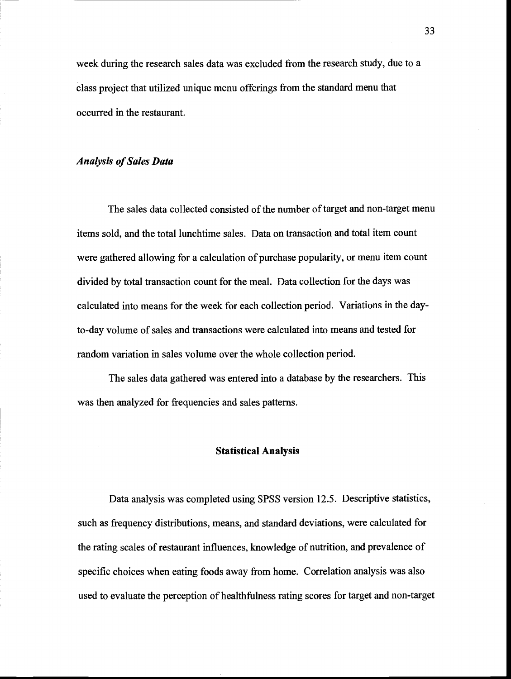week during the research sales data was excluded from the research study, due to a class project that utilized unique menu offerings from the standard menu that occurred in the restaurant.

## Analysis of Sales Data

The sales data collected consisted of the number of target and non-target menu items sold, and the total lunchtime sales. Data on transaction and total item count were gathered allowing for a calculation of purchase popularity, or menu item count divided by total transaction count for the meal. Data collection for the days was calculated into means for the week for each collection period. Variations in the dayto-day volume of sales and transactions were calculated into means and tested for random variation in sales volume over the whole collection period.

The sales data gathered was entered into a database by the researchers. This was then analyzed for frequencies and sales patterns.

#### Statistical Analysis

Data analysis was completed using SPSS version 12.5. Descriptive statistics, such as frequency distributions, means, and standard deviations, were calculated for the rating scales of restaurant influences, knowledge of nutrition, and prevalence of specific choices when eating foods away from home. Correlation analysis was also used to evaluate the perception of healthfulness rating scores for target and non-target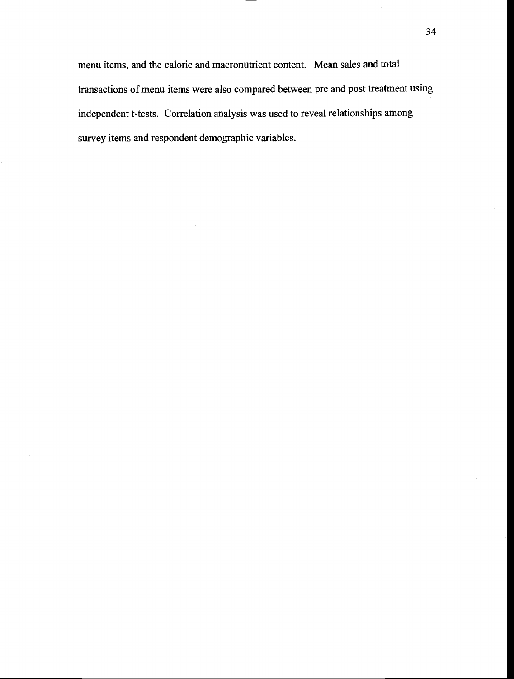menu items, and the calorie and macronutrient content. Mean sales and total transactions of menu items were also compared between pre and post treatment using independent t-tests. Correlation analysis was used to reveal relationships among survey items and respondent demographic variables.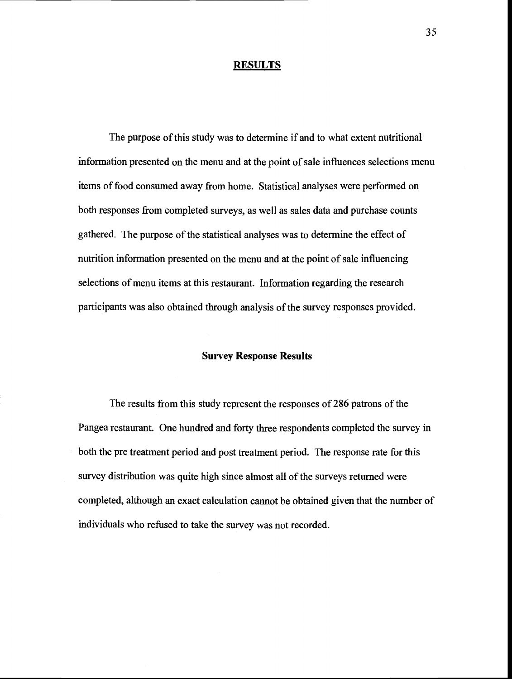#### **RESULTS**

The purpose of this study was to determine if and to what extent nutritional information presented on the menu and at the point of sale influences selections menu items of food consumed away from home. Statistical analyses were performed on both responses from completed surveys, as well as sales data and purchase counts gathered. The purpose of the statistical analyses was to determine the effect of nutrition information presented on the menu and at the point of sale influencing selections of menu items at this restaurant. Information regarding the research participants was also obtained through analysis of the survey responses provided.

#### Survey Response Results

The results from this study represent the responses of 286 patrons of the Pangea restaurant. One hundred and forty three respondents completed the survey in both the pre treatment period and post treatment period. The response rate for this survey distribution was quite high since almost all of the surveys returned were completed, although an exact calculation cannot be obtained given that the number of individuals who refused to take the survey was not recorded.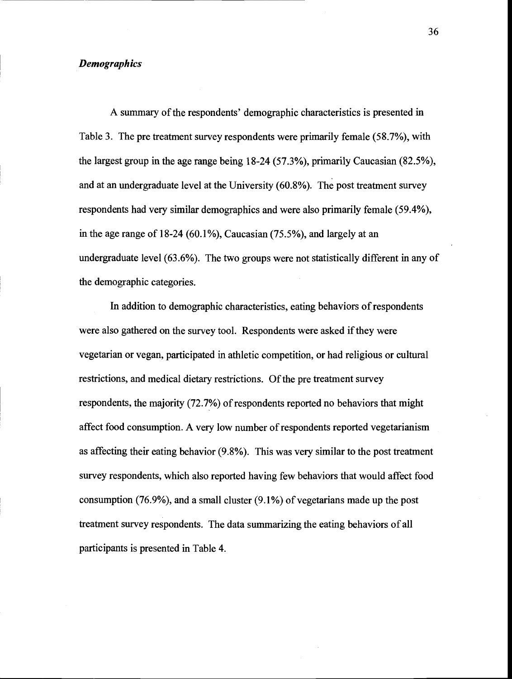## **Demographics**

A summary of the respondents' demographic characteristics is presented in Table 3. The pre treatment survey respondents were primarily female (58.7%), with the largest group in the age range being 18-24 (57.3%), primarily Caucasian (82.5%), and at an undergraduate level at the University (60.8%). The post treatment survey respondents had very similar demographics and were also primarily female (59.4%), in the age range of 18-24 (60.1%), Caucasian (75.5%), and largely at an undergraduate level (63.6%). The two groups were not statistically different in any of the demographic categories.

In addition to demographic characteristics, eating behaviors of respondents were also gathered on the survey tool. Respondents were asked if they were vegetarian or vegan, participated in athletic competition, or had religious or cultural restrictions, and medical dietary restrictions. Of the pre treatment survey respondents, the majority (72.7%) of respondents reported no behaviors that might affect food consumption. A very low number of respondents reported vegetarianism as affecting their eating behavior (9.8%). This was very similar to the post treatment survey respondents, which also reported having few behaviors that would affect food consumption (76.9%), and a small cluster (9.1%) of vegetarians made up the post treatment survey respondents. The data summarizing the eating behaviors of all participants is presented in Table 4.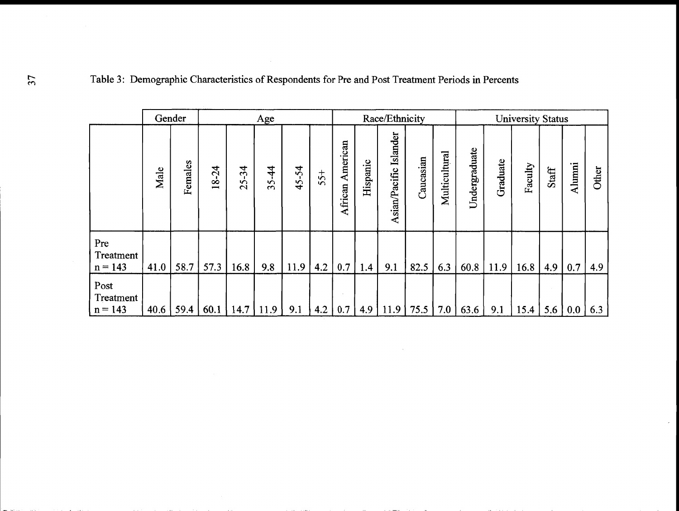| Table 3: Demographic Characteristics of Respondents for Pre and Post Treatment Periods in Percents |      |         |       |                                 |       |       |       |                     |                |                        |           |               |                                              |          |                  |       |               |       |
|----------------------------------------------------------------------------------------------------|------|---------|-------|---------------------------------|-------|-------|-------|---------------------|----------------|------------------------|-----------|---------------|----------------------------------------------|----------|------------------|-------|---------------|-------|
|                                                                                                    |      | Gender  |       |                                 | Age   |       |       |                     | Race/Ethnicity |                        |           |               | <b>University Status</b>                     |          |                  |       |               |       |
|                                                                                                    | Male | Females | 18-24 | $25 - 34$                       | 35-44 | 45-54 | $55+$ | American<br>African | Hispanic       | Asian/Pacific Islander | Caucasian | Multicultural | Undergraduate                                | Graduate | Faculty          | Staff | <b>Alumni</b> | Other |
| Pre<br>Treatment<br>$n = 143$                                                                      | 41.0 | 58.7    | 57.3  | 16.8                            | 9.8   | 11.9  | 4.2   | 0.7                 | 1.4            | 9.1                    | 82.5      | 6.3           | 60.8                                         | 11.9     | 16.8             | 4.9   | 0.7           | 4.9   |
| Post<br>Treatment<br>$n = 143$                                                                     | 40.6 | 59.4    |       | $60.1 \mid 14.7 \mid 11.9 \mid$ |       | 9.1   |       |                     |                |                        |           |               | $4.2$   0.7   4.9   11.9   75.5   7.0   63.6 | 9.1      | 15.4   5.6   0.0 |       |               | 6.3   |

# Table 3: Demographic Characteristics of Respondents for Pre and Post Treatment Periods in Percents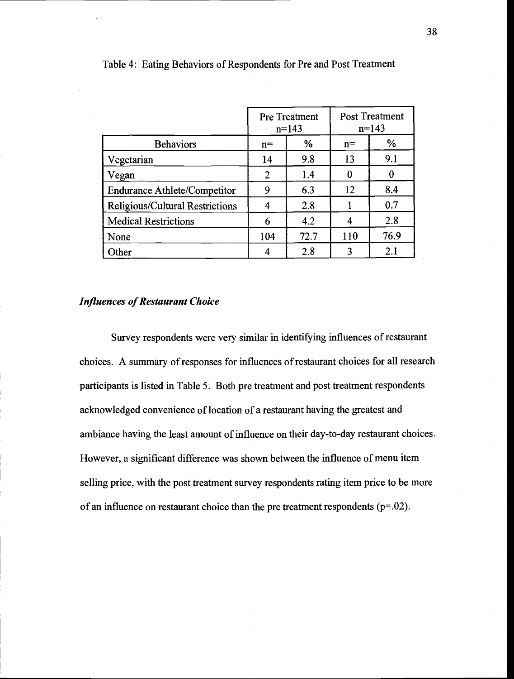|                                     | <b>Pre Treatment</b><br>$n=143$ |      | <b>Post Treatment</b><br>$n=143$ |      |  |
|-------------------------------------|---------------------------------|------|----------------------------------|------|--|
| <b>Behaviors</b>                    | $n =$                           | %    | $n=$                             | %    |  |
| Vegetarian                          | 14                              | 9.8  | 13                               | 9.1  |  |
| Vegan                               | $\overline{2}$                  | 1.4  | 0                                |      |  |
| <b>Endurance Athlete/Competitor</b> | 9                               | 6.3  | 12                               | 8.4  |  |
| Religious/Cultural Restrictions     |                                 | 2.8  |                                  | 0.7  |  |
| <b>Medical Restrictions</b>         | 6                               | 4.2  |                                  | 2.8  |  |
| None                                | 104                             | 72.7 | 110                              | 76.9 |  |
| Other                               |                                 | 2.8  | 3                                | 2.1  |  |

Table 4: Eating Behaviors of Respondents for Pre and Post Treatment

## Influences of Restaurant Choice

Survey respondents were very similar in identifying influences of restaurant choices. A summary of responses for influences of restaurant choices for all research participants is listed in Table 5. Both pre treatment and post treatment respondents acknowledged convenience of location of a restaurant having the greatest and ambiance having the least amount of influence on their day-to-day restaurant choices. However, a significant difference was shown between the influence of menu item selling price, with the post treatment survey respondents rating item price to be more of an influence on restaurant choice than the pre treatment respondents ( $p=.02$ ).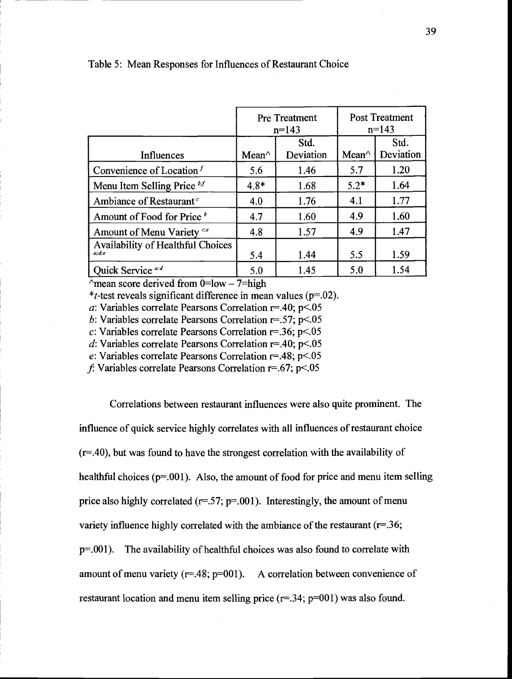|                                            | <b>Pre Treatment</b><br>$n=143$ |                   | <b>Post Treatment</b><br>$n=143$ |                   |  |
|--------------------------------------------|---------------------------------|-------------------|----------------------------------|-------------------|--|
| Influences                                 | Mean $\wedge$                   | Std.<br>Deviation | Mean $\wedge$                    | Std.<br>Deviation |  |
| Convenience of Location $f$                | 5.6                             | 1.46              | 5.7                              | 1.20              |  |
| Menu Item Selling Price $^{bf}$            | $4.8*$                          | 1.68              | $5.2*$                           | 1.64              |  |
| Ambiance of Restaurant <sup>c</sup>        | 4.0                             | 1.76              | 4.1                              | 1.77              |  |
| Amount of Food for Price <sup>b</sup>      | 4.7                             | 1.60              | 4.9                              | 1.60              |  |
| Amount of Menu Variety <sup>c;e</sup>      | 4.8                             | 1.57              | 4.9                              | 1.47              |  |
| Availability of Healthful Choices<br>a:d,e | 5.4                             | 1.44              | 5.5                              | 1.59              |  |
| Quick Service and                          | 5.0                             | 1.45              | 5.0                              | 1.54              |  |

#### Table 5: Mean Responses for Influences of Restaurant Choice

 $\gamma$ mean score derived from 0= $\text{low} - 7$ =high

\**t*-test reveals significant difference in mean values ( $p=.02$ ).

 $a$ : Variables correlate Pearsons Correlation r=.40; p<.05

 $b$ : Variables correlate Pearsons Correlation r=.57; p<.05

 $c:$  Variables correlate Pearsons Correlation r=.36; p<.05

d: Variables correlate Pearsons Correlation  $r=40$ ;  $p<.05$ 

Variables correlate Pearsons Correlation r=.48; p<.OS

 $f$ : Variables correlate Pearsons Correlation r=.67; p<.05

Correlations between restaurant influences were also quite prominent. The influence of quick service highly correlates with all influences of restaurant choice (r=.40), but was found to have the strongest correlation with the availability of healthful choices  $(p=.001)$ . Also, the amount of food for price and menu item selling price also highly correlated ( $r=.57$ ;  $p=.001$ ). Interestingly, the amount of menu variety influence highly correlated with the ambiance of the restaurant ( $r=36$ ; p=.00l). The availability of healthful choices was also found to correlate with amount of menu variety ( $r=48$ ;  $p=001$ ). A correlation between convenience of restaurant location and menu item selling price  $(r=.34; p=001)$  was also found.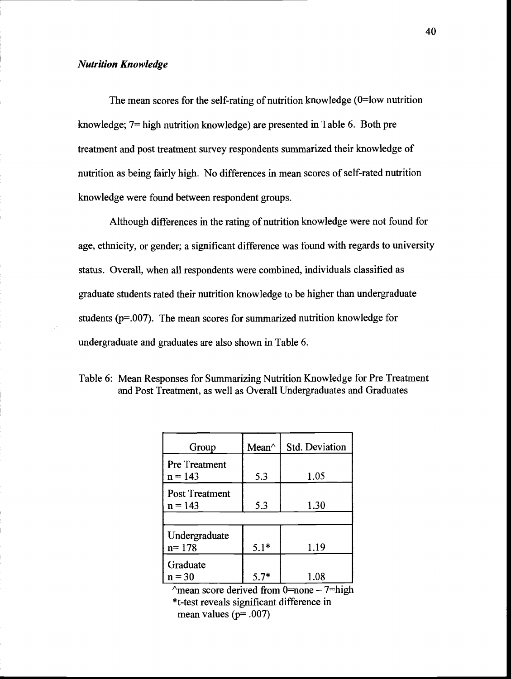## Nutrition Knowledge

The mean scores for the self-rating of nutrition knowledge  $(0=$ low nutrition knowledge; 7= high nutrition knowledge) are presented in Table 6. Both pre treatment and post treatment survey respondents summarized their knowledge of nutrition as being fairly high. No differences in mean scores of self-rated nutrition knowledge were found between respondent groups.

Although differences in the rating of nutrition knowledge were not found for age, ethnicity, or gender; a significant difference was found with regards to university status. Overall, when all respondents were combined, individuals classified as graduate students rated their nutrition knowledge to be higher than undergraduate students ( $p=.007$ ). The mean scores for summarized nutrition knowledge for undergraduate and graduates are also shown in Table 6.

| Group                              | Mean $\wedge$ | Std. Deviation |
|------------------------------------|---------------|----------------|
| Pre Treatment<br>$n = 143$         | 5.3           | 1.05           |
| <b>Post Treatment</b><br>$n = 143$ | 5.3           | 1.30           |
|                                    |               |                |
| Undergraduate<br>$n = 178$         | $5.1*$        | 1.19           |
| Graduate<br>$n = 30$               | $5.7*$        | 1.08           |

Table 6: Mean Responses for Summarizing Nutrition Knowledge for Pre Treatment and Post Treatment, as well as Overall Undergraduates and Graduates

 $\gamma$ mean score derived from 0=none - 7=high \*t-test reveals significant difference in mean values ( $p = .007$ )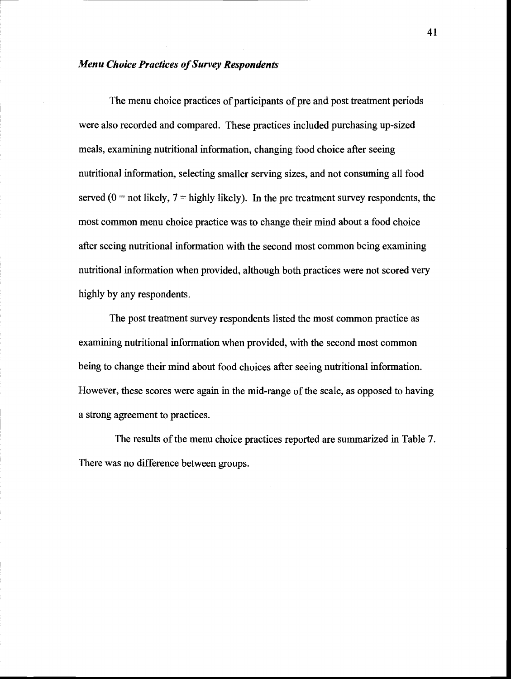## Menu Choice Practices of Survey Respondents

The menu choice practices of participants of pre and post treatment periods were also recorded and compared. These practices included purchasing up-sized meals, examining nutritional information, changing food choice after seeing nutritional information, selecting smaller serving sizes, and not consuming all food served ( $0 =$  not likely,  $7 =$  highly likely). In the pre treatment survey respondents, the most common menu choice practice was to change their mind about a food choice after seeing nutritional information with the second most common being examining nutritional information when provided, although both practices were not scored very highly by any respondents.

The post treatment survey respondents listed the most common practice as examining nutritional information when provided, with the second most common being to change their mind about food choices after seeing nutritional information. However, these scores were again in the mid-range of the scale, as opposed to having a strong agreement to practices.

The results of the menu choice practices reported are summarized in Table 7. There was no difference between groups.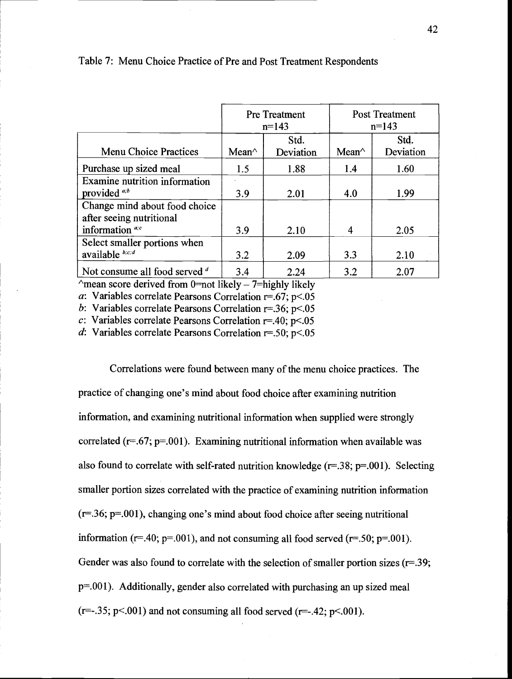|                                 | <b>Pre Treatment</b><br>$n=143$ |           | <b>Post Treatment</b><br>$n=143$ |           |  |
|---------------------------------|---------------------------------|-----------|----------------------------------|-----------|--|
|                                 |                                 | Std.      |                                  | Std.      |  |
| <b>Menu Choice Practices</b>    | Mean $\wedge$                   | Deviation | Mean $\wedge$                    | Deviation |  |
| Purchase up sized meal          | 1.5                             | 1.88      | 1.4                              | 1.60      |  |
| Examine nutrition information   |                                 |           |                                  |           |  |
| provided $a,b$                  | 3.9                             | 2.01      | 4.0                              | 1.99      |  |
| Change mind about food choice   |                                 |           |                                  |           |  |
| after seeing nutritional        |                                 |           |                                  |           |  |
| information $a,c$               | 3.9                             | 2.10      | 4                                | 2.05      |  |
| Select smaller portions when    |                                 |           |                                  |           |  |
| available bicid                 | 3.2                             | 2.09      | 3.3                              | 2.10      |  |
| Not consume all food served $d$ | 3.4                             | 2.24      | 3.2                              | 2.07      |  |

#### Table 7: Menu Choice Practice of Pre and Post Treatment Respondents

 $\land$ mean score derived from 0=not likely - 7=highly likely

a: Variables correlate Pearsons Correlation  $r=.67; p<.05$ 

b: Variables correlate Pearsons Correlation r=.36; p<.05

C: Variables correlate Pearsons Correlation r=.40; p<.O5

d: Variables correlate Pearsons Correlation  $r=.50; p<.05$ 

Correlations were found between many of the menu choice practices. The practice of changing one's mind about food choice after examining nutrition information, and examining nutritional information when supplied were strongly correlated ( $r=.67$ ;  $p=.001$ ). Examining nutritional information when available was also found to correlate with self-rated nutrition knowledge ( $r=.38$ ;  $p=.001$ ). Selecting smaller portion sizes correlated with the practice of examining nutrition information  $(r=.36; p=.001)$ , changing one's mind about food choice after seeing nutritional information ( $r=.40$ ;  $p=.001$ ), and not consuming all food served ( $r=.50$ ;  $p=.001$ ). Gender was also found to correlate with the selection of smaller portion sizes  $(r=39;$  $p=.001$ . Additionally, gender also correlated with purchasing an up sized meal  $(r=-.35; p<.001)$  and not consuming all food served  $(r=-.42; p<.001)$ .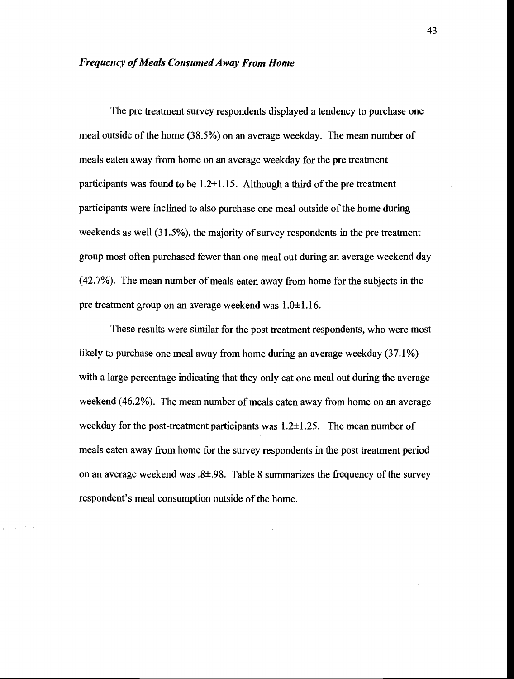#### Frequency of Meals Consumed Away From Home

The pre treatment survey respondents displayed a tendency to purchase one meal outside of the home (38.5%) on an average weekday. The mean number of meals eaten away from home on an average weekday for the pre treatment participants was found to be 1.2±1.15. Although a third of the pre treatment participants were inclined to also purchase one meal outside of the home during weekends as well (31.5%), the majority of survey respondents in the pre treatment group most often purchased fewer than one meal out during an average weekend day (42.7%). The mean number of meals eaten away from home for the subjects in the pre treatment group on an average weekend was 1.0±1.16.

These results were similar for the post treatment respondents, who were most likely to purchase one meal away from home during an average weekday (37.1%) with a large percentage indicating that they only eat one meal out during the average weekend (46.2%). The mean number of meals eaten away from home on an average weekday for the post-treatment participants was 1.2±1.25. The mean number of meals eaten away from home for the survey respondents in the post treatment period on an average weekend was .8±.98. Table 8 summarizes the frequency of the survey respondent's meal consumption outside of the home.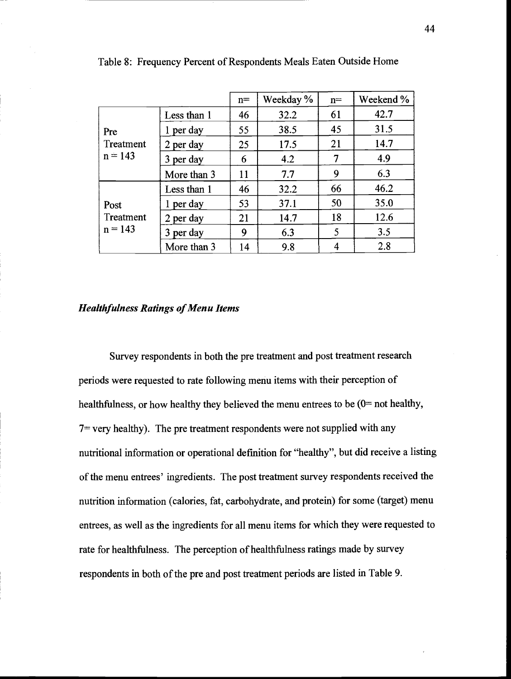|           |             | $n=$ | Weekday % | $n =$ | Weekend % |
|-----------|-------------|------|-----------|-------|-----------|
|           | Less than 1 | 46   | 32.2      | 61    | 42.7      |
| Pre       | per day     | 55   | 38.5      | 45    | 31.5      |
| Treatment | 2 per day   | 25   | 17.5      | 21    | 14.7      |
| $n = 143$ | 3 per day   | 6    | 4.2       | 7     | 4.9       |
|           | More than 3 | 11   | 7.7       | 9     | 6.3       |
|           | Less than 1 | 46   | 32.2      | 66    | 46.2      |
| Post      | per day     | 53   | 37.1      | 50    | 35.0      |
| Treatment | 2 per day   | 21   | 14.7      | 18    | 12.6      |
| $n = 143$ | 3 per day   | 9    | 6.3       | 5     | 3.5       |
|           | More than 3 | 14   | 9.8       | 4     | 2.8       |

Table 8: Frequency Percent of Respondents Meals Eaten Outside Home

## Healthfulness Ratings of Menu Items

Survey respondents in both the pre treatment and post treatment research periods were requested to rate following menu items with their perception of healthfulness, or how healthy they believed the menu entrees to be  $(0=$  not healthy,  $7 =$  very healthy). The pre treatment respondents were not supplied with any nutritional information or operational defmition for "healthy", but did receive a listing of the menu entrees' ingredients. The post treatment survey respondents received the nutrition information (calories, fat, carbohydrate, and protein) for some (target) menu entrees, as well as the ingredients for all menu items for which they were requested to rate for healthfulness. The perception of healthfulness ratings made by survey respondents in both of the pre and post treatment periods are listed in Table 9.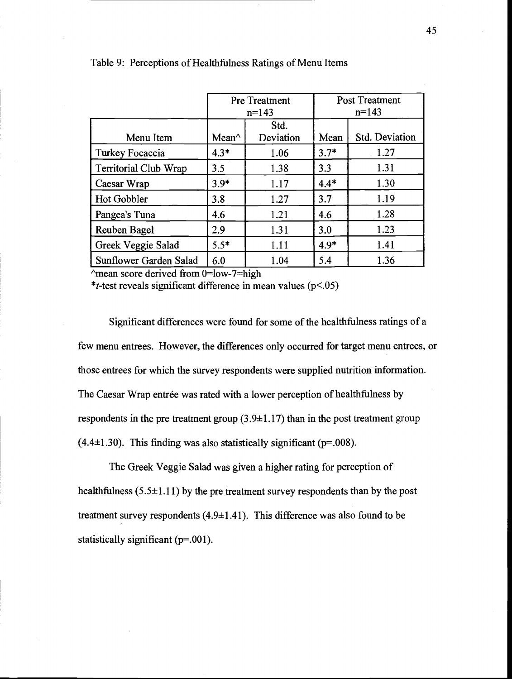|                              |               | <b>Pre Treatment</b> |         | <b>Post Treatment</b> |  |  |
|------------------------------|---------------|----------------------|---------|-----------------------|--|--|
|                              | $n=143$       |                      | $n=143$ |                       |  |  |
| Menu Item                    | Mean $\wedge$ | Std.<br>Deviation    | Mean    | <b>Std. Deviation</b> |  |  |
| Turkey Focaccia              | $4.3*$        | 1.06                 | $3.7*$  | 1.27                  |  |  |
| <b>Territorial Club Wrap</b> | 3.5           | 1.38                 | 3.3     | 1.31                  |  |  |
| Caesar Wrap                  | $3.9*$        | 1.17                 | $4.4*$  | 1.30                  |  |  |
| <b>Hot Gobbler</b>           | 3.8           | 1.27                 | 3.7     | 1.19                  |  |  |
| Pangea's Tuna                | 4.6           | 1.21                 | 4.6     | 1.28                  |  |  |
| Reuben Bagel                 | 2.9           | 1.31                 | 3.0     | 1.23                  |  |  |
| Greek Veggie Salad           | $5.5*$        | 1.11                 | $4.9*$  | 1.41                  |  |  |
| Sunflower Garden Salad       | 6.0           | 1.04                 | 5.4     | 1.36                  |  |  |

Table 9: Perceptions of Healthfulness Ratings of Menu Items

 $\gamma$ mean score derived from 0=low-7=high

\**t*-test reveals significant difference in mean values ( $p$ <.05)

Significant differences were found for some of the healthfulness ratings of a few menu entrees. However, the differences only occurred for target menu entrees, or those entrees for which the survey respondents were supplied nutrition information. The Caesar Wrap entrée was rated with a lower perception of healthfulness by respondents in the pre treatment group  $(3.9\pm1.17)$  than in the post treatment group  $(4.4\pm1.30)$ . This finding was also statistically significant (p=.008).

The Greek Veggie Salad was given a higher rating for perception of healthfulness (5.5±1.11) by the pre treatment survey respondents than by the post treatment survey respondents (4.9±1.41). This difference was also found to be statistically significant  $(p=.001)$ .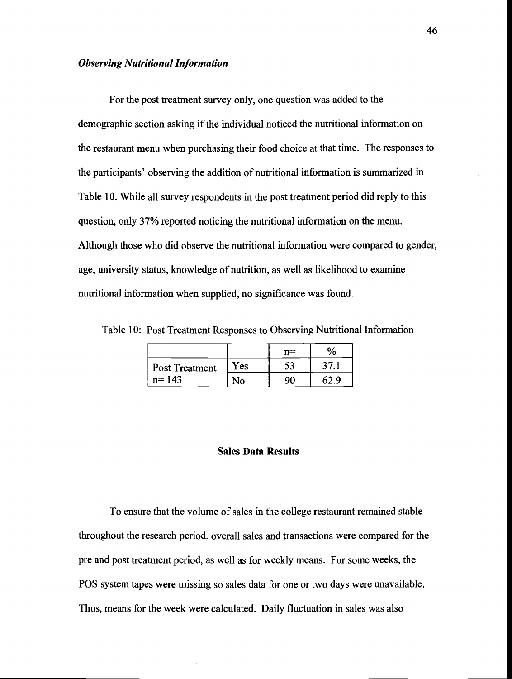#### Observing Nutritional Information

For the post treatment survey only, one question was added to the demographic section asking if the individual noticed the nutritional information on the restaurant menu when purchasing their food choice at that time. The responses to the participants' observing the addition of nutritional information is summarized in Table 10. While all survey respondents in the post treatment period did reply to this question, only 37% reported noticing the nutritional information on the menu. Although those who did observe the nutritional information were compared to gender, age, university status, knowledge of nutrition, as well as likelihood to examine nutritional information when supplied, no significance was found.

Table 10: Post Treatment Responses to Observing Nutritional Information

|                       |     | $n =$ | $\%$ |
|-----------------------|-----|-------|------|
| <b>Post Treatment</b> | Yes |       |      |
| $n = 143$             | No  | 90    | 62.9 |

#### Sales Data Results

To ensure that the volume of sales in the college restaurant remained stable throughout the research period, overall sales and transactions were compared for the pre and post treatment period, as well as for weekly means. For some weeks, the POS system tapes were missing so sales data for one or two days were unavailable. Thus, means for the week were calculated. Daily fluctuation in sales was also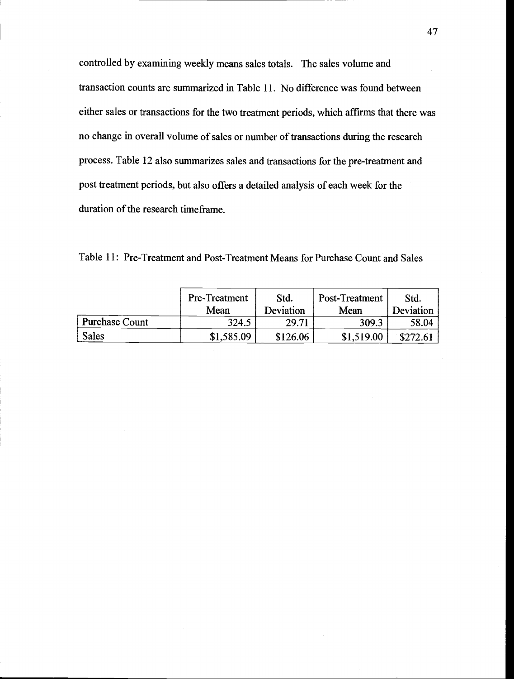controlled by examining weekly means sales totals. The sales volume and transaction counts are summarized in Table 11. No difference was found between either sales or transactions for the two treatment periods, which affirms that there was no change in overall volume of sales or number of transactions during the research process. Table 12 also summarizes sales and transactions for the pre-treatment and post treatment periods, but also offers a detailed analysis of each week for the duration of the research timeframe.

Table 11: Pre-Treatment and Post-Treatment Means for Purchase Count and Sales

|                       | Pre-Treatment | Std.      | Post-Treatment | Std.      |
|-----------------------|---------------|-----------|----------------|-----------|
|                       | Mean          | Deviation | Mean           | Deviation |
| <b>Purchase Count</b> | 324.5         | 29.71     | 309.3          | 58.04     |
| <b>Sales</b>          | \$1,585.09    | \$126.06  | \$1,519.00     | \$272.61  |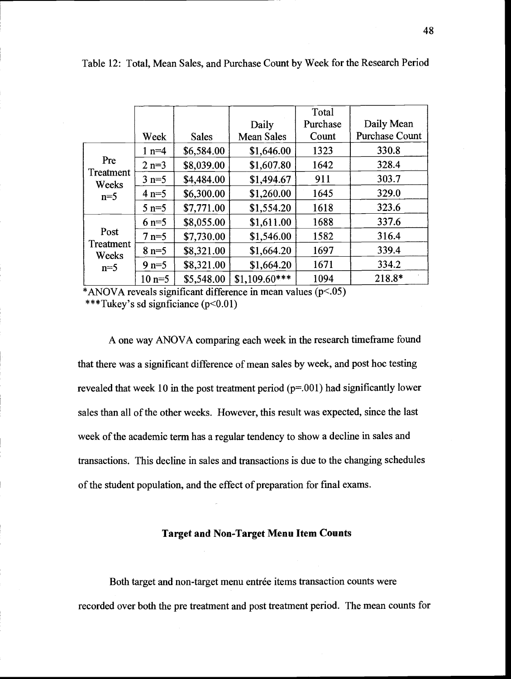|                    |          |              |                   | Total    |                       |
|--------------------|----------|--------------|-------------------|----------|-----------------------|
|                    |          |              | Daily             | Purchase | Daily Mean            |
|                    | Week     | <b>Sales</b> | <b>Mean Sales</b> | Count    | <b>Purchase Count</b> |
|                    | $1 n=4$  | \$6,584.00   | \$1,646.00        | 1323     | 330.8                 |
| Pre                | $2 n=3$  | \$8,039.00   | \$1,607.80        | 1642     | 328.4                 |
| Treatment<br>Weeks | $3 n=5$  | \$4,484.00   | \$1,494.67        | 911      | 303.7                 |
| $n=5$              | $4 n=5$  | \$6,300.00   | \$1,260.00        | 1645     | 329.0                 |
|                    | $5 n=5$  | \$7,771.00   | \$1,554.20        | 1618     | 323.6                 |
|                    | $6 n=5$  | \$8,055.00   | \$1,611.00        | 1688     | 337.6                 |
| Post               | $7 n=5$  | \$7,730.00   | \$1,546.00        | 1582     | 316.4                 |
| Treatment<br>Weeks | $8 n=5$  | \$8,321.00   | \$1,664.20        | 1697     | 339.4                 |
| $n=5$              | $9 n=5$  | \$8,321.00   | \$1,664.20        | 1671     | 334.2                 |
|                    | $10 n=5$ | \$5,548.00   | $$1,109.60***$    | 1094     | 218.8*                |

Table 12: Total, Mean Sales, and Purchase Count by Week for the Research Period

\*ANOVA reveals significant difference in mean values (p<.05) \*\*\*Tukey's sd signficiance  $(p<0.01)$ 

A one way ANOVA comparing each week in the research timeframe found that there was a significant difference of mean sales by week, and post hoc testing revealed that week 10 in the post treatment period  $(p=.001)$  had significantly lower sales than all of the other weeks. However, this result was expected, since the last week of the academic term has a regular tendency to show a decline in sales and transactions. This decline in sales and transactions is due to the changing schedules of the student population, and the effect of preparation for final exams.

## Target and Non-Target Menu Item Counts

Both target and non-target menu entrée items transaction counts were recorded over both the pre treatment and post treatment period. The mean counts for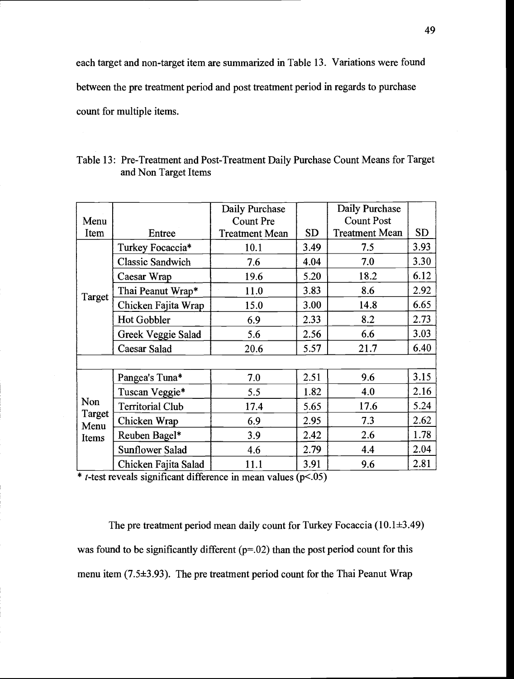each target and non-target item are summarized in Table 13. Variations were found between the pre treatment period and post treatment period in regards to purchase count for multiple items.

|                |                         | Daily Purchase        |           | Daily Purchase        |           |
|----------------|-------------------------|-----------------------|-----------|-----------------------|-----------|
| Menu           |                         | <b>Count Pre</b>      |           | <b>Count Post</b>     |           |
| Item           | Entree                  | <b>Treatment Mean</b> | <b>SD</b> | <b>Treatment Mean</b> | <b>SD</b> |
|                | Turkey Focaccia*        | 10.1                  | 3.49      | 7.5                   | 3.93      |
|                | Classic Sandwich        | 7.6                   | 4.04      | 7.0                   | 3.30      |
|                | Caesar Wrap             | 19.6                  | 5.20      | 18.2                  | 6.12      |
| Target         | Thai Peanut Wrap*       | 11.0                  | 3.83      | 8.6                   | 2.92      |
|                | Chicken Fajita Wrap     | 15.0                  | 3.00      | 14.8                  | 6.65      |
|                | Hot Gobbler             | 6.9                   | 2.33      | 8.2                   | 2.73      |
|                | Greek Veggie Salad      | 5.6                   | 2.56      | 6.6                   | 3.03      |
|                | Caesar Salad            | 20.6                  | 5.57      | 21.7                  | 6.40      |
|                |                         |                       |           |                       |           |
|                | Pangea's Tuna*          | 7.0                   | 2.51      | 9.6                   | 3.15      |
|                | Tuscan Veggie*          | 5.5                   | 1.82      | 4.0                   | 2.16      |
| Non            | <b>Territorial Club</b> | 17.4                  | 5.65      | 17.6                  | 5.24      |
| Target<br>Menu | Chicken Wrap            | 6.9                   | 2.95      | 7.3                   | 2.62      |
| Items          | Reuben Bagel*           | 3.9                   | 2.42      | 2.6                   | 1.78      |
|                | <b>Sunflower Salad</b>  | 4.6                   | 2.79      | 4.4                   | 2.04      |
|                | Chicken Fajita Salad    | 11.1                  | 3.91      | 9.6                   | 2.81      |

# Table 13: Pre-Treatment and Post-Treatment Daily Purchase Count Means for Target and Non Target Items

 $*$  t-test reveals significant difference in mean values ( $p$ <.05)

The pre treatment period mean daily count for Turkey Focaccia (10.1±3.49) was found to be significantly different  $(p=.02)$  than the post period count for this menu item (7.5±3.93). The pre treatment period count for the Thai Peanut Wrap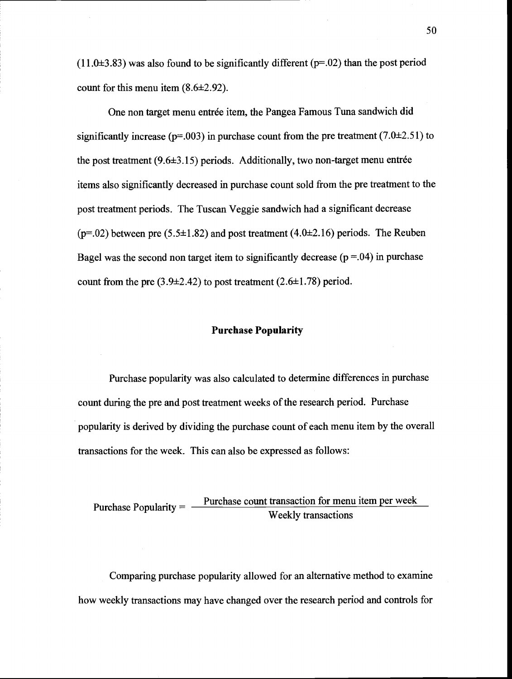$(11.0\pm3.83)$  was also found to be significantly different ( $p=.02$ ) than the post period count for this menu item  $(8.6\pm2.92)$ .

One non target menu entrée item, the Pangea Famous Tuna sandwich did significantly increase ( $p=0.003$ ) in purchase count from the pre treatment (7.0±2.51) to the post treatment (9.6±3.15) periods. Additionally, two non-target menu entrée items also significantly decreased in purchase count sold from the pre treatment to the post treatment periods. The Tuscan Veggie sandwich had a significant decrease  $(p=.02)$  between pre (5.5±1.82) and post treatment (4.0±2.16) periods. The Reuben Bagel was the second non target item to significantly decrease ( $p = 0.04$ ) in purchase count from the pre  $(3.9\pm 2.42)$  to post treatment  $(2.6\pm 1.78)$  period.

## Purchase Popularity

Purchase popularity was also calculated to determine differences in purchase count during the pre and post treatment weeks of the research period. Purchase popularity is derived by dividing the purchase count of each menu item by the overall transactions for the week. This can also be expressed as follows:

Purchase Popularity  $=$   $\frac{P$ urchase count transaction for menu item per week Weekly transactions

Comparing purchase popularity allowed for an alternative method to examine how weekly transactions may have changed over the research period and controls for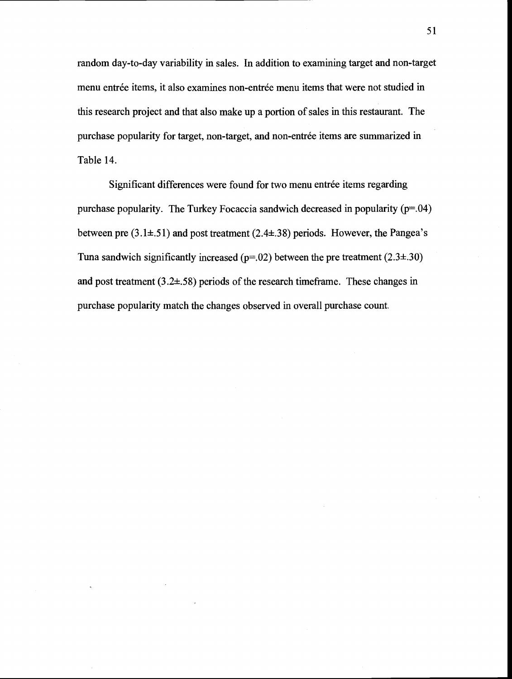random day-to-day variability in sales. In addition to examining target and non-target menu entrée items, it also examines non-entrée menu items that were not studied in this research project and that also make up a portion of sales in this restaurant. The purchase popularity for target, non-target, and non-entrée items are summarized in Table 14.

Significant differences were found for two menu entrée items regarding purchase popularity. The Turkey Focaccia sandwich decreased in popularity  $(p=04)$ between pre (3.1±.51) and post treatment (2.4±.38) periods. However, the Pangea's Tuna sandwich significantly increased ( $p=.02$ ) between the pre treatment (2.3 $\pm$ .30) and post treatment (3.2±. 58) periods of the research timeframe. These changes in purchase popularity match the changes observed in overall purchase count.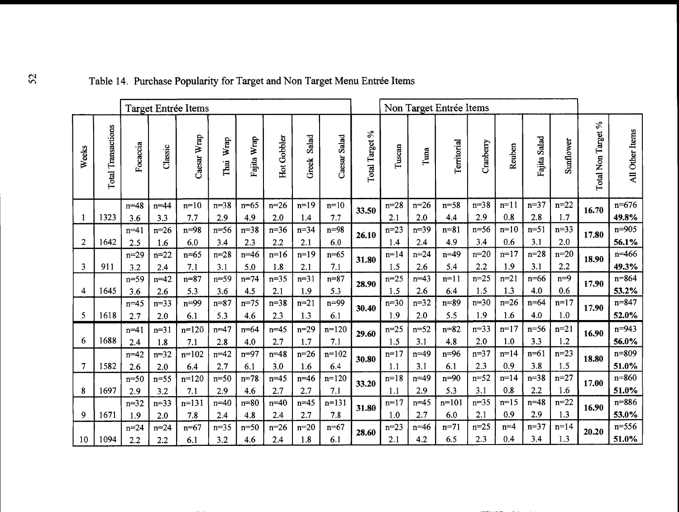|       | Table 14. Purchase Popularity for Target and Non Target Menu Entrée Items |                 |                 |                  |                 |                 |                 |                 |                 |                |                 |                         |                 |                 |                 |                 |               |                          |                    |
|-------|---------------------------------------------------------------------------|-----------------|-----------------|------------------|-----------------|-----------------|-----------------|-----------------|-----------------|----------------|-----------------|-------------------------|-----------------|-----------------|-----------------|-----------------|---------------|--------------------------|--------------------|
|       | Target Entrée Items                                                       |                 |                 |                  |                 |                 |                 |                 |                 |                |                 | Non Target Entrée Items |                 |                 |                 |                 |               |                          |                    |
| Weeks | <b>Total Transactions</b>                                                 | Focaccia        | Classic         | Caesar Wrap      | Wrap<br>Thai    | Fajita Wrap     | Hot Gobbler     | Salad<br>Greek  | Caesar Salad    | Total Target % | Tuscan          | Tuna                    | Territorial     | Cranberry       | Reuben          | Fajita Salad    | Sunflower     | $\%$<br>Total Non Target | All Other Items    |
|       |                                                                           | $n=48$          | $n = 44$        | $n=10$           | $n = 38$        | $n=65$          | $n=26$          | $n=19$          | $n=10$          | 33.50          | $n=28$          | $n = 26$                | $n = 58$        | $n = 38$        | $n=11$          | $n = 37$        | $n = 22$      | 16.70                    | $n=676$            |
| 1     | 1323                                                                      | 3.6             | 3.3             | 7.7              | 2.9             | 4.9             | 2.0             | 1.4             | 7.7             |                | 2.1             | 2.0                     | 4.4             | 2.9             | 0.8             | 2.8             | 1.7           |                          | 49.8%              |
|       |                                                                           | $n = 41$        | $n=26$          | $n=98$           | $n = 56$        | $n = 38$        | $n = 36$        | $n = 34$        | $n=98$          | 26.10          | $n = 23$        | $n = 39$                | $n = 81$        | $n=56$          | $n=10$          | $n=51$          | $n = 33$      | 17.80                    | $n = 905$          |
| 2     | 1642                                                                      | 2.5             | 1.6             | 6.0              | 3.4             | 2.3             | 2.2             | 2.1             | 6.0             |                | 1.4             | 2.4                     | 4.9             | 3.4             | 0.6             | 3.1             | 2.0           |                          | 56.1%              |
|       |                                                                           | $n = 29$        | $n=22$          | $n = 65$         | $n=28$          | $n = 46$        | $n=16$          | $n=19$          | $n = 65$        | 31.80          | $n = 14$        | $n=24$                  | $n = 49$        | $n=20$          | $n=17$          | $n=28$          | $n=20$        | 18.90                    | $n = 466$          |
| 3     | 911                                                                       | 3.2             | 2.4             | 7.1              | 3.1             | 5.0             | 1.8             | 2.1             | 7.1             |                | 1.5             | 2.6                     | 5.4             | 2.2             | 1.9             | 3.1             | 2.2           |                          | 49.3%              |
|       | 1645                                                                      | $n=59$          | $n=42$          | $n = 87$         | $n = 59$<br>3.6 | $n = 74$<br>4.5 | $n=35$<br>2.1   | $n=31$<br>1.9   | $n = 87$<br>5.3 | 28.90          | $n = 25$<br>1.5 | $n = 43$<br>2.6         | $n=11$<br>6.4   | $n=25$<br>1.5   | $n = 21$<br>1.3 | $n = 66$<br>4.0 | $n=9$<br>0.6  | 17.90                    | $n = 864$<br>53.2% |
| 4     |                                                                           | 3.6             | 2.6             | 5.3              |                 |                 |                 |                 |                 |                |                 |                         |                 |                 | $n=26$          | $n=64$          |               |                          | $n = 847$          |
| 5     | 1618                                                                      | $n = 45$<br>2.7 | $n = 33$<br>2.0 | $n=99$<br>6.1    | $n = 87$<br>5.3 | $n = 75$<br>4.6 | $n = 38$<br>2.3 | $n=21$<br>1.3   | $n=99$<br>6.1   | 30.40          | $n=30$<br>1.9   | $n = 32$<br>2.0         | $n=89$<br>5.5   | $n = 30$<br>1.9 | 1.6             | 4.0             | $n=17$<br>1.0 | 17.90                    | 52.0%              |
|       |                                                                           |                 |                 |                  |                 |                 |                 |                 |                 |                |                 |                         |                 | $n = 33$        | $n=17$          | $n=56$          |               | 16.90                    | $n = 943$          |
| 6     | 1688                                                                      | $n = 41$        | $n=31$<br>1.8   | $n = 120$<br>7.1 | $n = 47$<br>2.8 | $n = 64$<br>4.0 | $n=45$<br>2.7   | $n = 29$<br>1.7 | $n=120$<br>7.1  | 29.60          | $n = 25$<br>1.5 | $n = 52$<br>3.1         | $n = 82$<br>4.8 | 2.0             | 1.0             | 3.3             | $n=21$<br>1.2 |                          | 56.0%              |
|       |                                                                           | 2.4             |                 |                  | $n = 42$        | $n=97$          | $n=48$          | $n = 26$        | $n=102$         |                | $n=17$          | $n=49$                  | $n=96$          | $n = 37$        | $n = 14$        | $n = 61$        | $n = 23$      |                          | $n = 809$          |
| 7     | 1582                                                                      | $n = 42$<br>2.6 | $n=32$<br>2.0   | $n = 102$<br>6.4 | 2.7             | 6.1             | 3.0             | 1.6             | 6.4             | 30.80          | 1.1             | 3.1                     | 6.1             | 2.3             | 0.9             | 3.8             | 1.5           | 18.80                    | 51.0%              |
|       |                                                                           | $n=50$          | $n=55$          | $n=120$          | $n=50$          | $n=78$          | $n = 45$        | $n = 46$        | $n=120$         |                | $n=18$          | $n=49$                  | $n=90$          | $n=52$          | $n = 14$        | $n = 38$        | $n = 27$      |                          | $n = 860$          |
| 8     | 1697                                                                      | 2.9             | 3.2             | 7.1              | 2.9             | 4.6             | 2.7             | 2.7             | 7.1             | 33.20          | 1.1             | 2.9                     | 5.3             | 3.1             | 0.8             | 2.2             | 1.6           | 17.00                    | 51.0%              |
|       |                                                                           | $n = 32$        | $n = 33$        | $n=131$          | $n=40$          | $n=80$          | $n = 40$        | $n = 45$        | $n=131$         |                | $n=17$          | $n = 45$                | $n=101$         | $n = 35$        | $n=15$          | $n=48$          | $n=22$        |                          | $n = 886$          |
| 9     | 1671                                                                      | 1.9             | 2.0             | 7.8              | 2.4             | 4.8             | 2.4             | 2.7             | 7.8             | 31.80          | 1.0             | 2.7                     | 6.0             | 2.1             | 0.9             | 2.9             | 1.3           | 16.90                    | 53.0%              |
|       |                                                                           | $n=24$          | $n=24$          | $n = 67$         | $n=35$          | $n=50$          | $n = 26$        | $n = 20$        | $n = 67$        | 28.60          | $n = 23$        | $n=46$                  | $n = 71$        | $n = 25$        | $n=4$           | $n = 37$        | $n=14$        | 20.20                    | $n = 556$          |
| 10    | 1094                                                                      | 2.2             | 2.2             | 6.1              | 3.2             | 4.6             | 2.4             | 1.8             | 6.1             |                | 2.1             | 4.2                     | 6.5             | 2.3             | 0.4             | 3.4             | 1.3           |                          | 51.0%              |

# Table 14. Purchase Popularity for Target and Non Target Menu Entrée Items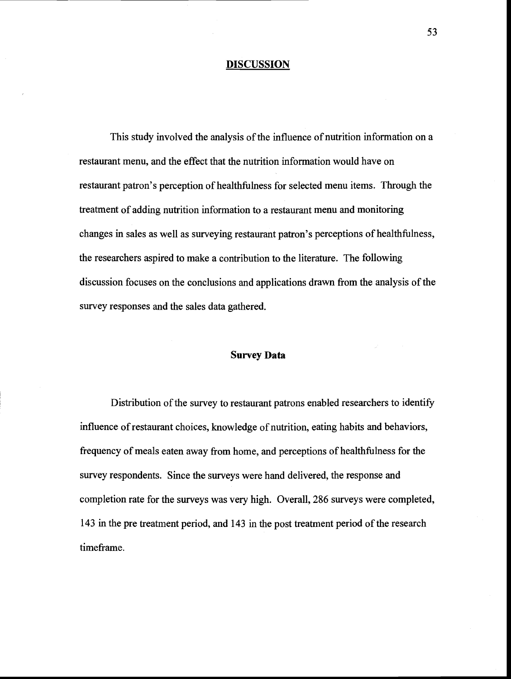#### DISCUSSION

This study involved the analysis of the influence of nutrition information on a restaurant menu, and the effect that the nutrition information would have on restaurant patron's perception of healthfulness for selected menu items. Through the treatment of adding nutrition information to a restaurant menu and monitoring changes in sales as well as surveying restaurant patron's perceptions of healthfulness, the researchers aspired to make a contribution to the literature. The following discussion focuses on the conclusions and applications drawn from the analysis of the survey responses and the sales data gathered.

#### Survey Data

Distribution of the survey to restaurant patrons enabled researchers to identify influence of restaurant choices, knowledge of nutrition, eating habits and behaviors, frequency of meals eaten away from home, and perceptions of healthfulness for the survey respondents. Since the surveys were hand delivered, the response and completion rate for the surveys was very high. Overall, 286 surveys were completed, 143 in the pre treatment period, and 143 in the post treatment period of the research timeframe.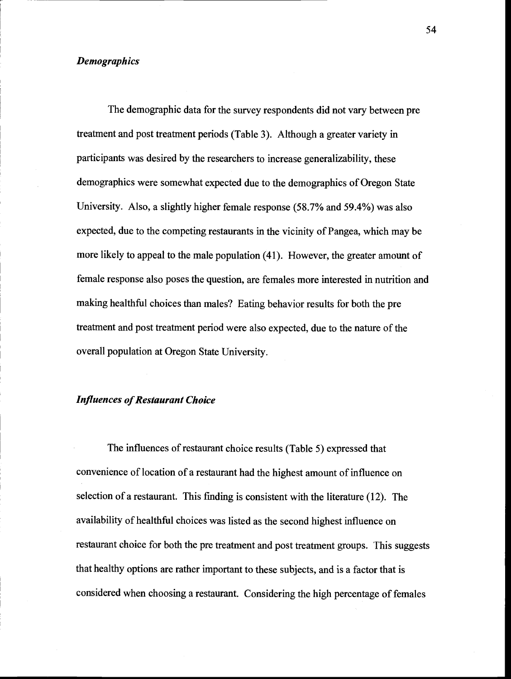## **Demographics**

The demographic data for the survey respondents did not vary between pre treatment and post treatment periods (Table 3). Although a greater variety in participants was desired by the researchers to increase generalizability, these demographics were somewhat expected due to the demographics of Oregon State University. Also, a slightly higher female response (58.7% and 59.4%) was also expected, due to the competing restaurants in the vicinity of Pangea, which may be more likely to appeal to the male population (41). However, the greater amount of female response also poses the question, are females more interested in nutrition and making healthful choices than males? Eating behavior results for both the pre treatment and post treatment period were also expected, due to the nature of the overall population at Oregon State University.

# Influences of Restaurant Choice

The influences of restaurant choice results (Table 5) expressed that convenience of location of a restaurant had the highest amount of influence on selection of a restaurant. This fmding is consistent with the literature (12). The availability of healthful choices was listed as the second highest influence on restaurant choice for both the pre treatment and post treatment groups. This suggests that healthy options are rather important to these subjects, and is a factor that is considered when choosing a restaurant. Considering the high percentage of females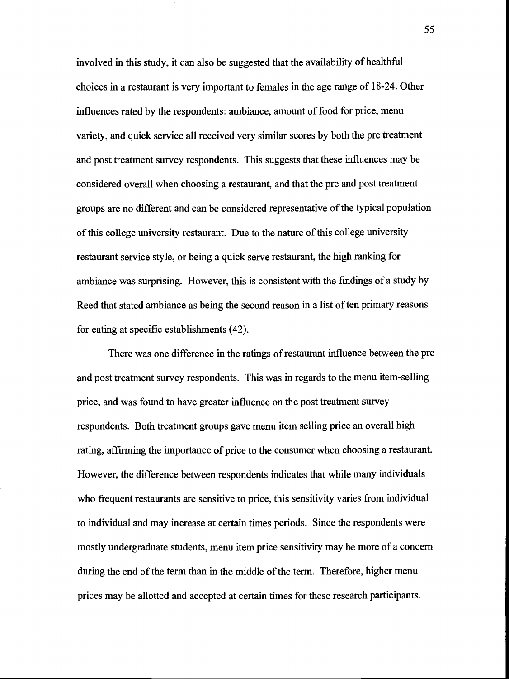involved in this study, it can also be suggested that the availability of healthful choices in a restaurant is very important to females in the age range of 18-24. Other influences rated by the respondents: ambiance, amount of food for price, menu variety, and quick service all received very similar scores by both the pre treatment and post treatment survey respondents. This suggests that these influences may be considered overall when choosing a restaurant, and that the pre and post treatment groups are no different and can be considered representative of the typical population of this college university restaurant. Due to the nature of this college university restaurant service style, or being a quick serve restaurant, the high ranking for ambiance was surprising. However, this is consistent with the fmdings of a study by Reed that stated ambiance as being the second reason in a list of ten primary reasons for eating at specific establishments (42).

There was one difference in the ratings of restaurant influence between the pre and post treatment survey respondents. This was in regards to the menu item-selling price, and was found to have greater influence on the post treatment survey respondents. Both treatment groups gave menu item selling price an overall high rating, affirming the importance of price to the consumer when choosing a restaurant. However, the difference between respondents indicates that while many individuals who frequent restaurants are sensitive to price, this sensitivity varies from individual to individual and may increase at certain times periods. Since the respondents were mostly undergraduate students, menu item price sensitivity may be more of a concern during the end of the term than in the middle of the term. Therefore, higher menu prices may be allotted and accepted at certain times for these research participants.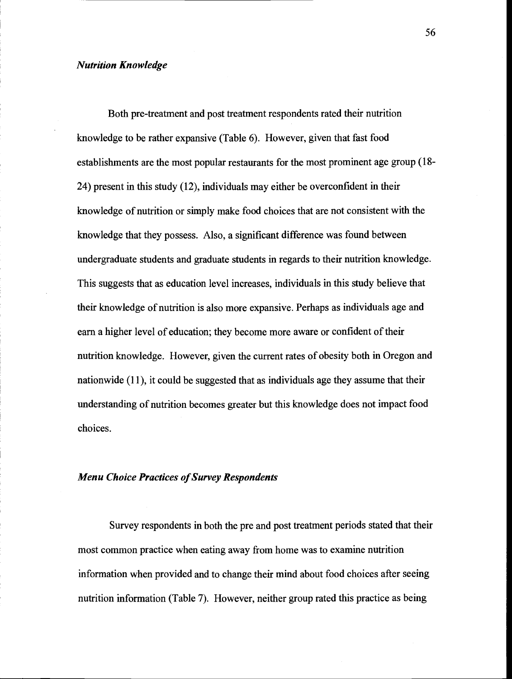## Nutrition Knowledge

Both pre-treatment and post treatment respondents rated their nutrition knowledge to be rather expansive (Table 6). However, given that fast food establishments are the most popular restaurants for the most prominent age group (18- 24) present in this study (12), individuals may either be overconfident in their knowledge of nutrition or simply make food choices that are not consistent with the knowledge that they possess. Also, a significant difference was found between undergraduate students and graduate students in regards to their nutrition knowledge. This suggests that as education level increases, individuals in this study believe that their knowledge of nutrition is also more expansive. Perhaps as individuals age and earn a higher level of education; they become more aware or confident of their nutrition knowledge. However, given the current rates of obesity both in Oregon and nationwide (11), it could be suggested that as individuals age they assume that their understanding of nutrition becomes greater but this knowledge does not impact food choices.

#### Menu Choice Practices of Survey Respondents

Survey respondents in both the pre and post treatment periods stated that their most common practice when eating away from home was to examine nutrition information when provided and to change their mind about food choices after seeing nutrition information (Table 7). However, neither group rated this practice as being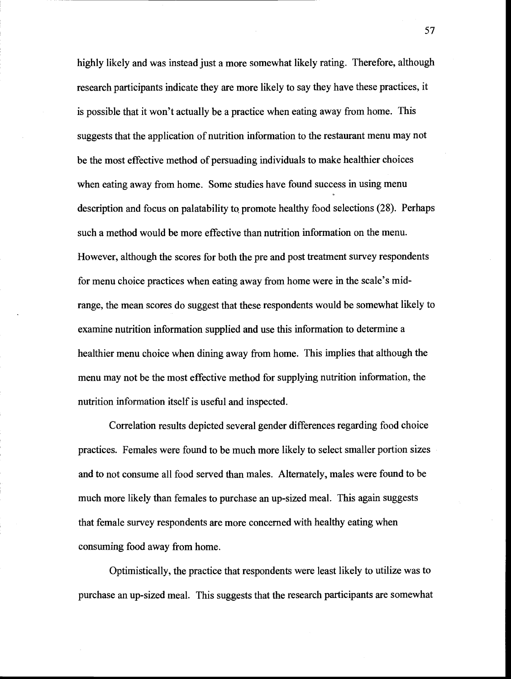highly likely and was instead just a more somewhat likely rating. Therefore, although research participants indicate they are more likely to say they have these practices, it is possible that it won't actually be a practice when eating away from home. This suggests that the application of nutrition information to the restaurant menu may not be the most effective method of persuading individuals to make healthier choices when eating away from home. Some studies have found success in using menu description and focus on palatability to promote healthy food selections (28). Perhaps such a method would be more effective than nutrition information on the menu. However, although the scores for both the pre and post treatment survey respondents for menu choice practices when eating away from home were in the scale's midrange, the mean scores do suggest that these respondents would be somewhat likely to examine nutrition information supplied and use this information to determine a healthier menu choice when dining away from home. This implies that although the menu may not be the most effective method for supplying nutrition information, the nutrition information itself is useful and inspected.

Correlation results depicted several gender differences regarding food choice practices. Females were found to be much more likely to select smaller portion sizes and to not consume all food served than males. Alternately, males were found to be much more likely than females to purchase an up-sized meal. This again suggests that female survey respondents are more concerned with healthy eating when consuming food away from home.

Optimistically, the practice that respondents were least likely to utilize was to purchase an up-sized meal. This suggests that the research participants are somewhat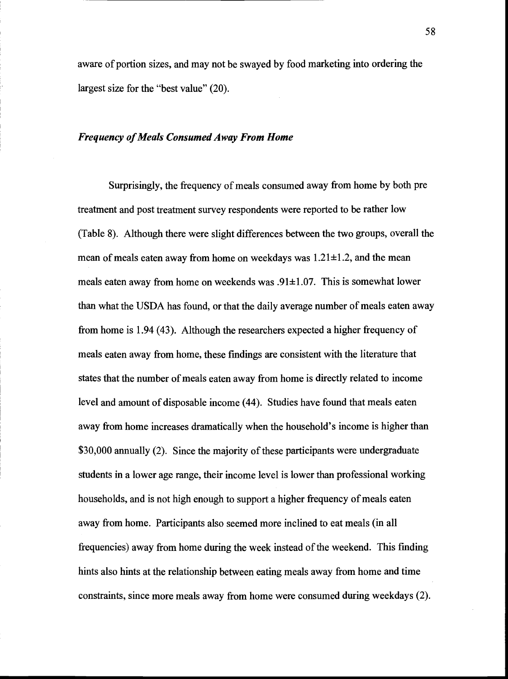aware of portion sizes, and may not be swayed by food marketing into ordering the largest size for the "best value" (20).

## Frequency of Meals Consumed Away From Home

Surprisingly, the frequency of meals consumed away from home by both pre treatment and post treatment survey respondents were reported to be rather low (Table 8). Although there were slight differences between the two groups, overall the mean of meals eaten away from home on weekdays was 1.21±1.2, and the mean meals eaten away from home on weekends was .91±1.07. This is somewhat lower than what the USDA has found, or that the daily average number of meals eaten away from home is 1.94 (43). Although the researchers expected a higher frequency of meals eaten away from home, these fmdings are consistent with the literature that states that the number of meals eaten away from home is directly related to income level and amount of disposable income (44). Studies have found that meals eaten away from home increases dramatically when the household's income is higher than \$30,000 annually (2). Since the majority of these participants were undergraduate students in a lower age range, their income level is lower than professional working households, and is not high enough to support a higher frequency of meals eaten away from home. Participants also seemed more inclined to eat meals (in all frequencies) away from home during the week instead of the weekend. This finding hints also hints at the relationship between eating meals away from home and time constraints, since more meals away from home were consumed during weekdays (2).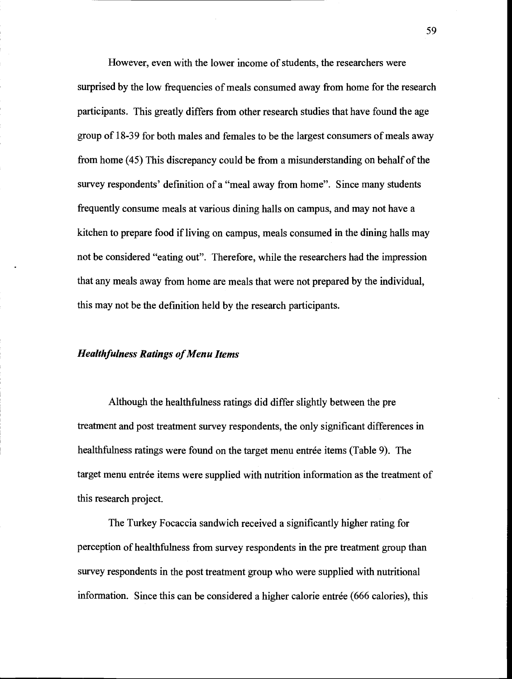However, even with the lower income of students, the researchers were surprised by the low frequencies of meals consumed away from home for the research participants. This greatly differs from other research studies that have found the age group of 18-39 for both males and females to be the largest consumers of meals away from home (45) This discrepancy could be from a misunderstanding on behalf of the survey respondents' defmition of a "meal away from home". Since many students frequently consume meals at various dining halls on campus, and may not have a kitchen to prepare food if living on campus, meals consumed in the dining halls may not be considered "eating out". Therefore, while the researchers had the impression that any meals away from home are meals that were not prepared by the individual, this may not be the defmition held by the research participants.

## Healthfulness Ratings of Menu Items

Although the healthfulness ratings did differ slightly between the pre treatment and post treatment survey respondents, the only significant differences in healthfulness ratings were found on the target menu entrée items (Table 9). The target menu entrée items were supplied with nutrition information as the treatment of this research project.

The Turkey Focaccia sandwich received a significantly higher rating for perception of healthfulness from survey respondents in the pre treatment group than survey respondents in the post treatment group who were supplied with nutritional information. Since this can be considered a higher calorie entrée (666 calories), this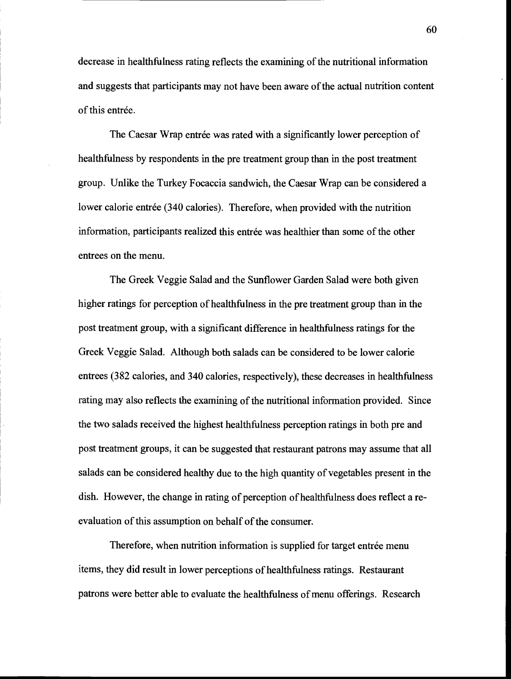decrease in healthfulness rating reflects the examining of the nutritional information and suggests that participants may not have been aware of the actual nutrition content of this entrée.

The Caesar Wrap entrée was rated with a significantly lower perception of healthfulness by respondents in the pre treatment group than in the post treatment group. Unlike the Turkey Focaccia sandwich, the Caesar Wrap can be considered a lower calorie entrée (340 calories). Therefore, when provided with the nutrition information, participants realized this entrée was healthier than some of the other entrees on the menu.

The Greek Veggie Salad and the Sunflower Garden Salad were both given higher ratings for perception of healthfulness in the pre treatment group than in the post treatment group, with a significant difference in healthfulness ratings for the Greek Veggie Salad. Although both salads can be considered to be lower calorie entrees (382 calories, and 340 calories, respectively), these decreases in healthfulness rating may also reflects the examining of the nutritional information provided. Since the two salads received the highest healthfulness perception ratings in both pre and post treatment groups, it can be suggested that restaurant patrons may assume that all salads can be considered healthy due to the high quantity of vegetables present in the dish. However, the change in rating of perception of healthfulness does reflect a reevaluation of this assumption on behalf of the consumer.

Therefore, when nutrition information is supplied for target entrée menu items, they did result in lower perceptions of healthfulness ratings. Restaurant patrons were better able to evaluate the healthfulness of menu offerings. Research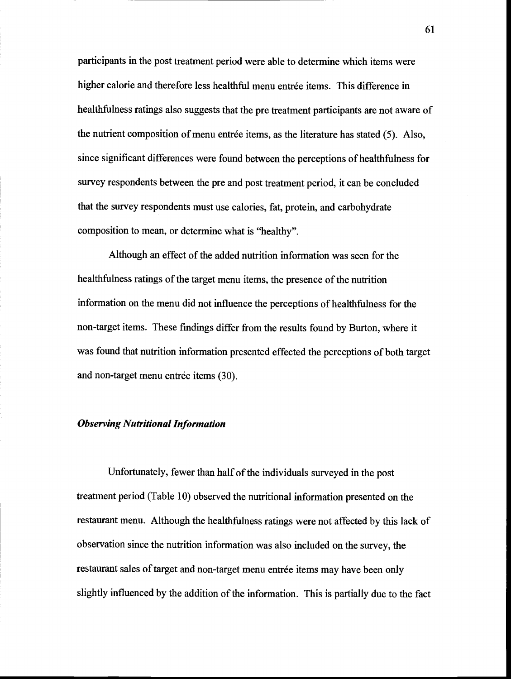participants in the post treatment period were able to determine which items were higher calorie and therefore less healthful menu entrée items. This difference in healthfulness ratings also suggests that the pre treatment participants are not aware of the nutrient composition of menu entrée items, as the literature has stated (5). Also, since significant differences were found between the perceptions of healthfulness for survey respondents between the pre and post treatment period, it can be concluded that the survey respondents must use calories, fat, protein, and carbohydrate composition to mean, or determine what is "healthy".

Although an effect of the added nutrition information was seen for the healthfulness ratings of the target menu items, the presence of the nutrition information on the menu did not influence the perceptions of healthfulness for the non-target items. These fmdings differ from the results found by Burton, where it was found that nutrition information presented effected the perceptions of both target and non-target menu entrée items (30).

#### Observing Nutritional Information

Unfortunately, fewer than half of the individuals surveyed in the post treatment period (Table 10) observed the nutritional information presented on the restaurant menu. Although the healthfulness ratings were not affected by this lack of observation since the nutrition information was also included on the survey, the restaurant sales of target and non-target menu entrée items may have been only slightly influenced by the addition of the information. This is partially due to the fact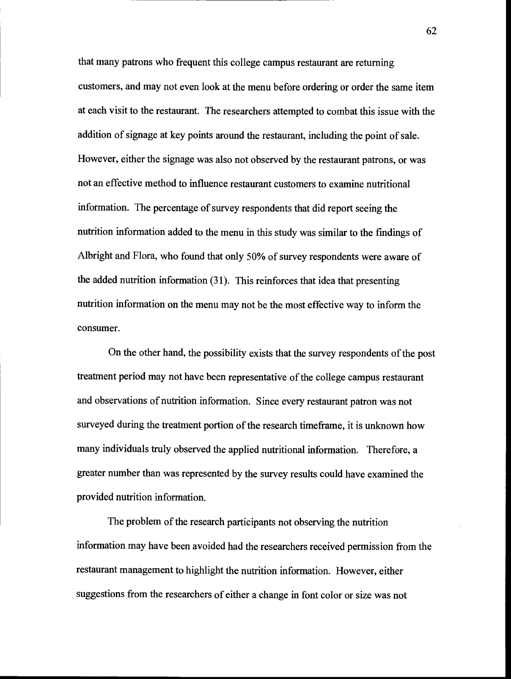that many patrons who frequent this college campus restaurant are returning customers, and may not even look at the menu before ordering or order the same item at each visit to the restaurant. The researchers attempted to combat this issue with the addition of signage at key points around the restaurant, including the point of sale. However, either the signage was also not observed by the restaurant patrons, or was not an effective method to influence restaurant customers to examine nutritional information. The percentage of survey respondents that did report seeing the nutrition information added to the menu in this study was similar to the fmdings of Albright and Flora, who found that only 50% of survey respondents were aware of the added nutrition information (31). This reinforces that idea that presenting nutrition information on the menu may not be the most effective way to inform the consumer.

On the other hand, the possibility exists that the survey respondents of the post treatment period may not have been representative of the college campus restaurant and observations of nutrition information. Since every restaurant patron was not surveyed during the treatment portion of the research timeframe, it is unknown how many individuals truly observed the applied nutritional information. Therefore, a greater number than was represented by the survey results could have examined the provided nutrition information.

The problem of the research participants not observing the nutrition information may have been avoided had the researchers received permission from the restaurant management to highlight the nutrition information. However, either suggestions from the researchers of either a change in font color or size was not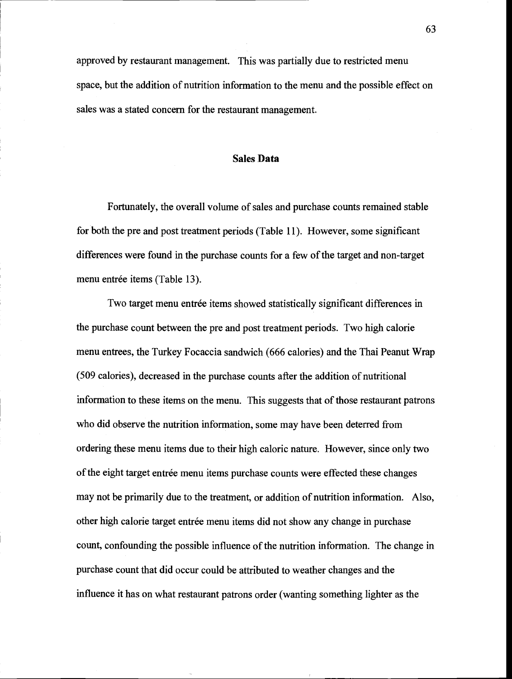approved by restaurant management. This was partially due to restricted menu space, but the addition of nutrition information to the menu and the possible effect on sales was a stated concern for the restaurant management.

#### Sales Data

Fortunately, the overall volume of sales and purchase counts remained stable for both the pre and post treatment periods (Table 11). However, some significant differences were found in the purchase counts for a few of the target and non-target menu entrée items (Table 13).

Two target menu entrée items showed statistically significant differences in the purchase count between the pre and post treatment periods. Two high calorie menu entrees, the Turkey Focaccia sandwich (666 calories) and the Thai Peanut Wrap (509 calories), decreased in the purchase counts after the addition of nutritional information to these items on the menu. This suggests that of those restaurant patrons who did observe the nutrition information, some may have been deterred from ordering these menu items due to their high caloric nature. However, since only two of the eight target entrée menu items purchase counts were effected these changes may not be primarily due to the treatment, or addition of nutrition information. Also, other high calorie target entrée menu items did not show any change in purchase count, confounding the possible influence of the nutrition information. The change in purchase count that did occur could be attributed to weather changes and the influence it has on what restaurant patrons order (wanting something lighter as the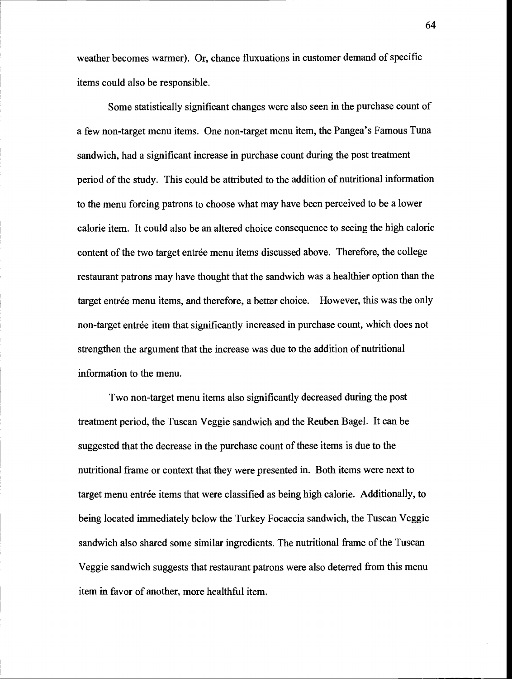weather becomes warmer). Or, chance fluxuations in customer demand of specific items could also be responsible.

Some statistically significant changes were also seen in the purchase count of a few non-target menu items. One non-target menu item, the Pangea's Famous Tuna sandwich, had a significant increase in purchase count during the post treatment period of the study. This could be attributed to the addition of nutritional information to the menu forcing patrons to choose what may have been perceived to be a lower calorie item. It could also be an altered choice consequence to seeing the high caloric content of the two target entrée menu items discussed above. Therefore, the college restaurant patrons may have thought that the sandwich was a healthier option than the target entrée menu items, and therefore, a better choice. However, this was the only non-target entrée item that significantly increased in purchase count, which does not strengthen the argument that the increase was due to the addition of nutritional information to the menu.

Two non-target menu items also significantly decreased during the post treatment period, the Tuscan Veggie sandwich and the Reuben Bagel. It can be suggested that the decrease in the purchase count of these items is due to the nutritional frame or context that they were presented in. Both items were next to target menu entrée items that were classified as being high calorie. Additionally, to being located immediately below the Turkey Focaccia sandwich, the Tuscan Veggie sandwich also shared some similar ingredients. The nutritional frame of the Tuscan Veggie sandwich suggests that restaurant patrons were also deterred from this menu item in favor of another, more healthful item.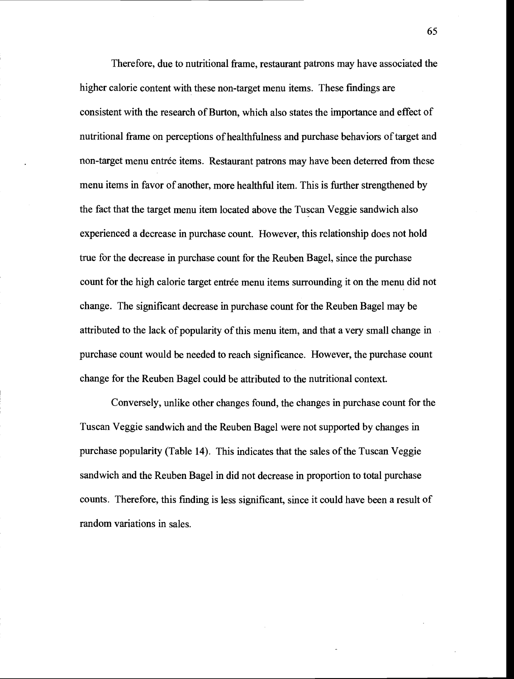Therefore, due to nutritional frame, restaurant patrons may have associated the higher calorie content with these non-target menu items. These findings are consistent with the research of Burton, which also states the importance and effect of nutritional frame on perceptions of healthfulness and purchase behaviors of target and non-target menu entrée items. Restaurant patrons may have been deterred from these menu items in favor of another, more healthful item. This is further strengthened by the fact that the target menu item located above the Tuscan Veggie sandwich also experienced a decrease in purchase count. However, this relationship does not hold true for the decrease in purchase count for the Reuben Bagel, since the purchase count for the high calorie target entrée menu items surrounding it on the menu did not change. The significant decrease in purchase count for the Reuben Bagel may be attributed to the lack of popularity of this menu item, and that a very small change in purchase count would be needed to reach significance. However, the purchase count change for the Reuben Bagel could be attributed to the nutritional context.

Conversely, unlike other changes found, the changes in purchase count for the Tuscan Veggie sandwich and the Reuben Bagel were not supported by changes in purchase popularity (Table 14). This indicates that the sales of the Tuscan Veggie sandwich and the Reuben Bagel in did not decrease in proportion to total purchase counts. Therefore, this fmding is less significant, since it could have been a result of random variations in sales.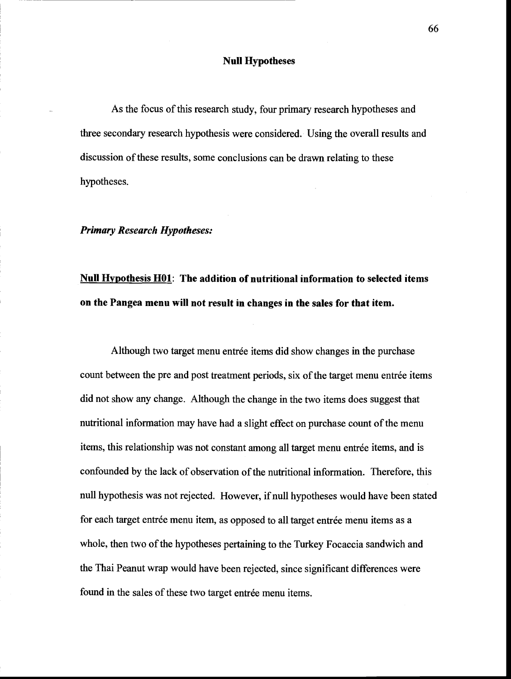# Null Hypotheses

As the focus of this research study, four primary research hypotheses and three secondary research hypothesis were considered. Using the overall results and discussion of these results, some conclusions can be drawn relating to these hypotheses.

#### Primary Research Hypotheses:

# Null Hypothesis H01: The addition of nutritional information to selected items on the Pangea menu will not result in changes in the sales for that item.

Although two target menu entrée items did show changes in the purchase count between the pre and post treatment periods, six of the target menu entrée items did not show any change. Although the change in the two items does suggest that nutritional information may have had a slight effect on purchase count of the menu items, this relationship was not constant among all target menu entrée items, and is confounded by the lack of observation of the nutritional information. Therefore, this null hypothesis was not rejected. However, if null hypotheses would have been stated for each target entrée menu item, as opposed to all target entrée menu items as a whole, then two of the hypotheses pertaining to the Turkey Focaccia sandwich and the Thai Peanut wrap would have been rejected, since significant differences were found in the sales of these two target entrée menu items.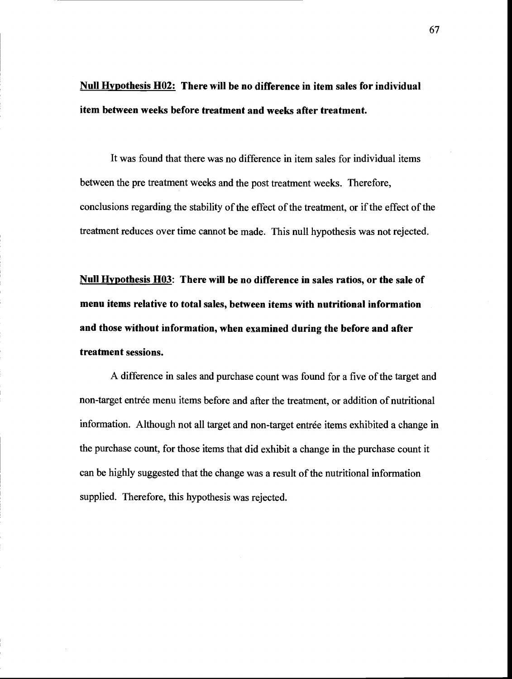Null Hypothesis H02: There will be no difference in item sales for individual item between weeks before treatment and weeks after treatment.

It was found that there was no difference in item sales for individual items between the pre treatment weeks and the post treatment weeks. Therefore, conclusions regarding the stability of the effect of the treatment, or if the effect of the treatment reduces over time cannot be made. This null hypothesis was not rejected.

Null Hypothesis H03: There will be no difference in sales ratios, or the sale of menu items relative to total sales, between items with nutritional information and those without information, when examined during the before and after treatment sessions.

A difference in sales and purchase count was found for a five of the target and non-target entrée menu items before and after the treatment, or addition of nutritional information. Although not all target and non-target entrée items exhibited a change in the purchase count, for those items that did exhibit a change in the purchase count it can be highly suggested that the change was a result of the nutritional information supplied. Therefore, this hypothesis was rejected.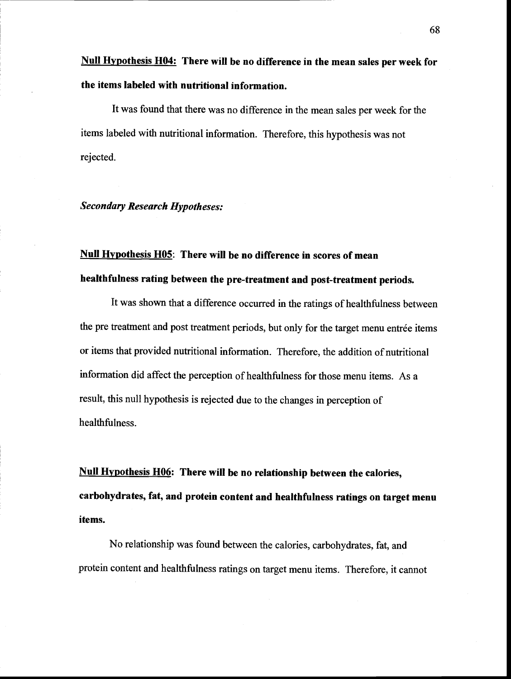It was found that there was no difference in the mean sales per week for the items labeled with nutritional information. Therefore, this hypothesis was not rejected.

## Secondary Research Hypotheses:

# Null Hypothesis H05: There will be no difference in scores of mean healthfulness rating between the pre-treatment and post-treatment periods.

It was shown that a difference occurred in the ratings of healthfulness between the pre treatment and post treatment periods, but only for the target menu entrée items or items that provided nutritional information. Therefore, the addition of nutritional information did affect the perception of healthfulness for those menu items. As a result, this null hypothesis is rejected due to the changes in perception of healthfulness.

Null Hypothesis H06: There will be no relationship between the calories, carbohydrates, fat, and protein content and healthfulness ratings on target menu items.

No relationship was found between the calories, carbohydrates, fat, and protein content and healthfulness ratings on target menu items. Therefore, it cannot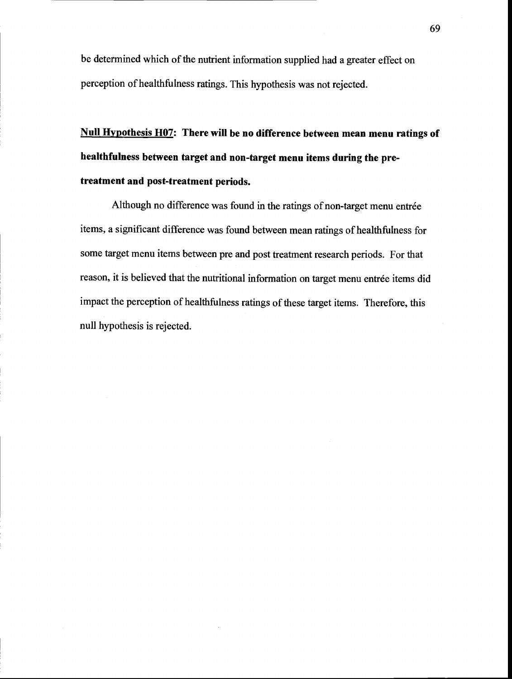be determined which of the nutrient information supplied had a greater effect on perception of healthfulness ratings. This hypothesis was not rejected.

Null Hypothesis H07: There will be no difference between mean menu ratings of healthfulness between target and non-target menu items during the pretreatment and post-treatment periods.

Although no difference was found in the ratings of non-target menu entrée items, a significant difference was found between mean ratings of healthfulness for some target menu items between pre and post treatment research periods. For that reason, it is believed that the nutritional information on target menu entrée items did impact the perception of healthfulness ratings of these target items. Therefore, this null hypothesis is rejected.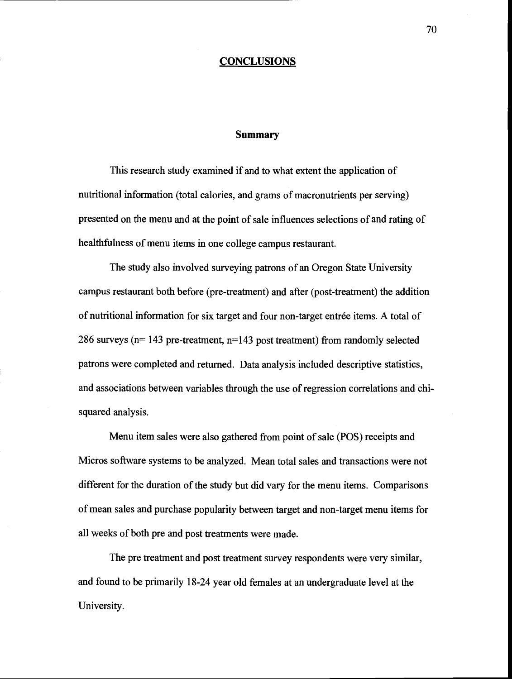#### **CONCLUSIONS**

#### Summary

This research study examined if and to what extent the application of nutritional information (total calories, and grams of macronutrients per serving) presented on the menu and at the point of sale influences selections of and rating of healthfulness of menu items in one college campus restaurant.

The study also involved surveying patrons of an Oregon State University campus restaurant both before (pre-treatment) and after (post-treatment) the addition of nutritional information for six target and four non-target entrée items. A total of 286 surveys ( $n = 143$  pre-treatment,  $n = 143$  post treatment) from randomly selected patrons were completed and returned. Data analysis included descriptive statistics, and associations between variables through the use of regression correlations and chisquared analysis.

Menu item sales were also gathered from point of sale (POS) receipts and Micros software systems to be analyzed. Mean total sales and transactions were not different for the duration of the study but did vary for the menu items. Comparisons of mean sales and purchase popularity between target and non-target menu items for all weeks of both pre and post treatments were made.

The pre treatment and post treatment survey respondents were very similar, and found to be primarily 18-24 year old females at an undergraduate level at the University.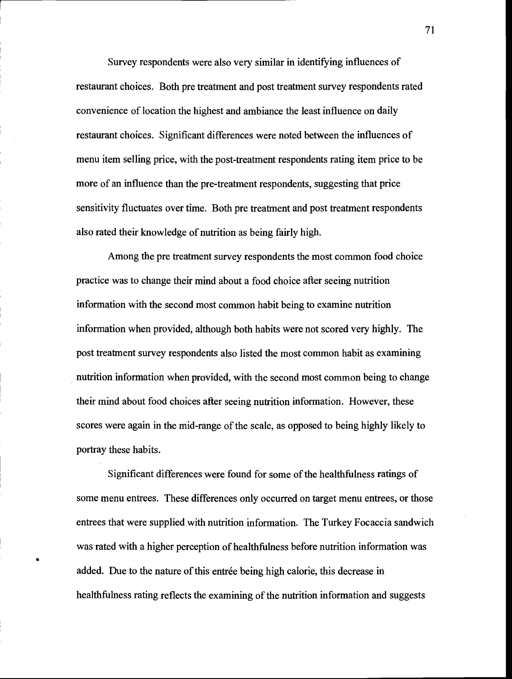Survey respondents were also very similar in identifying influences of restaurant choices. Both pre treatment and post treatment survey respondents rated convenience of location the highest and ambiance the least influence on daily restaurant choices. Significant differences were noted between the influences of menu item selling price, with the post-treatment respondents rating item price to be more of an influence than the pre-treatment respondents, suggesting that price sensitivity fluctuates over time. Both pre treatment and post treatment respondents also rated their knowledge of nutrition as being fairly high.

Among the pre treatment survey respondents the most common food choice practice was to change their mind about a food choice after seeing nutrition information with the second most common habit being to examine nutrition information when provided, although both habits were not scored very highly. The post treatment survey respondents also listed the most common habit as examining nutrition information when provided, with the second most common being to change their mind about food choices after seeing nutrition information. However, these scores were again in the mid-range of the scale, as opposed to being highly likely to portray these habits.

Significant differences were found for some of the healthfulness ratings of some menu entrees. These differences only occurred on target menu entrees, or those entrees that were supplied with nutrition information. The Turkey Focaccia sandwich was rated with a higher perception of healthfulness before nutrition information was added. Due to the nature of this entrée being high calorie, this decrease in healthfulness rating reflects the examining of the nutrition information and suggests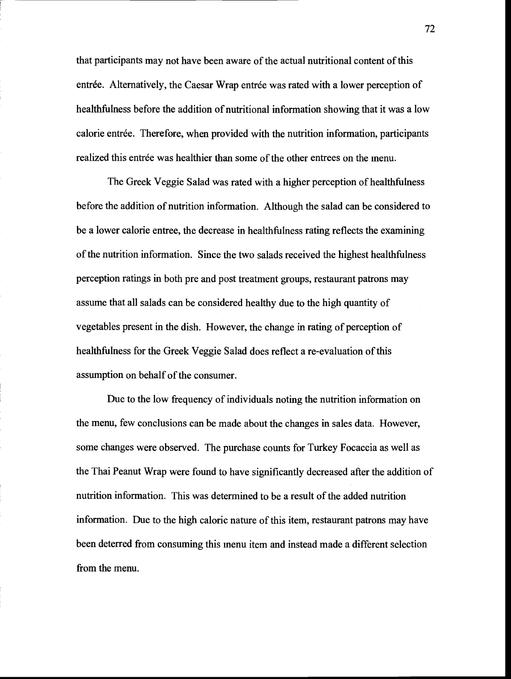that participants may not have been aware of the actual nutritional content of this entrée. Alternatively, the Caesar Wrap entrée was rated with a lower perception of healthfulness before the addition of nutritional information showing that it was a low calorie entrée. Therefore, when provided with the nutrition information, participants realized this entrée was healthier than some of the other entrees on the menu.

The Greek Veggie Salad was rated with a higher perception of healthfulness before the addition of nutrition information. Although the salad can be considered to be a lower calorie entree, the decrease in healthfulness rating reflects the examining of the nutrition information. Since the two salads received the highest healthfulness perception ratings in both pre and post treatment groups, restaurant patrons may assume that all salads can be considered healthy due to the high quantity of vegetables present in the dish. However, the change in rating of perception of healthfulness for the Greek Veggie Salad does reflect a re-evaluation of this assumption on behalf of the consumer.

Due to the low frequency of individuals noting the nutrition information on the menu, few conclusions can be made about the changes in sales data. However, some changes were observed. The purchase counts for Turkey Focaccia as well as the Thai Peanut Wrap were found to have significantly decreased after the addition of nutrition information. This was determined to be a result of the added nutrition information. Due to the high caloric nature of this item, restaurant patrons may have been deterred from consuming this menu item and instead made a different selection from the menu.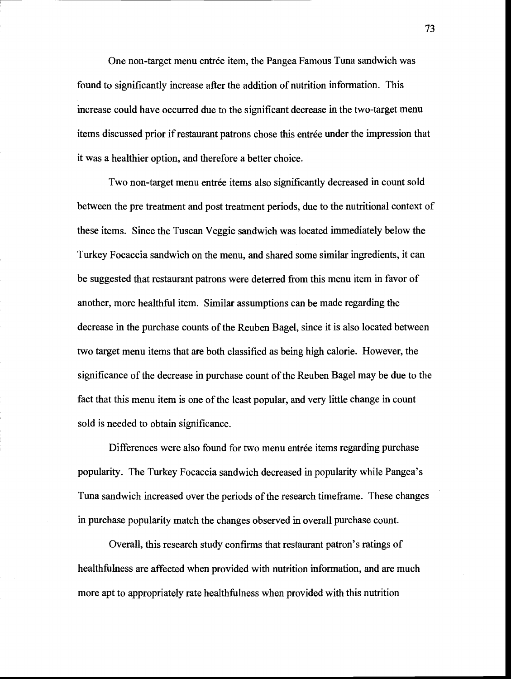One non-target menu entrée item, the Pangea Famous Tuna sandwich was found to significantly increase after the addition of nutrition information. This increase could have occurred due to the significant decrease in the two-target menu items discussed prior if restaurant patrons chose this entrée under the impression that it was a healthier option, and therefore a better choice.

Two non-target menu entrée items also significantly decreased in count sold between the pre treatment and post treatment periods, due to the nutritional context of these items. Since the Tuscan Veggie sandwich was located immediately below the Turkey Focaccia sandwich on the menu, and shared some similar ingredients, it can be suggested that restaurant patrons were deterred from this menu item in favor of another, more healthful item. Similar assumptions can be made regarding the decrease in the purchase counts of the Reuben Bagel, since it is also located between two target menu items that are both classified as being high calorie. However, the significance of the decrease in purchase count of the Reuben Bagel may be due to the fact that this menu item is one of the least popular, and very little change in count sold is needed to obtain significance.

Differences were also found for two menu entrée items regarding purchase popularity. The Turkey Focaccia sandwich decreased in popularity while Pangea's Tuna sandwich increased over the periods of the research timeframe. These changes in purchase popularity match the changes observed in overall purchase count.

Overall, this research study confirms that restaurant patron's ratings of healthfulness are affected when provided with nutrition information, and are much more apt to appropriately rate healthfulness when provided with this nutrition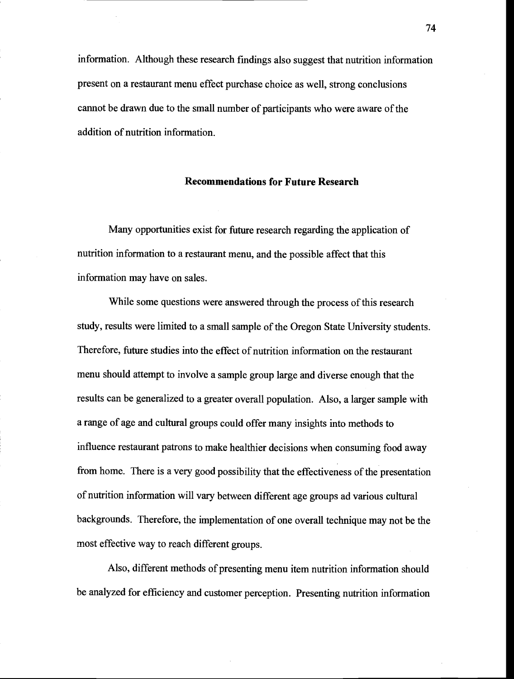information. Although these research fmdings also suggest that nutrition information present on a restaurant menu effect purchase choice as well, strong conclusions cannot be drawn due to the small number of participants who were aware of the addition of nutrition information.

### Recommendations for Future Research

Many opportunities exist for future research regarding the application of nutrition information to a restaurant menu, and the possible affect that this information may have on sales.

While some questions were answered through the process of this research study, results were limited to a small sample of the Oregon State University students. Therefore, future studies into the effect of nutrition information on the restaurant menu should attempt to involve a sample group large and diverse enough that the results can be generalized to a greater overall population. Also, a larger sample with a range of age and cultural groups could offer many insights into methods to influence restaurant patrons to make healthier decisions when consuming food away from home. There is a very good possibility that the effectiveness of the presentation of nutrition information will vary between different age groups ad various cultural backgrounds. Therefore, the implementation of one overall technique may not be the most effective way to reach different groups.

Also, different methods of presenting menu item nutrition information should be analyzed for efficiency and customer perception. Presenting nutrition information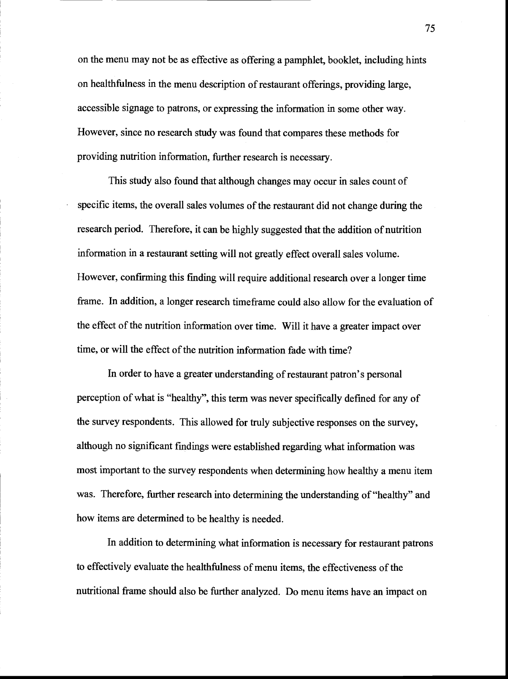on the menu may not be as effective as offering a pamphlet, booklet, including hints on healthfulness in the menu description of restaurant offerings, providing large, accessible signage to patrons, or expressing the information in some other way. However, since no research study was found that compares these methods for providing nutrition information, further research is necessary.

This study also found that although changes may occur in sales count of specific items, the overall sales volumes of the restaurant did not change during the research period. Therefore, it can be highly suggested that the addition of nutrition information in a restaurant setting will not greatly effect overall sales volume. However, confirming this fmding will require additional research over a longer time frame. In addition, a longer research timeframe could also allow for the evaluation of the effect of the nutrition information over time. Will it have a greater impact over time, or will the effect of the nutrition information fade with time?

In order to have a greater understanding of restaurant patron's personal perception of what is "healthy", this term was never specifically defined for any of the survey respondents. This allowed for truly subjective responses on the survey, although no significant fmdings were established regarding what information was most important to the survey respondents when determining how healthy a menu item was. Therefore, further research into determining the understanding of "healthy" and how items are determined to be healthy is needed.

In addition to determining what information is necessary for restaurant patrons to effectively evaluate the healthfulness of menu items, the effectiveness of the nutritional frame should also be further analyzed. Do menu items have an impact on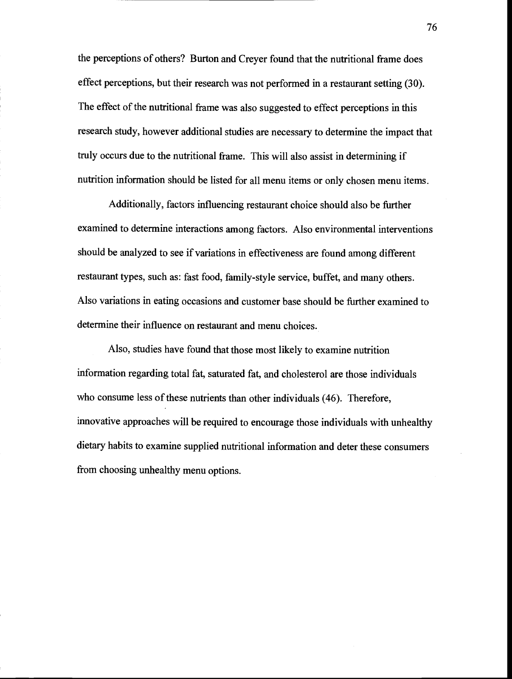the perceptions of others? Burton and Creyer found that the nutritional frame does effect perceptions, but their research was not perfonned in a restaurant setting (30). The effect of the nutritional frame was also suggested to effect perceptions in this research study, however additional studies are necessary to determine the impact that truly occurs due to the nutritional frame. This will also assist in determining if nutrition information should be listed for all menu items or only chosen menu items.

Additionally, factors influencing restaurant choice should also be further examined to determine interactions among factors. Also environmental interventions should be analyzed to see if variations in effectiveness are found among different restaurant types, such as: fast food, family-style service, buffet, and many others. Also variations in eating occasions and customer base should be further examined to determine their influence on restaurant and menu choices.

Also, studies have found that those most likely to examine nutrition information regarding total fat, saturated fat, and cholesterol are those individuals who consume less of these nutrients than other individuals (46). Therefore, innovative approaches will be required to encourage those individuals with unhealthy dietary habits to examine supplied nutritional information and deter these consumers from choosing unhealthy menu options.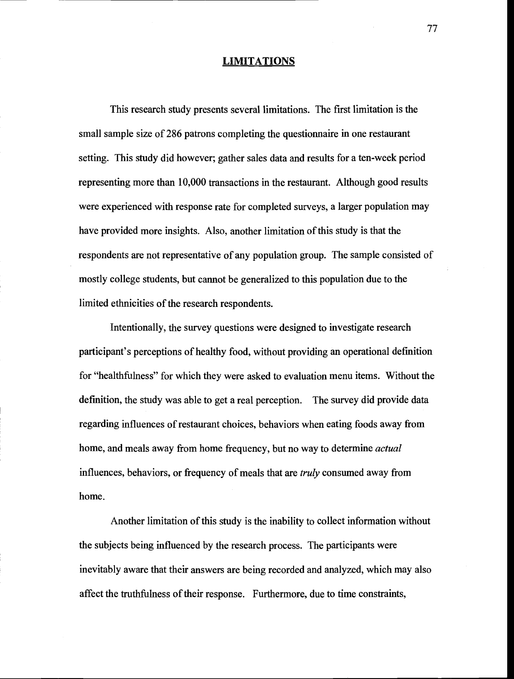### LIMITATIONS

This research study presents several limitations. The first limitation is the small sample size of 286 patrons completing the questionnaire in one restaurant setting. This study did however; gather sales data and results for a ten-week period representing more than 10,000 transactions in the restaurant. Although good results were experienced with response rate for completed surveys, a larger population may have provided more insights. Also, another limitation of this study is that the respondents are not representative of any population group. The sample consisted of mostly college students, but cannot be generalized to this population due to the limited ethnicities of the research respondents.

Intentionally, the survey questions were designed to investigate research participant's perceptions of healthy food, without providing an operational defmition for "healthfulness" for which they were asked to evaluation menu items. Without the defmition, the study was able to get a real perception. The survey did provide data regarding influences of restaurant choices, behaviors when eating foods away from home, and meals away from home frequency, but no way to determine *actual* influences, behaviors, or frequency of meals that are truly consumed away from home.

Another limitation of this study is the inability to collect information without the subjects being influenced by the research process. The participants were inevitably aware that their answers are being recorded and analyzed, which may also affect the truthfulness of their response. Furthermore, due to time constraints,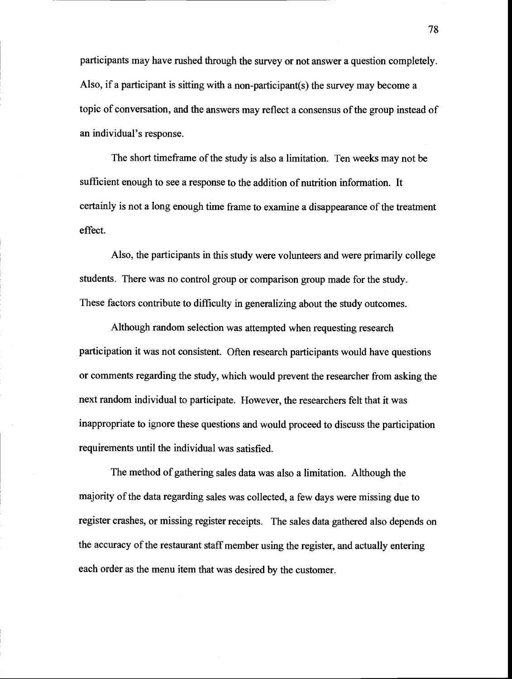participants may have rushed through the survey or not answer a question completely. Also, if a participant is sitting with a non-participant(s) the survey may become a topic of conversation, and the answers may reflect a consensus of the group instead of an individual's response.

The short timeframe of the study is also a limitation. Ten weeks may not be sufficient enough to see a response to the addition of nutrition information. It certainly is not a long enough time frame to examine a disappearance of the treatment effect.

Also, the participants in this study were volunteers and were primarily college students. There was no control group or comparison group made for the study. These factors contribute to difficulty in generalizing about the study outcomes.

Although random selection was attempted when requesting research participation it was not consistent. Often research participants would have questions or comments regarding the study, which would prevent the researcher from asking the next random individual to participate. However, the researchers felt that it was inappropriate to ignore these questions and would proceed to discuss the participation requirements until the individual was satisfied.

The method of gathering sales data was also a limitation. Although the majority of the data regarding sales was collected, a few days were missing due to register crashes, or missing register receipts. The sales data gathered also depends on the accuracy of the restaurant staff member using the register, and actually entering each order as the menu item that was desired by the customer.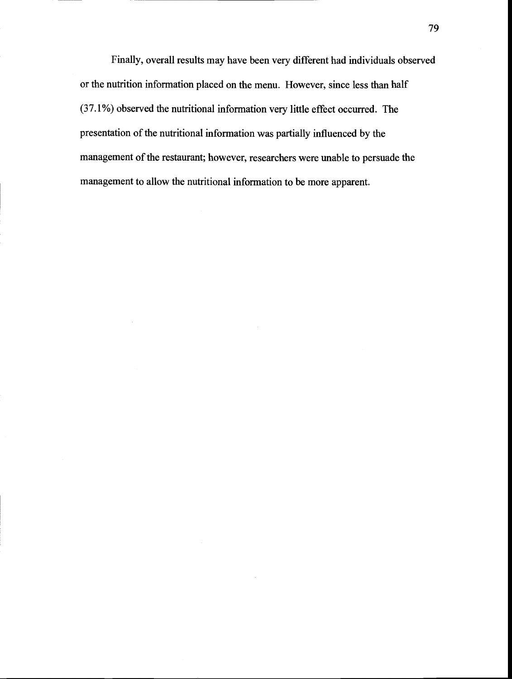Finally, overall results may have been very different had individuals observed or the nutrition information placed on the menu. However, since less than half (37.1%) observed the nutritional information very little effect occurred. The presentation of the nutritional information was partially influenced by the management of the restaurant; however, researchers were unable to persuade the management to allow the nutritional information to be more apparent.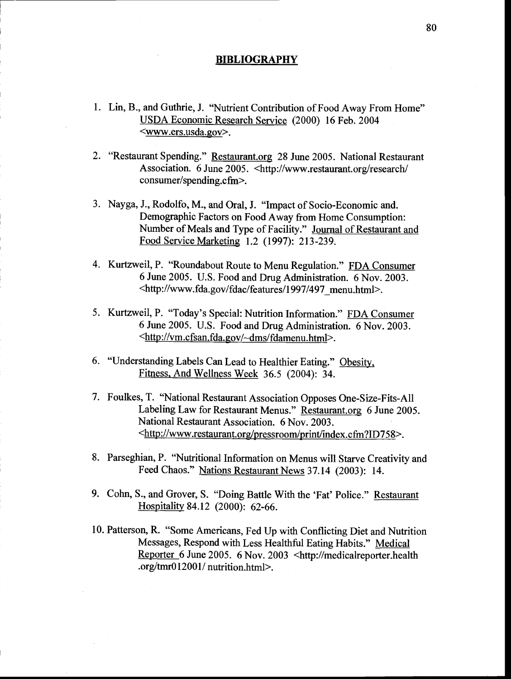## BIBLIOGRAPHY

- Lin, B., and Guthrie, J. "Nutrient Contribution of Food Away From Home" USDA Economic Research Service (2000) 16 Feb. 2004 <www.ers.usda.gov>.
- 2. "Restaurant Spending." Restaurant.org 28 June 2005. National Restaurant Association. 6 June 2005. < http://www.restaurant.org/research/ consumer/spending.cfm>.
- Nayga, J., Rodolfo, M., and Oral, J. "Impact of Socio-Economic and. Demographic Factors on Food Away from Home Consumption: Number of Meals and Type of Facility." Journal of Restaurant and Food Service Marketing 1.2 (1997): 213-239.
- 4. Kurtzweil, P. "Roundabout Route to Menu Regulation." FDA Consumer 6 June 2005. U.S. Food and Drug Administration. 6 Nov. 2003. <http://www.fda.gov/fdac/features/1 997/497\_menu.html>.
- 5. Kurtzweil, P. "Today's Special: Nutrition Information." FDA Consumer 6 June 2005. U.S. Food and Drug Administration. 6 Nov. 2003. <http://vm.cfsan.fda.gov/~dms/fdamenu.html>.
- 6. "Understanding Labels Can Lead to Healthier Eating." Obesity, Fitness, And Weliness Week 36.5 (2004): 34.
- Foulkes, T. "National Restaurant Association Opposes One-Size-Fits-All Labeling Law for Restaurant Menus." Restaurant.org 6 June 2005. National Restaurant Association. 6 Nov. 2003. <http://www.restaurant.org/pressroom/print/index.cfm?ID758>.
- 8. Parseghian, P. "Nutritional Information on Menus will Starve Creativity and Feed Chaos." Nations Restaurant News 37.14 (2003): 14.
- Cohn, S., and Grover, S. "Doing Battle With the 'Fat' Police." Restaurant Hospitality 84.12 (2000): 62-66.
- 10. Patterson, R. "Some Americans, Fed Up with Conflicting Diet and Nutrition Messages, Respond with Less Healthful Eating Habits." Medical Reporter 6 June 2005. 6 Nov. 2003 <http://medicalreporter.health .org/tmr0 12001/ nutrition.html>.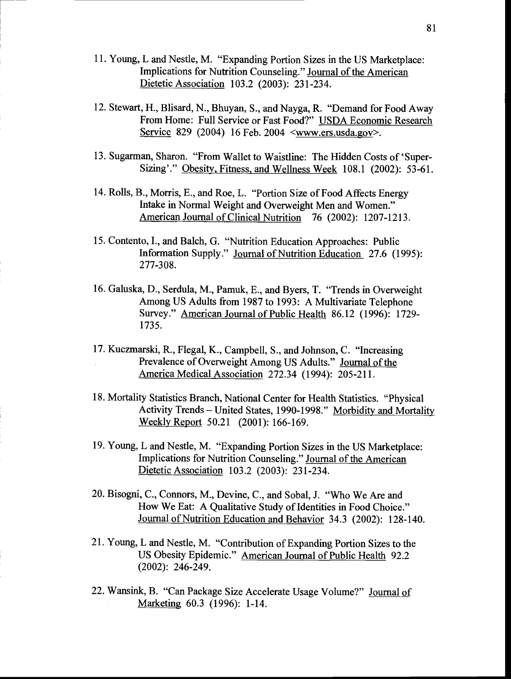- Young, L and Nestle, M. "Expanding Portion Sizes in the US Marketplace: Implications for Nutrition Counseling." Journal of the American Dietetic Association 103.2 (2003): 231-234.
- 12. Stewart, H., Blisard, N., Bhuyan, S., and Nayga, R. "Demand for Food Away From Home: Full Service or Fast Food?" USDA Economic Research Service 829 (2004) 16 Feb. 2004 <www.ers.usda.gov>.
- 13. Sugarman, Sharon. "From Wallet to Waistline: The Hidden Costs of 'Super-Sizing'." Obesity, Fitness, and Wellness Week 108.1 (2002): 53-61.
- 14. Rolls, B., Morris, E., and Roe, L. "Portion Size of Food Affects Energy Intake in Normal Weight and Overweight Men and Women." American Journal of Clinical Nutrition 76 (2002): 1207-1213.
- 15. Contento, I., and Balch, G. "Nutrition Education Approaches: Public Information Supply." Journal of Nutrition Education 27.6 (1995): 277-308.
- Galuska, D., Serdula, M., Pamuk, E., and Byers, T. "Trends in Overweight Among US Adults from 1987 to 1993: A Multivariate Telephone Survey." American Journal of Public Health 86.12 (1996): 1729- 1735.
- 17. Kuczmarski, R., Flegal, K., Campbell, S., and Johnson, C. "Increasing Prevalence of Overweight Among US Adults." Journal of the America Medical Association 272.34 (1994): 205-211.
- 18. Mortality Statistics Branch, National Center for Health Statistics. "Physical Activity Trends - United States, 1990-1998." Morbidity and Mortality Weekly Report 50.21 (2001): 166-169.
- Young, L and Nestle, M. "Expanding Portion Sizes in the US Marketplace: Implications for Nutrition Counseling." Journal of the American Dietetic Association 103.2 (2003): 231-234.
- 20. Bisogni, C., Connors, M., Devine, C., and Sobal, J. "Who We Are and How We Eat: A Qualitative Study of Identities in Food Choice." Journal of Nutrition Education and Behavior 34.3 (2002): 128-140.
- Young, L and Nestle, M. "Contribution of Expanding Portion Sizes to the US Obesity Epidemic." American Journal of Public Health 92.2 (2002): 246-249.
- 22. Wansink, B. "Can Package Size Accelerate Usage Volume?" Journal of Marketing 60.3 (1996): 1-14.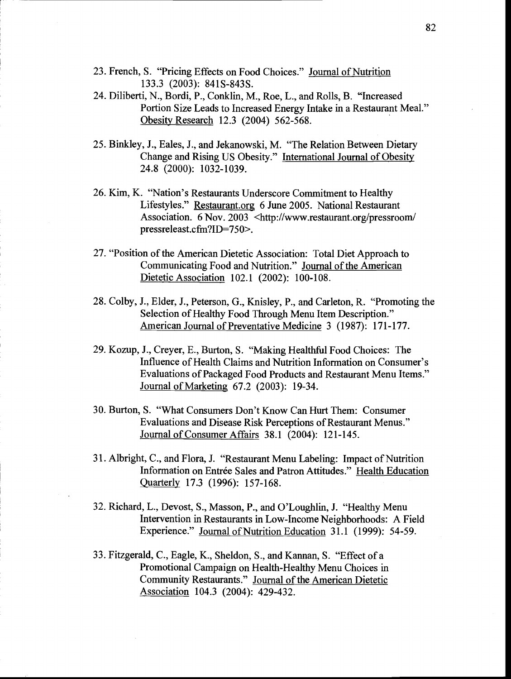- 23. French, S. "Pricing Effects on Food Choices." Journal of Nutrition 133.3 (2003): 841S-843S.
- 24. Diliberti, N., Bordi, P., Conklin, M., Roe, L., and Rolls, B. "Increased Portion Size Leads to Increased Energy Intake in a Restaurant Meal." Obesity Research 12.3 (2004) 562-568.
- 25. Binkley, J., Eales, J., and Jekanowski, M. "The Relation Between Dietary Change and Rising US Obesity." International Journal of Obesity 24.8 (2000): 1032-1039.
- 26. Kim, K. "Nation's Restaurants Underscore Commitment to Healthy Lifestyles." Restaurant.org 6 June 2005. National Restaurant Association. 6 Nov. 2003 <http://www.restaurant.org/pressroom/ pressreleast.cfin?ID=750>.
- 27. "Position of the American Dietetic Association: Total Diet Approach to Communicating Food and Nutrition." Journal of the American Dietetic Association 102.1 (2002): 100-108.
- Colby, J., Elder, J., Peterson, G., Knisley, P., and Carleton, R. "Promoting the Selection of Healthy Food Through Menu Item Description." American Journal of Preventative Medicine 3 (1987): 171-177.
- 29. Kozup, J., Creyer, E., Burton, S. "Making Healthful Food Choices: The Influence of Health Claims and Nutrition Information on Consumer's Evaluations of Packaged Food Products and Restaurant Menu Items." Journal of Marketing 67.2 (2003): 19-34.
- 30. Burton, S. "What Consumers Don't Know Can Hurt Them: Consumer Evaluations and Disease Risk Perceptions of Restaurant Menus." Journal of Consumer Affairs 38.1 (2004): 121-145.
- Albright, C., and Flora, J. "Restaurant Menu Labeling: Impact of Nutrition Information on Entrée Sales and Patron Attitudes." Health Education Quarterly 17.3 (1996): 157-168.
- 32. Richard, L., Devost, S., Masson, P., and O'Loughlin, J. "Healthy Menu Intervention in Restaurants in Low-Income Neighborhoods: A Field Experience." Journal of Nutrition Education 31.1 (1999): 54-59.
- Fitzgerald, C., Eagle, K., Sheldon, S., and Kannan, S. "Effect of a Promotional Campaign on Health-Healthy Menu Choices in Community Restaurants." Journal of the American Dietetic Association 104.3 (2004): 429-432.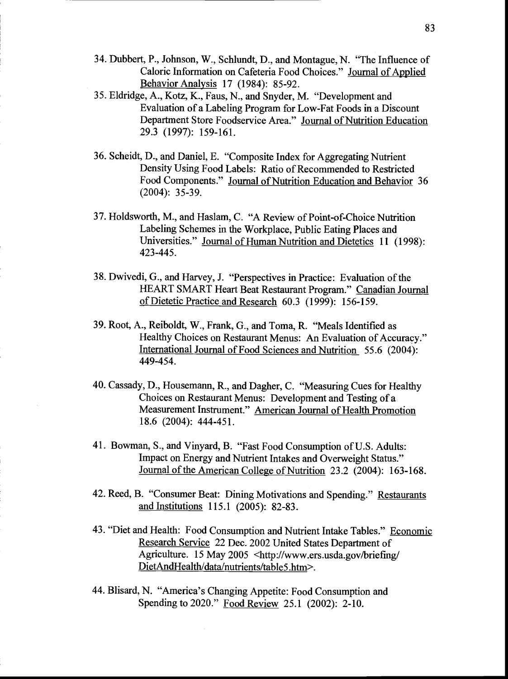- Dubbert, P., Johnson, W., Schlundt, D., and Montague, N. "The Influence of Caloric Information on Cafeteria Food Choices." Journal of Applied Behavior Analysis 17 (1984): 85-92.
- Eldridge, A., Kotz, K., Faus, N., and Snyder, M. "Development and Evaluation of a Labeling Program for Low-Fat Foods in a Discount Department Store Foodservice Area." Journal of Nutrition Education 29.3 (1997): 159-161.
- Scheidt, D., and Daniel, E. "Composite Index for Aggregating Nutrient Density Using Food Labels: Ratio of Recommended to Restricted Food Components." Journal of Nutrition Education and Behavior 36 (2004): 35-39.
- 37. Holdsworth, M., and Haslam, C. "A Review of Point-of-Choice Nutrition Labeling Schemes in the Workplace, Public Eating Places and Universities." Journal of Human Nutrition and Dietetics 11 (1998): 423-445.
- Dwivedi, G., and Harvey, J. "Perspectives in Practice: Evaluation of the HEART SMART Heart Beat Restaurant Program." Canadian Journal of Dietetic Practice and Research 60.3 (1999): 156-159.
- 39. Root, A., Reiboldt, W., Frank, G., and Toma, R. "Meals Identified as Healthy Choices on Restaurant Menus: An Evaluation of Accuracy." International Journal of Food Sciences and Nutrition 55.6 (2004): 449-454.
- Cassady, D., Housemann, R., and Dagher, C. "Measuring Cues for Healthy Choices on Restaurant Menus: Development and Testing of a Measurement Instrument." American Journal of Health Promotion 18.6 (2004): 444-451.
- Bowman, S., and Vinyard, B. "Fast Food Consumption of U.S. Adults: Impact on Energy and Nutrient Intakes and Overweight Status." Journal of the American College of Nutrition 23.2 (2004): 163-168.
- 42. Reed, B. "Consumer Beat: Dining Motivations and Spending." Restaurants and Institutions 115.1(2005): 82-83.
- 43. "Diet and Health: Food Consumption and Nutrient Intake Tables." Economic Research Service 22 Dec. 2002 United States Department of Agriculture. 15 May 2005 <http://www.ers.usda.gov/briefmg/ DietAndHealth/data/nutrients/table5.htm>.
- 44. Blisard, N. "America's Changing Appetite: Food Consumption and Spending to 2020." Food Review 25.1 (2002): 2-10.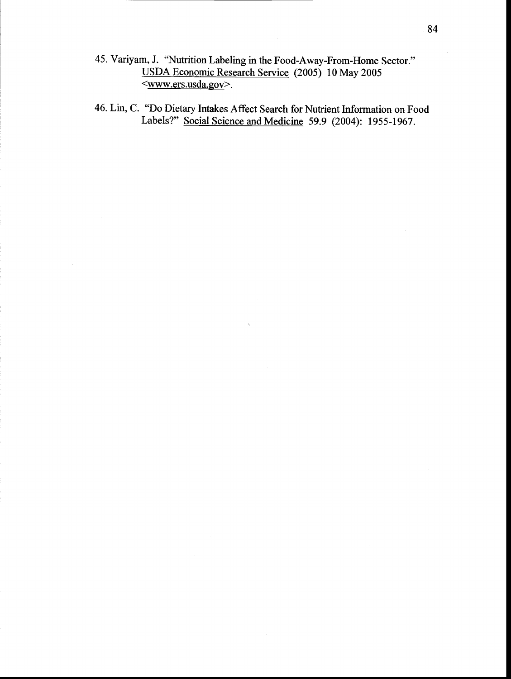- 45. Variyam, J. "Nutrition Labeling in the Food-Away-From-Home Sector." USDA Economic Research Service (2005) 10 May 2005 <www.ers.usda.gov>.
- Lin, C. "Do Dietary Intakes Affect Search for Nutrient Information on Food Labels?" Social Science and Medicine 59.9 (2004): 1955-1967.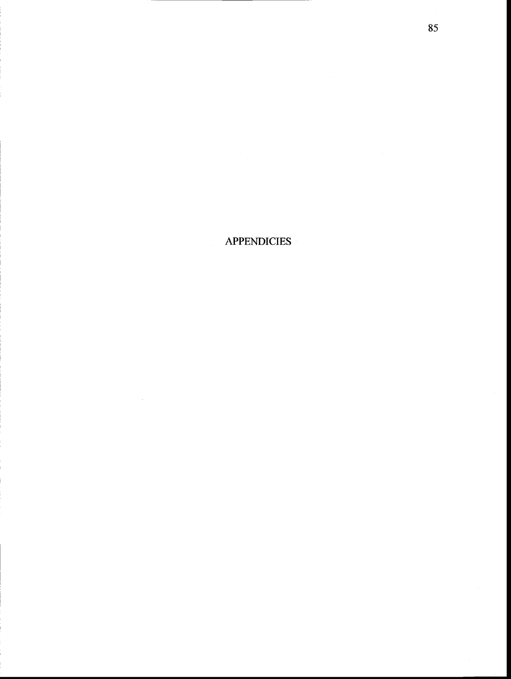**APPENDICIES**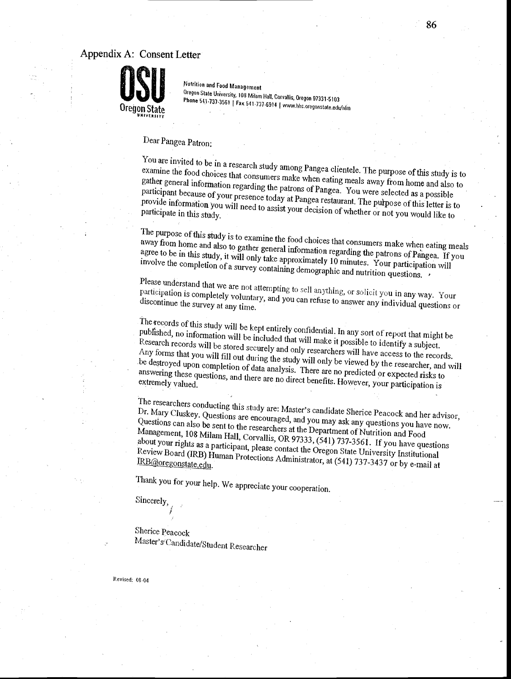### Appendix A: Consent Letter



Oregon State University, 108 Milam Hall, Corvallis, Oregon 97331-5103 Oregon State University, 108 Milam Hall, Corvallis, Oregon 97331-5103<br>Oregon State Nutrition and Food Management

# Dear Pangea Patron:

You are invited to be in a research study among Pangea clientele. The purpose of this study is to examine the food choices that consumers make when eating meals away from home and also to gather general information regardi provide information you will need to assist your decision of whether or not you would like to

The purpose of this study is to examine the food choices that consumers make when eating meals<br>away from home and also to gather general information regarding the patrons of Pangea. If you<br>agree to be in this study, it wil

participation is completely voluntary, and you can refuse to answer any individual questions or

The records of this study will be kept entirely confidential. In any sort of report that might be published, no information will be included that will make it possible to identify a subject.<br>Research records will be stored

The researchers conducting this study are: Master's candidate Sherice Peacock and her advisor,<br>Dr. Mary Cluskey. Questions are encouraged, and you may ask any questions you have now.<br>Questions can also be sent to the resea

Thank you for your help. We appreciate your cooperation,

Sincerely,

Sherice Peacock Master's Candidate/Student Researcher

Revised: 08-04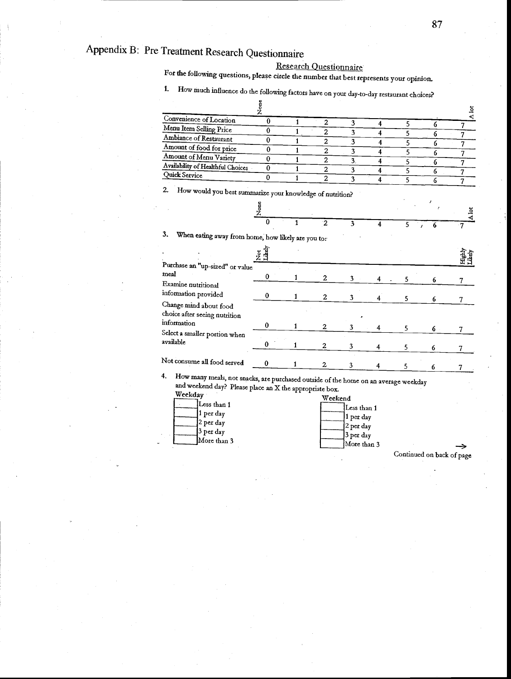Research Questionnaire For the following questions, please circle the number that best represents your opinion.

How much influence do the following factors have on your day-to-day restaurant choices? 0

| Convenience of Location           |  |  |  |  |
|-----------------------------------|--|--|--|--|
| Menu Item Selling Price           |  |  |  |  |
| Ambiance of Restaurant            |  |  |  |  |
| Amount of food for price          |  |  |  |  |
| Amount of Menu Variety            |  |  |  |  |
| Availability of Healthful Choices |  |  |  |  |
| <b>Quick Service</b>              |  |  |  |  |
|                                   |  |  |  |  |

How would you best summarize your knowledge of nutrition?  $2.$ 

|  |  |  |  |  |  | and the property of the contract of the con- |  |
|--|--|--|--|--|--|----------------------------------------------|--|

 $3.$ When eating away from home, how likely are you to:

|                                 | Likel<br>ž |                |   |   |   | Highly<br>Likely |  |
|---------------------------------|------------|----------------|---|---|---|------------------|--|
| Purchase an "up-sized" or value |            |                |   |   |   |                  |  |
| meal                            |            | 2              | 3 |   |   |                  |  |
| Examine nutritional             |            |                |   |   | 6 |                  |  |
| information provided            |            | $\mathbf{2}$   |   | 5 | 6 |                  |  |
| Change mind about food          |            |                |   |   |   |                  |  |
| choice after seeing nutrition   |            |                |   |   |   |                  |  |
| information                     |            | $\overline{2}$ |   |   |   |                  |  |
| Select a smaller portion when   |            |                |   |   | 6 |                  |  |
| available                       |            | 2              |   |   | 6 |                  |  |
| Not consume all food served     |            | 2              |   |   |   |                  |  |

4. How many meals, not snacks, are purchased outside of the home on an average weekday and weekend day? Please place an X the appropriate box. and weekend day? Please place an X the appropriate box.<br>Weekday





Continued on back of page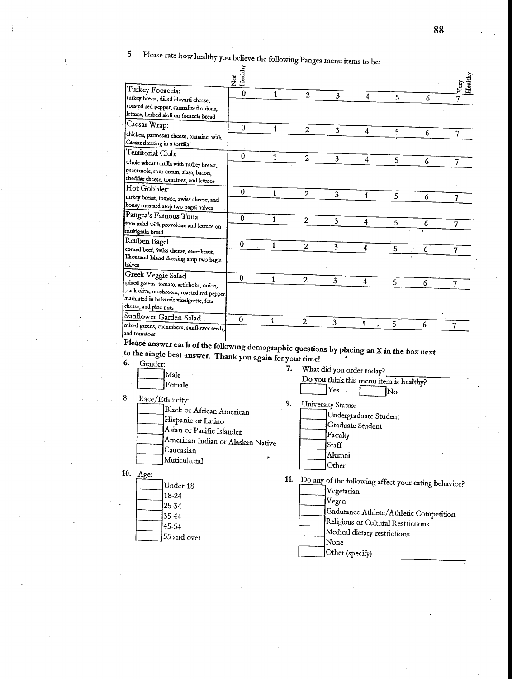5 Please rate how healthy you believe the following Pangea menu items to be:

|                                                                                           | Healthy<br>ă |    |                  |                    |                                         |    |   | Healthy        |
|-------------------------------------------------------------------------------------------|--------------|----|------------------|--------------------|-----------------------------------------|----|---|----------------|
| Turkey Focaccia:                                                                          |              |    |                  |                    |                                         |    |   |                |
| turkey breast, dilled Havarti cheese,                                                     | $\theta$     | 1  | $\boldsymbol{2}$ | 3                  | 4                                       | 5  | 6 |                |
| roasted red pepper, carmalized onions,                                                    |              |    |                  |                    |                                         |    |   |                |
| lettuce, herbed aioli on focaccia bread                                                   |              |    |                  |                    |                                         |    |   |                |
| Caes <b>ar</b> Wrap:                                                                      |              |    |                  |                    |                                         |    |   |                |
|                                                                                           | 0            | 1  | $\overline{2}$   | 3                  | 4                                       | 5  | 6 | 7              |
| chicken, parmesan cheese, romaine, with<br>Caesar dressing in a tortilla                  |              |    |                  |                    |                                         |    |   |                |
|                                                                                           |              |    |                  |                    |                                         |    |   |                |
| Territorial Club:                                                                         | 0            | 1  | $\overline{2}$   | 3                  | 4                                       | 5  | 6 |                |
| whole wheat tortilla with turkey breast,                                                  |              |    |                  |                    |                                         |    |   | 7              |
| guacamole, sour cream, slasa, bacon,                                                      |              |    |                  |                    |                                         |    |   |                |
| cheddar cheese, tomatoes, and lettuce                                                     |              |    |                  |                    |                                         |    |   |                |
| Hot Gobbler:                                                                              | $\bf{0}$     | 1  | $\boldsymbol{2}$ | 3                  | 4                                       |    |   |                |
| turkey breast, tomato, swiss cheese, and                                                  |              |    |                  |                    |                                         | 5  | 6 | 7              |
| honey mustard atop two bagel halves                                                       |              |    |                  |                    |                                         |    |   |                |
| Pangea's Famous Tuna:                                                                     | 0            | 1  | $\overline{2}$   | 3                  | 4                                       |    |   |                |
| tuna salad with provolone and lettuce on                                                  |              |    |                  |                    |                                         | 5  | 6 | 7              |
| multigrain bread                                                                          |              |    |                  |                    |                                         |    |   |                |
| Reuben Bagel                                                                              | 0            | 1  | $\overline{a}$   | 3                  | 4                                       |    |   |                |
| corned beef, Swiss cheese, sauerkraut,                                                    |              |    |                  |                    |                                         | 5  | 6 | 7              |
| Thousand Island dressing atop two bagle<br>halves                                         |              |    |                  |                    |                                         |    |   |                |
|                                                                                           |              |    |                  |                    |                                         |    |   |                |
| Greek Veggie Salad                                                                        | $\theta$     | 1  | 2                | 3                  | 4                                       | 5  | 6 |                |
| mixed greens, tomato, artichoke, onion,                                                   |              |    |                  |                    |                                         |    |   | $\overline{7}$ |
| black olive, mushroom, roasted red pepper<br>marinated in balsamic vinaigrette, feta      |              |    |                  |                    |                                         |    |   |                |
| chesse, and pine nuts                                                                     |              |    |                  |                    |                                         |    |   |                |
| Sunflower Garden Salad                                                                    |              |    |                  |                    |                                         |    |   |                |
| mixed greens, cucumbers, sunflower seeds,                                                 | 0            | 1  | $\overline{2}$   | 3                  | 4                                       | 5  | 6 | 7              |
| and tomatoes                                                                              |              |    |                  |                    |                                         |    |   |                |
|                                                                                           |              |    |                  |                    |                                         |    |   |                |
| Please answer each of the following demographic questions by placing an X in the box next |              |    |                  |                    |                                         |    |   |                |
| to the single best answer. Thank you again for your time!                                 |              |    |                  |                    |                                         |    |   |                |
| 6.<br>Gender:                                                                             |              |    | 7.               |                    | What did you order today?               |    |   |                |
| Male                                                                                      |              |    |                  |                    |                                         |    |   |                |
| Female                                                                                    |              |    |                  |                    | Do you think this menu item is healthy? |    |   |                |
|                                                                                           |              |    |                  | Yes                |                                         | No |   |                |
| 8.<br>Race/Ethnicity:                                                                     |              | 9. |                  | University Status: |                                         |    |   |                |
| Black or African American                                                                 |              |    |                  |                    |                                         |    |   |                |
| Hispanic or Latino                                                                        |              |    |                  |                    | Undergraduate Student                   |    |   |                |
| Asian or Pacific Islander                                                                 |              |    |                  |                    | Graduate Student                        |    |   |                |
|                                                                                           |              |    |                  | ${\tt F}$ amltv    |                                         |    |   |                |

 $\star$ 

American Indian or Alaskan Native

Caucasian Muticultural

10. Age:

 $\overline{\mathcal{N}}$ 

| י־ה | Under 18    |
|-----|-------------|
|     | $18-24$     |
|     | 25-34       |
|     | 35-44       |
|     | 45-54       |
|     | 55 and over |

11. Do any of the following affect your eating behavior? Vegetarian Vegan Endurance Athlete/Athletic Competition Religious or Cultural Restrictions Medical dietary restrictions None

Other (specify)

Faculty Staff Alumni Other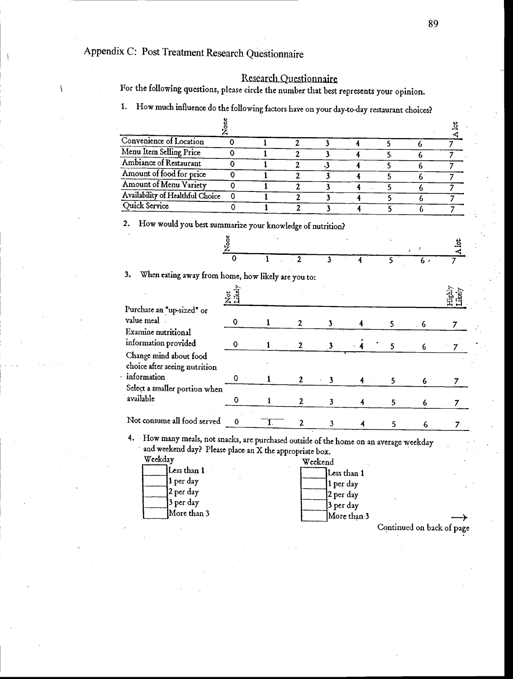Appendix C: Post Treatment Research Questionnaire

ļ

# Research Questionnaire

For the following questions, please circle the number that best represents your opinion.

| How much influence do the following factors have on your day-to-day restaurant choices? |  |
|-----------------------------------------------------------------------------------------|--|
|                                                                                         |  |

| Convenience of Location          |    |  |  |  |  |
|----------------------------------|----|--|--|--|--|
| Menu Item Selling Price          |    |  |  |  |  |
| Ambiance of Restaurant           |    |  |  |  |  |
| Amount of food for price         |    |  |  |  |  |
| Amount of Menu Variety           |    |  |  |  |  |
| Availability of Healthful Choice | -0 |  |  |  |  |
| Quick Service                    |    |  |  |  |  |

When eating away from home, how likelyare you to:  $3.$ 

|                                                         | $\frac{5}{2}$ |  |   |   |     | Highly<br>Likely |  |
|---------------------------------------------------------|---------------|--|---|---|-----|------------------|--|
| Purchase an "up-sized" or                               |               |  |   |   |     |                  |  |
| value meal                                              |               |  |   |   | . 6 |                  |  |
| Examine nutritional<br>information provided             |               |  |   | 5 | 6   |                  |  |
| Change mind about food<br>choice after seeing nutrition |               |  |   |   |     |                  |  |
| information                                             |               |  | 3 | 5 | 6   |                  |  |
| Select a smaller portion when<br>available              |               |  |   | 5 |     |                  |  |
| Not consume all food served                             |               |  |   |   |     |                  |  |

4. How many meals, not snacks, are purchased outside of the home on an average weekdayand weekend day? Plea: day? Please place an X the appropriate box.

| Weekday     | Weekend     |
|-------------|-------------|
| Less than 1 | Less than 1 |
| 1 per day   | 1 per day   |
| 2 per day   | 2 per day   |
| 3 per day   | 3 per day   |
| More than 3 | More than 3 |

Continued on back of page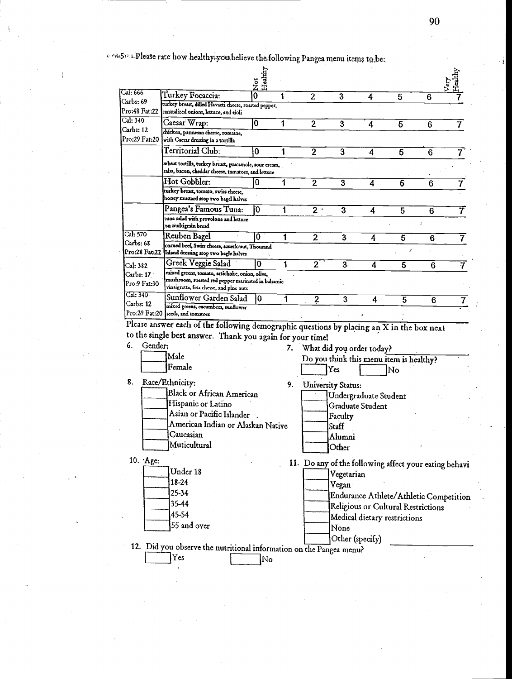$\approx 45\%$  i. Please rate how healthy you believe the following Pangea menu items to be:

 $\frac{1}{3}$ 

| Cal: 666<br>Turkey Focaccia:<br>Carbs: 69<br>turkey breast, dilled Havarti cheese, roasted pepper,<br>Pro:48 Fat:22<br>carmalized onions, lettuce, and aioli                                    | Healthy<br>ž |    |                                                       |                                                                  |                                                                              |                |                |   |
|-------------------------------------------------------------------------------------------------------------------------------------------------------------------------------------------------|--------------|----|-------------------------------------------------------|------------------------------------------------------------------|------------------------------------------------------------------------------|----------------|----------------|---|
|                                                                                                                                                                                                 | 0            | 1  | $\overline{2}$                                        | $\overline{\mathbf{3}}$                                          | 4                                                                            | 5              | 6              |   |
| Cal: 340<br>Caesar Wrap:<br>Carbs: 12<br>chicken, parmesan cheese, romaine,                                                                                                                     | 0            | 1  | $\overline{2}$                                        | 3                                                                | 4                                                                            | $\overline{5}$ | 6              |   |
| Pro:29 Fat:20<br>with Caesar dressing in a tortilla                                                                                                                                             |              |    |                                                       |                                                                  |                                                                              |                |                |   |
| Territorial Club:                                                                                                                                                                               | 0            | 1  | $\overline{2}$                                        | 3                                                                | 4                                                                            | 5              | 6              |   |
| wheat tortilla, turkey breast, guacamole, sour cream,<br>salsa, bacon, cheddar cheese, tomatoes, and lettuce                                                                                    |              |    |                                                       |                                                                  |                                                                              |                |                |   |
| Hot Gobbler:                                                                                                                                                                                    | 0            | 1  | $\overline{2}$                                        | $\overline{\boldsymbol{3}}$                                      | 4                                                                            | $\overline{5}$ | 6              |   |
| turkey breast, tomato, swiss cheese,<br>honey mustard atop two bagel halves                                                                                                                     |              |    |                                                       |                                                                  |                                                                              |                |                |   |
| Pangea's Famous Tuna:                                                                                                                                                                           | ۱O           |    | $2^+$                                                 | 3                                                                | 4                                                                            | $\overline{5}$ | $6\phantom{1}$ |   |
| tuna salad with provolone and lettuce<br>on multigrain bread                                                                                                                                    |              |    |                                                       |                                                                  |                                                                              |                | ź.             |   |
| Cal: 570<br>Reuben Bagel<br>Carbs: 68                                                                                                                                                           | 0            | 1  | $\overline{2}$                                        | $\overline{\mathbf{3}}$                                          | 4                                                                            | 5              | 6              |   |
| corned beef, Swiss cheese, sauerkraut, Thousand<br>Pro:28 Fat:22<br>Island dressing atop two bagle halves                                                                                       |              |    |                                                       |                                                                  |                                                                              |                | ţ.             |   |
| Greek Veggie Salad<br>Cal: 382                                                                                                                                                                  | 0            | 1  | $\overline{2}$                                        | 3                                                                | 4                                                                            | 5              | 6              | 7 |
| mixed greens, tomato, artichoke, onion, olive,<br>Carbs: 17 ·<br>mushroom, roasted red pepper marinated in balsamic<br>Pro 9 Fat:30<br>vinaigrette, feta chesse, and pine nuts                  |              |    |                                                       |                                                                  |                                                                              |                |                |   |
| Cal: 340<br>Sunflower Garden Salad<br>Carbs: 12                                                                                                                                                 | 0            | 1  | $\overline{2}$                                        | 3                                                                | 4                                                                            | 5              | 6              |   |
| mixed greens, cucumbers, sunflower<br>Pro:29 Fat:20 seeds, and tomatoes                                                                                                                         |              |    |                                                       |                                                                  |                                                                              |                |                |   |
| Please answer each of the following demographic questions by placing an X in the box next<br>to the single best answer. Thank you again for your time!<br>Gender:<br>6.<br>Male<br>Female<br>8. |              |    | 7. What did you order today?                          | Yes                                                              | Do you think this menu item is healthy?                                      | No             |                |   |
| Race/Ethnicity:<br>Black or African American<br>Hispanic or Latino<br>Asian or Pacific Islander<br>American Indian or Alaskan Native<br>Caucasian<br>Muticultural                               |              | 9. |                                                       | <b>University Status:</b><br>Faculty<br>Staff<br>Alumni<br>Other | Undergraduate Student<br>Graduate Student                                    |                |                |   |
|                                                                                                                                                                                                 |              |    | 11. Do any of the following affect your eating behavi | Vegetarian                                                       |                                                                              |                |                |   |
| 10. Age:<br>Under 18<br>18-24<br>25-34<br>35-44                                                                                                                                                 |              |    |                                                       | Vegan                                                            | Endurance Athlete/Athletic Competition<br>Religious or Cultural Restrictions |                |                |   |

 $\Gamma$ <sup>Yes</sup>  $\Gamma$  No

90

٠į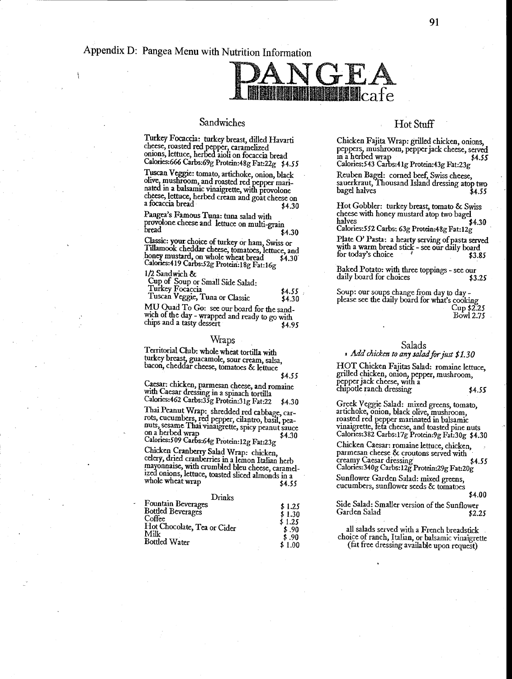Appendix D: Pangea Menu with Nutrition Information



## Sandwiches

Turkey Focaccia: turkey breast, dulled Havarti cheese, roasted red pepper, caramelized onions, lettuce, herbed aioli on focaccia bread Calories:666 Carbs:69g Protein:48g Fat:22g \$4.55

Tuscan Veggic: tomato, artichoke, onion, black - mushroom, and roasted red pepper man- nated in a balsamic vinaigrette, with provolone cheese, lettuce, herbed cream and goat cheese on a focaccia bread \$4.30

Pangea's Famous Tuna: tuna salad with provolone cheese and lettuce on multi-grain<br>bread \$4.30<br>Classic: your choice of turkey or ham, Swiss or

Tillamook cheddar cheese, tomatoes, lettuce, and<br>honey mustard, on whole wheat bread \$4.30 honey mustard, on whole wheat bread \$4.30<br>Calories:419 Carbs:52g Protein:18g Fat:16g

1/2 Sandwich &

wich of the day - wrapped and ready to go with chips and a tasty dessert  $$4.95$ 

#### Wraps

Territorial Club: whole wheat tortilla with turkey breast, guacamole, sour cream, salsa, bacon, cheddar cheese, tomatoes & lettuce

\$435

Caesar: chicken, parmesan cheese, and romaine with Caesar dressing in a spinach tortilla

Calories:462 Carbs:33g Protein:31g Fat:22 \$4.30<br>Thai Peanut Wrap: shredded red cabbage, car-Thai Peanus Wrap: shredded red cabbage, calantro, basil, pea-<br>nuts, sesame Thai vinaigrette, spicy peanut sauce num, sesame Thai viene Thai vina in the San vina in the Salories:509 Carbs:64g Protein: 12g Fat:23g

Chicken Cranberty Salad Wrap: chicken, celery, dried cranberries in a lemon Italian herb mayonnaise, with crumbled bleu cheese, caramelized onions, lettuce, toasted sliced almonds in a whole wheat wrap

| Drinks                      |         |  |
|-----------------------------|---------|--|
| <b>Fountain Beverages</b>   | \$1.25  |  |
| Bottled Beverages           | \$1.30  |  |
| Coffee                      | \$ 1.25 |  |
| Hot Chocolate, Tea or Cider | \$.90   |  |
| Milk                        | \$.90   |  |
| Bottled Water               | \$1.00  |  |

#### Hot Stuff

Chicken Fajita Wrap: grilled chicken, onions, peppers, mushroom, pepper jack cheese, served ma herbed wrap \$4.55 Calories:543 Carbs:41g Protein:43g Fat:23g

Reuben Bagel: corned beef, Swiss cheese, sauerkraut, Thousand Island dressing atop two  $bagel$  halves  $\frac{34.55}{ }$ 

Hot Gobbler: turkey breast, tomato & Swiss cheese with honey mustard atop two bagel halves \$4.30 Calories:552 Carba: 63g Protein'48g Pat:12g

Plate O' Pasta: a hearty serving of pasta served<br>with a warm bread stick - see our daily board<br>for today's choice  $\begin{array}{c} \text{53.85} \end{array}$ for today's choice

Baked Potato: with three toppings - see our daily board for choices \$3.25

1/2 Sandwich & daily board for choices<br>
Cup of Soup or Small Side Salad:<br>
Turkey Focaccia \$4.55 Soup: our soups chang<br>
Tuscan Veggie, Tuna or Classic \$4.30 Soup: our soups chang<br>
MU Quad To Go: see our board for the sand-Soup: our soups change from day to day please see the daily board for what's cooking  $Cup $2.25$ Bowl 2.75

#### Salads Add chicken to any salad for just \$1.30

HOT Chicken Fajitas Salad: romaine lettuce, grilled chicken, onion, pepper, mushroom, pepper jack cheese, with a chipotle ranch dressing \$4.55

Greek Veggie Salad: mixed greens, tomato, artichoke, onion, black olive, mushroom, roasted red pepper marinated in balsamic vinaigrette, leta cheese, and toasted pine nuts Calories:382 Carbs:17g Protein:9g Fat:30g \$4.30

Chicken Caesar: romaine lettuce, chicken, parmesan cheese & croutons served with creamy Caesar dressing \$4.55

Calories:340g Carbs:12g Protein:29g Fat:20g Sunflower Garden Salad: mixed greens,

cucumbers, sunflower seeds & tomatoes

\$4.00

Side Salad: Smaller version of the Sunflower Garden Salad \$2.25

all salads served with a French breadstick choice of ranch, Italian, or balsamic vinaigrette (fist free dressing available upon request)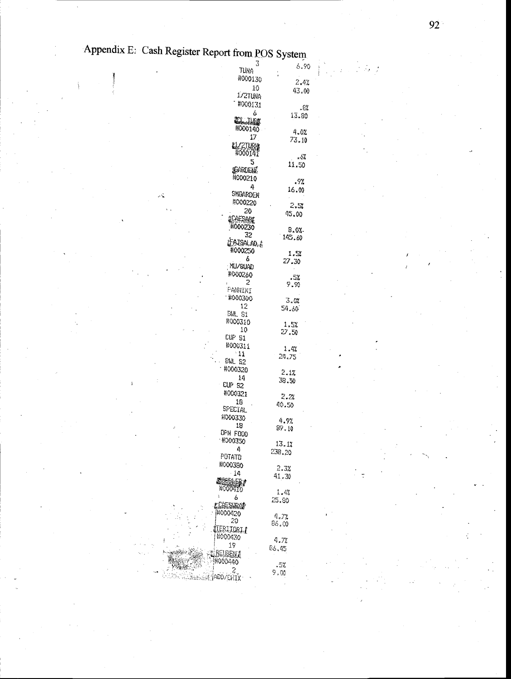| á                        | 6.90            |               |
|--------------------------|-----------------|---------------|
| <b>TUNA</b>              |                 | $\frac{1}{2}$ |
| #000130                  | 2.4%            |               |
| 10                       |                 |               |
| 1/27UNA                  | 43.00           |               |
| #000131                  |                 |               |
|                          | -91             |               |
| 6                        | 13.80           |               |
| Clarks (                 |                 |               |
| #000140                  | 4.0%            |               |
| 17                       |                 |               |
| u/21km                   | 73.10           |               |
| #000141                  |                 |               |
|                          | -67             |               |
| 5                        | 11.50           |               |
| <b>SHOLL!</b>            |                 |               |
| #000210                  | .92             |               |
| 4                        | 16.00           |               |
| SHGARDEN                 |                 |               |
| #000220                  |                 |               |
| 20                       | 2.51            |               |
| Caesar                   | 45.00           |               |
|                          |                 |               |
| H000230                  | 8.6%            |               |
| -32                      | 145. <i>6</i> 0 |               |
| JEAJSALAD <sub>4</sub> 4 |                 |               |
| #000250                  | 1.71            |               |
| - 6                      | 27.30           |               |
| NU/GUAD                  |                 |               |
| #000260                  |                 |               |
| 2                        | -52             |               |
| PANINI                   | 9.90            |               |
| 1000300                  |                 |               |
|                          | 3.92            |               |
| 12                       | 54.80           |               |
| <b>BWL S1</b>            |                 |               |
| #XXJ310                  | 1.5%            |               |
| 10                       | Y.W             |               |
| <b>CUP 91</b>            |                 |               |
| #000311                  |                 |               |
| $^{\circ}11$             | 1.41            |               |
| <b>BW 82</b>             | 24.75           |               |
| #000320                  |                 |               |
|                          | 2.17            |               |
| 14                       | 39.B)           |               |
| CUP 52                   |                 |               |
| #000321                  | 2.2             |               |
| 18                       | 40.50           |               |
| SPECIAL                  |                 |               |
| #000330                  |                 |               |
| 18                       | 4.9x            |               |
| OPN FOOD                 | 87.10           |               |
| 4000350                  |                 |               |
|                          | 13.17           |               |
| 4                        | 238,20          |               |
| potato                   |                 |               |
| #000380                  | 2.3%            |               |
| - 14                     | 41.JP           |               |
| tong,                    |                 |               |
| HOODATO                  |                 |               |
| ì.<br>6                  | 1.4%            |               |
| Learne                   | 25.80           |               |
| H000420                  |                 |               |
|                          | 4.7%            |               |
| 20<br>ý                  | 86.00           |               |
| IEBLIORI (               |                 |               |
| #000430                  | 4.71            |               |
| 19                       | 86.45           |               |
| <b>ADELERIK</b>          |                 |               |
| #000440                  |                 |               |
|                          | -57             |               |
| <b>AN TADO/CHTY</b>      | 9.00            |               |
|                          |                 |               |